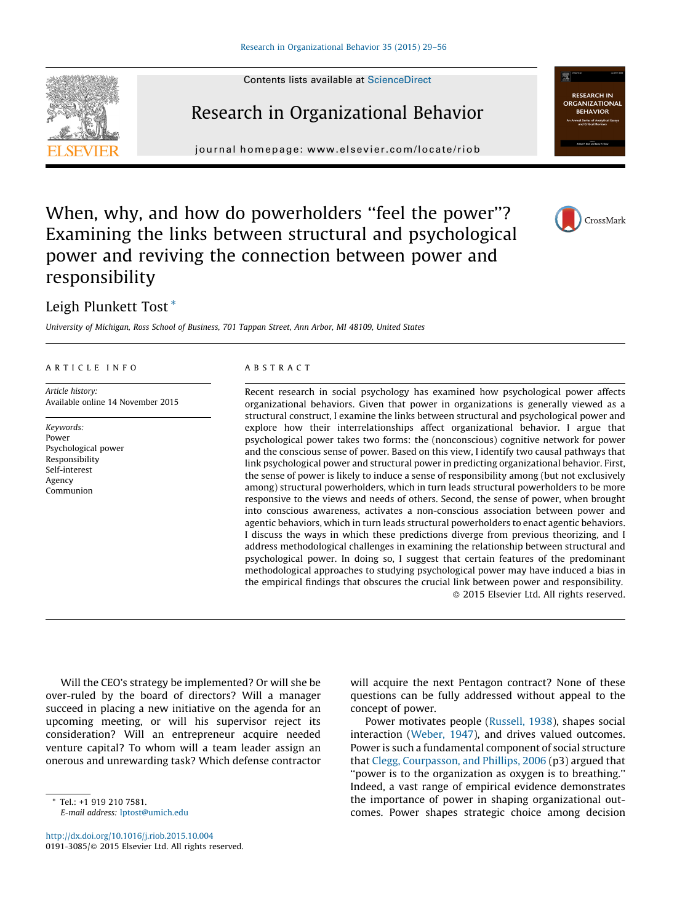Contents lists available at [ScienceDirect](http://www.sciencedirect.com/science/journal/01913085)

# Research in Organizational Behavior

journal homepage: www.elsevier.com/locate/riob



# When, why, and how do powerholders "feel the power"? Examining the links between structural and psychological power and reviving the connection between power and responsibility

# Leigh Plunkett Tost \*

University of Michigan, Ross School of Business, 701 Tappan Street, Ann Arbor, MI 48109, United States

#### A R T I C L E I N F O

Article history: Available online 14 November 2015

Keywords: Power Psychological power Responsibility Self-interest Agency Communion

#### A B S T R A C T

Recent research in social psychology has examined how psychological power affects organizational behaviors. Given that power in organizations is generally viewed as a structural construct, I examine the links between structural and psychological power and explore how their interrelationships affect organizational behavior. I argue that psychological power takes two forms: the (nonconscious) cognitive network for power and the conscious sense of power. Based on this view, I identify two causal pathways that link psychological power and structural power in predicting organizational behavior. First, the sense of power is likely to induce a sense of responsibility among (but not exclusively among) structural powerholders, which in turn leads structural powerholders to be more responsive to the views and needs of others. Second, the sense of power, when brought into conscious awareness, activates a non-conscious association between power and agentic behaviors, which in turn leads structural powerholders to enact agentic behaviors. I discuss the ways in which these predictions diverge from previous theorizing, and I address methodological challenges in examining the relationship between structural and psychological power. In doing so, I suggest that certain features of the predominant methodological approaches to studying psychological power may have induced a bias in the empirical findings that obscures the crucial link between power and responsibility. - 2015 Elsevier Ltd. All rights reserved.

Will the CEO's strategy be implemented? Or will she be over-ruled by the board of directors? Will a manager succeed in placing a new initiative on the agenda for an upcoming meeting, or will his supervisor reject its consideration? Will an entrepreneur acquire needed venture capital? To whom will a team leader assign an onerous and unrewarding task? Which defense contractor

will acquire the next Pentagon contract? None of these questions can be fully addressed without appeal to the concept of power.

Power motivates people ([Russell,](#page-26-0) 1938), shapes social interaction ([Weber,](#page-27-0) 1947), and drives valued outcomes. Power is such a fundamental component of social structure that Clegg, [Courpasson,](#page-25-0) and Phillips, 2006 (p3) argued that ''power is to the organization as oxygen is to breathing.'' Indeed, a vast range of empirical evidence demonstrates the importance of power in shaping organizational outcomes. Power shapes strategic choice among decision





<sup>\*</sup> Tel.: +1 919 210 7581. E-mail address: [lptost@umich.edu](mailto:lptost@umich.edu)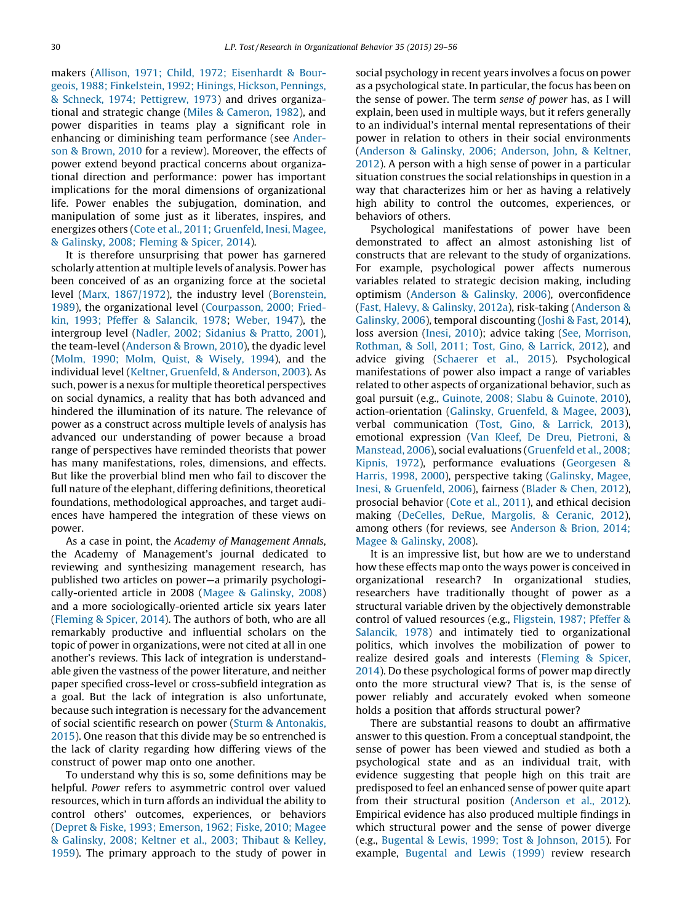makers (Allison, 1971; Child, 1972; [Eisenhardt](#page-24-0) & Bourgeois, 1988; [Finkelstein,](#page-24-0) 1992; Hinings, Hickson, Pennings, & Schneck, 1974; [Pettigrew,](#page-24-0) 1973) and drives organizational and strategic change (Miles & [Cameron,](#page-26-0) 1982), and power disparities in teams play a significant role in enhancing or diminishing team performance (see [Ander](#page-24-0)son & [Brown,](#page-24-0) 2010 for a review). Moreover, the effects of power extend beyond practical concerns about organizational direction and performance: power has important implications for the moral dimensions of organizational life. Power enables the subjugation, domination, and manipulation of some just as it liberates, inspires, and energizes others (Cote et al., 2011; [Gruenfeld,](#page-25-0) Inesi, Magee, & [Galinsky,](#page-25-0) 2008; Fleming & Spicer, 2014).

It is therefore unsurprising that power has garnered scholarly attention at multiple levels of analysis. Power has been conceived of as an organizing force at the societal level (Marx, [1867/1972](#page-26-0)), the industry level [\(Borenstein,](#page-24-0) [1989](#page-24-0)), the organizational level ([Courpasson,](#page-25-0) 2000; Friedkin, 1993; Pfeffer & [Salancik,](#page-25-0) 1978; [Weber,](#page-27-0) 1947), the intergroup level (Nadler, 2002; [Sidanius](#page-26-0) & Pratto, 2001), the team-level [\(Anderson](#page-24-0) & Brown, 2010), the dyadic level (Molm, 1990; Molm, Quist, & [Wisely,](#page-26-0) 1994), and the individual level (Keltner, [Gruenfeld,](#page-26-0) & Anderson, 2003). As such, power is a nexus for multiple theoretical perspectives on social dynamics, a reality that has both advanced and hindered the illumination of its nature. The relevance of power as a construct across multiple levels of analysis has advanced our understanding of power because a broad range of perspectives have reminded theorists that power has many manifestations, roles, dimensions, and effects. But like the proverbial blind men who fail to discover the full nature of the elephant, differing definitions, theoretical foundations, methodological approaches, and target audiences have hampered the integration of these views on power.

As a case in point, the Academy of Management Annals, the Academy of Management's journal dedicated to reviewing and synthesizing management research, has published two articles on power—a primarily psychologically-oriented article in 2008 (Magee & [Galinsky,](#page-26-0) 2008) and a more sociologically-oriented article six years later [\(Fleming](#page-25-0) & Spicer, 2014). The authors of both, who are all remarkably productive and influential scholars on the topic of power in organizations, were not cited at all in one another's reviews. This lack of integration is understandable given the vastness of the power literature, and neither paper specified cross-level or cross-subfield integration as a goal. But the lack of integration is also unfortunate, because such integration is necessary for the advancement of social scientific research on power (Sturm & [Antonakis,](#page-27-0) [2015](#page-27-0)). One reason that this divide may be so entrenched is the lack of clarity regarding how differing views of the construct of power map onto one another.

To understand why this is so, some definitions may be helpful. Power refers to asymmetric control over valued resources, which in turn affords an individual the ability to control others' outcomes, experiences, or behaviors (Depret & Fiske, 1993; [Emerson,](#page-25-0) 1962; Fiske, 2010; Magee & [Galinsky,](#page-25-0) 2008; Keltner et al., 2003; Thibaut & Kelley, [1959](#page-25-0)). The primary approach to the study of power in

social psychology in recent years involves a focus on power as a psychological state. In particular, the focus has been on the sense of power. The term sense of power has, as I will explain, been used in multiple ways, but it refers generally to an individual's internal mental representations of their power in relation to others in their social environments (Anderson & Galinsky, 2006; [Anderson,](#page-24-0) John, & Keltner, [2012](#page-24-0)). A person with a high sense of power in a particular situation construes the social relationships in question in a way that characterizes him or her as having a relatively high ability to control the outcomes, experiences, or behaviors of others.

Psychological manifestations of power have been demonstrated to affect an almost astonishing list of constructs that are relevant to the study of organizations. For example, psychological power affects numerous variables related to strategic decision making, including optimism [\(Anderson](#page-24-0) & Galinsky, 2006), overconfidence (Fast, Halevy, & [Galinsky,](#page-25-0) 2012a), risk-taking ([Anderson](#page-24-0) & [Galinsky,](#page-24-0) 2006), temporal discounting (Joshi & Fast, [2014](#page-26-0)), loss aversion ([Inesi,](#page-26-0) 2010); advice taking (See, [Morrison,](#page-27-0) [Rothman,](#page-27-0) & Soll, 2011; Tost, Gino, & Larrick, 2012), and advice giving ([Schaerer](#page-26-0) et al., 2015). Psychological manifestations of power also impact a range of variables related to other aspects of organizational behavior, such as goal pursuit (e.g., Guinote, 2008; Slabu & [Guinote,](#page-25-0) 2010), action-orientation (Galinsky, [Gruenfeld,](#page-25-0) & Magee, 2003), verbal communication (Tost, Gino, & [Larrick,](#page-27-0) 2013), emotional expression (Van Kleef, De Dreu, [Pietroni,](#page-27-0) & [Manstead,](#page-27-0) 2006), social evaluations [\(Gruenfeld](#page-25-0) et al., 2008; [Kipnis,](#page-25-0) 1972), performance evaluations ([Georgesen](#page-25-0) & [Harris,](#page-25-0) 1998, 2000), perspective taking [\(Galinsky,](#page-25-0) Magee, Inesi, & [Gruenfeld,](#page-25-0) 2006), fairness [\(Blader](#page-24-0) & Chen, 2012), prosocial behavior (Cote et al., [2011\)](#page-25-0), and ethical decision making (DeCelles, DeRue, [Margolis,](#page-25-0) & Ceranic, 2012), among others (for reviews, see [Anderson](#page-24-0) & Brion, 2014; Magee & [Galinsky,](#page-24-0) 2008).

It is an impressive list, but how are we to understand how these effects map onto the ways power is conceived in organizational research? In organizational studies, researchers have traditionally thought of power as a structural variable driven by the objectively demonstrable control of valued resources (e.g., [Fligstein,](#page-25-0) 1987; Pfeffer & [Salancik,](#page-25-0) 1978) and intimately tied to organizational politics, which involves the mobilization of power to realize desired goals and interests [\(Fleming](#page-25-0) & Spicer, [2014](#page-25-0)). Do these psychological forms of power map directly onto the more structural view? That is, is the sense of power reliably and accurately evoked when someone holds a position that affords structural power?

There are substantial reasons to doubt an affirmative answer to this question. From a conceptual standpoint, the sense of power has been viewed and studied as both a psychological state and as an individual trait, with evidence suggesting that people high on this trait are predisposed to feel an enhanced sense of power quite apart from their structural position [\(Anderson](#page-24-0) et al., 2012). Empirical evidence has also produced multiple findings in which structural power and the sense of power diverge (e.g., [Bugental](#page-24-0) & Lewis, 1999; Tost & Johnson, 2015). For example, [Bugental](#page-24-0) and Lewis (1999) review research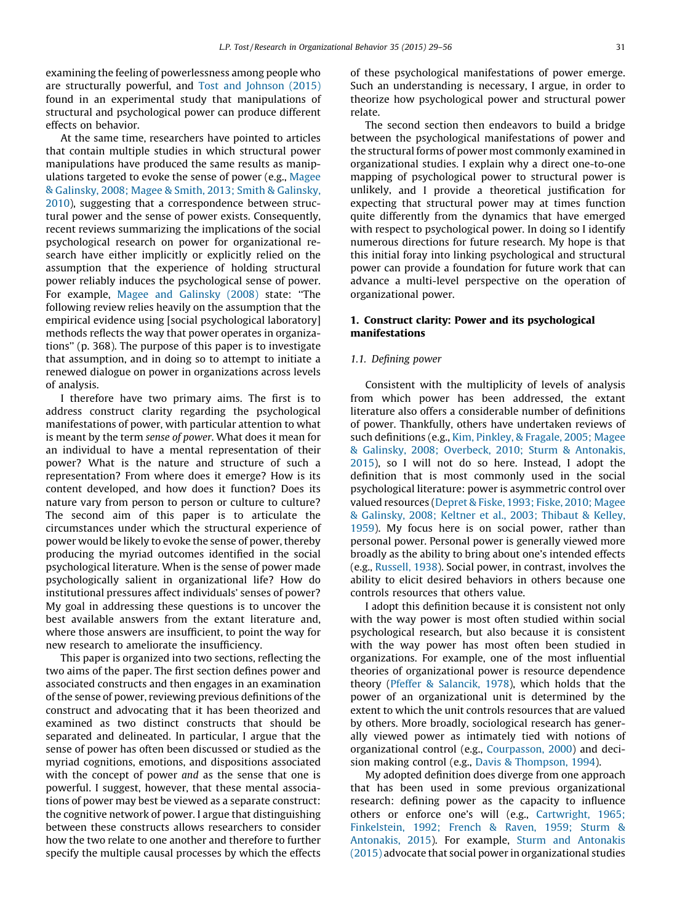examining the feeling of powerlessness among people who are structurally powerful, and Tost and [Johnson](#page-27-0) (2015) found in an experimental study that manipulations of structural and psychological power can produce different effects on behavior.

At the same time, researchers have pointed to articles that contain multiple studies in which structural power manipulations have produced the same results as manipulations targeted to evoke the sense of power (e.g., [Magee](#page-26-0) & [Galinsky,](#page-26-0) 2008; Magee & Smith, 2013; Smith & Galinsky, [2010](#page-26-0)), suggesting that a correspondence between structural power and the sense of power exists. Consequently, recent reviews summarizing the implications of the social psychological research on power for organizational research have either implicitly or explicitly relied on the assumption that the experience of holding structural power reliably induces the psychological sense of power. For example, Magee and [Galinsky](#page-26-0) (2008) state: ''The following review relies heavily on the assumption that the empirical evidence using [social psychological laboratory] methods reflects the way that power operates in organizations'' (p. 368). The purpose of this paper is to investigate that assumption, and in doing so to attempt to initiate a renewed dialogue on power in organizations across levels of analysis.

I therefore have two primary aims. The first is to address construct clarity regarding the psychological manifestations of power, with particular attention to what is meant by the term sense of power. What does it mean for an individual to have a mental representation of their power? What is the nature and structure of such a representation? From where does it emerge? How is its content developed, and how does it function? Does its nature vary from person to person or culture to culture? The second aim of this paper is to articulate the circumstances under which the structural experience of power would be likely to evoke the sense of power, thereby producing the myriad outcomes identified in the social psychological literature. When is the sense of power made psychologically salient in organizational life? How do institutional pressures affect individuals' senses of power? My goal in addressing these questions is to uncover the best available answers from the extant literature and, where those answers are insufficient, to point the way for new research to ameliorate the insufficiency.

This paper is organized into two sections, reflecting the two aims of the paper. The first section defines power and associated constructs and then engages in an examination of the sense of power, reviewing previous definitions of the construct and advocating that it has been theorized and examined as two distinct constructs that should be separated and delineated. In particular, I argue that the sense of power has often been discussed or studied as the myriad cognitions, emotions, and dispositions associated with the concept of power and as the sense that one is powerful. I suggest, however, that these mental associations of power may best be viewed as a separate construct: the cognitive network of power. I argue that distinguishing between these constructs allows researchers to consider how the two relate to one another and therefore to further specify the multiple causal processes by which the effects

of these psychological manifestations of power emerge. Such an understanding is necessary, I argue, in order to theorize how psychological power and structural power relate.

The second section then endeavors to build a bridge between the psychological manifestations of power and the structural forms of power most commonly examined in organizational studies. I explain why a direct one-to-one mapping of psychological power to structural power is unlikely, and I provide a theoretical justification for expecting that structural power may at times function quite differently from the dynamics that have emerged with respect to psychological power. In doing so I identify numerous directions for future research. My hope is that this initial foray into linking psychological and structural power can provide a foundation for future work that can advance a multi-level perspective on the operation of organizational power.

# 1. Construct clarity: Power and its psychological manifestations

# 1.1. Defining power

Consistent with the multiplicity of levels of analysis from which power has been addressed, the extant literature also offers a considerable number of definitions of power. Thankfully, others have undertaken reviews of such definitions (e.g., Kim, [Pinkley,](#page-26-0) & Fragale, 2005; Magee & Galinsky, 2008; Overbeck, 2010; Sturm & [Antonakis,](#page-26-0) [2015](#page-26-0)), so I will not do so here. Instead, I adopt the definition that is most commonly used in the social psychological literature: power is asymmetric control over valued resources [\(Depret](#page-25-0) & Fiske, 1993; Fiske, 2010; Magee & [Galinsky,](#page-25-0) 2008; Keltner et al., 2003; Thibaut & Kelley, [1959](#page-25-0)). My focus here is on social power, rather than personal power. Personal power is generally viewed more broadly as the ability to bring about one's intended effects (e.g., [Russell,](#page-26-0) 1938). Social power, in contrast, involves the ability to elicit desired behaviors in others because one controls resources that others value.

I adopt this definition because it is consistent not only with the way power is most often studied within social psychological research, but also because it is consistent with the way power has most often been studied in organizations. For example, one of the most influential theories of organizational power is resource dependence theory (Pfeffer & [Salancik,](#page-26-0) 1978), which holds that the power of an organizational unit is determined by the extent to which the unit controls resources that are valued by others. More broadly, sociological research has generally viewed power as intimately tied with notions of organizational control (e.g., [Courpasson,](#page-25-0) 2000) and decision making control (e.g., Davis & [Thompson,](#page-25-0) 1994).

My adopted definition does diverge from one approach that has been used in some previous organizational research: defining power as the capacity to influence others or enforce one's will (e.g., [Cartwright,](#page-24-0) 1965; [Finkelstein,](#page-24-0) 1992; French & Raven, 1959; Sturm & [Antonakis,](#page-24-0) 2015). For example, Sturm and [Antonakis](#page-27-0) [\(2015\)](#page-27-0) advocate that social power in organizational studies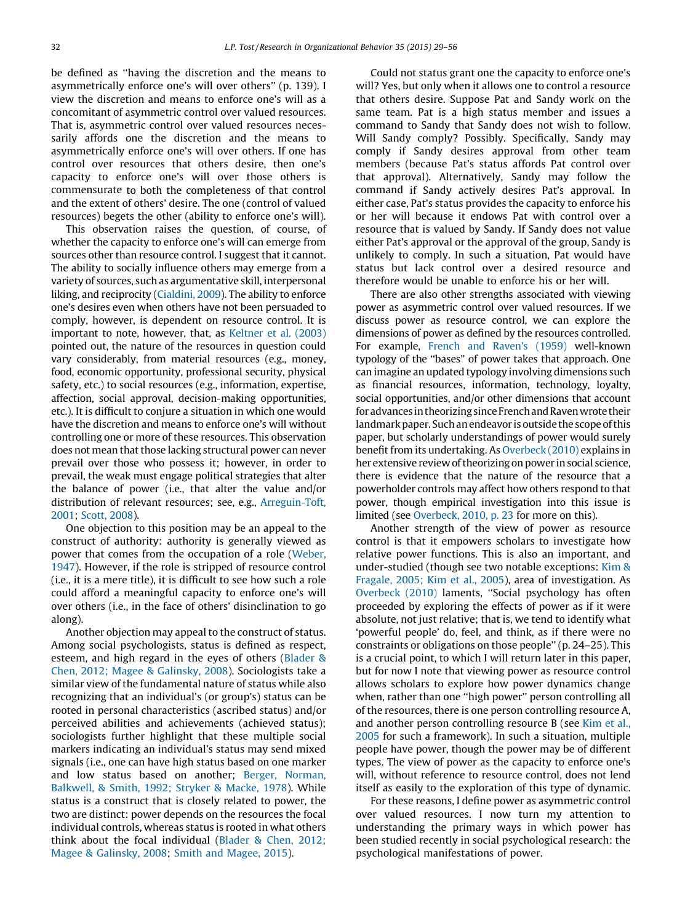be defined as ''having the discretion and the means to asymmetrically enforce one's will over others'' (p. 139). I view the discretion and means to enforce one's will as a concomitant of asymmetric control over valued resources. That is, asymmetric control over valued resources necessarily affords one the discretion and the means to asymmetrically enforce one's will over others. If one has control over resources that others desire, then one's capacity to enforce one's will over those others is commensurate to both the completeness of that control and the extent of others' desire. The one (control of valued resources) begets the other (ability to enforce one's will).

This observation raises the question, of course, of whether the capacity to enforce one's will can emerge from sources other than resource control. I suggest that it cannot. The ability to socially influence others may emerge from a variety of sources, such as argumentative skill, interpersonal liking, and reciprocity ([Cialdini,](#page-25-0) 2009). The ability to enforce one's desires even when others have not been persuaded to comply, however, is dependent on resource control. It is important to note, however, that, as [Keltner](#page-26-0) et al. (2003) pointed out, the nature of the resources in question could vary considerably, from material resources (e.g., money, food, economic opportunity, professional security, physical safety, etc.) to social resources (e.g., information, expertise, affection, social approval, decision-making opportunities, etc.). It is difficult to conjure a situation in which one would have the discretion and means to enforce one's will without controlling one or more of these resources. This observation does not mean that those lacking structural power can never prevail over those who possess it; however, in order to prevail, the weak must engage political strategies that alter the balance of power (i.e., that alter the value and/or distribution of relevant resources; see, e.g., [Arreguin-Toft,](#page-24-0) [2001;](#page-24-0) [Scott,](#page-26-0) 2008).

One objection to this position may be an appeal to the construct of authority: authority is generally viewed as power that comes from the occupation of a role ([Weber,](#page-27-0) [1947](#page-27-0)). However, if the role is stripped of resource control (i.e., it is a mere title), it is difficult to see how such a role could afford a meaningful capacity to enforce one's will over others (i.e., in the face of others' disinclination to go along).

Another objection may appeal to the construct of status. Among social psychologists, status is defined as respect, esteem, and high regard in the eyes of others ([Blader](#page-24-0) & Chen, 2012; Magee & [Galinsky,](#page-24-0) 2008). Sociologists take a similar view of the fundamental nature of status while also recognizing that an individual's (or group's) status can be rooted in personal characteristics (ascribed status) and/or perceived abilities and achievements (achieved status); sociologists further highlight that these multiple social markers indicating an individual's status may send mixed signals (i.e., one can have high status based on one marker and low status based on another; Berger, [Norman,](#page-24-0) [Balkwell,](#page-24-0) & Smith, 1992; Stryker & Macke, 1978). While status is a construct that is closely related to power, the two are distinct: power depends on the resources the focal individual controls, whereas status is rooted in what others think about the focal individual [\(Blader](#page-24-0) & Chen, 2012; Magee & [Galinsky,](#page-24-0) 2008; Smith and [Magee,](#page-27-0) 2015).

Could not status grant one the capacity to enforce one's will? Yes, but only when it allows one to control a resource that others desire. Suppose Pat and Sandy work on the same team. Pat is a high status member and issues a command to Sandy that Sandy does not wish to follow. Will Sandy comply? Possibly. Specifically, Sandy may comply if Sandy desires approval from other team members (because Pat's status affords Pat control over that approval). Alternatively, Sandy may follow the command if Sandy actively desires Pat's approval. In either case, Pat's status provides the capacity to enforce his or her will because it endows Pat with control over a resource that is valued by Sandy. If Sandy does not value either Pat's approval or the approval of the group, Sandy is unlikely to comply. In such a situation, Pat would have status but lack control over a desired resource and therefore would be unable to enforce his or her will.

There are also other strengths associated with viewing power as asymmetric control over valued resources. If we discuss power as resource control, we can explore the dimensions of power as defined by the resources controlled. For example, French and [Raven's](#page-25-0) (1959) well-known typology of the ''bases'' of power takes that approach. One can imagine an updated typology involving dimensions such as financial resources, information, technology, loyalty, social opportunities, and/or other dimensions that account for advances in theorizing since French and Raven wrote their landmark paper. Such an endeavor is outside the scope of this paper, but scholarly understandings of power would surely benefit from its undertaking. As [Overbeck](#page-26-0) (2010) explains in her extensive review of theorizing on power in social science, there is evidence that the nature of the resource that a powerholder controls may affect how others respond to that power, though empirical investigation into this issue is limited (see [Overbeck,](#page-26-0) 2010, p. 23 for more on this).

Another strength of the view of power as resource control is that it empowers scholars to investigate how relative power functions. This is also an important, and under-studied (though see two notable exceptions: [Kim](#page-26-0) & [Fragale,](#page-26-0) 2005; Kim et al., 2005), area of investigation. As [Overbeck](#page-26-0) (2010) laments, ''Social psychology has often proceeded by exploring the effects of power as if it were absolute, not just relative; that is, we tend to identify what 'powerful people' do, feel, and think, as if there were no constraints or obligations on those people'' (p. 24–25). This is a crucial point, to which I will return later in this paper, but for now I note that viewing power as resource control allows scholars to explore how power dynamics change when, rather than one ''high power'' person controlling all of the resources, there is one person controlling resource A, and another person controlling resource B (see [Kim](#page-26-0) et al., [2005](#page-26-0) for such a framework). In such a situation, multiple people have power, though the power may be of different types. The view of power as the capacity to enforce one's will, without reference to resource control, does not lend itself as easily to the exploration of this type of dynamic.

For these reasons, I define power as asymmetric control over valued resources. I now turn my attention to understanding the primary ways in which power has been studied recently in social psychological research: the psychological manifestations of power.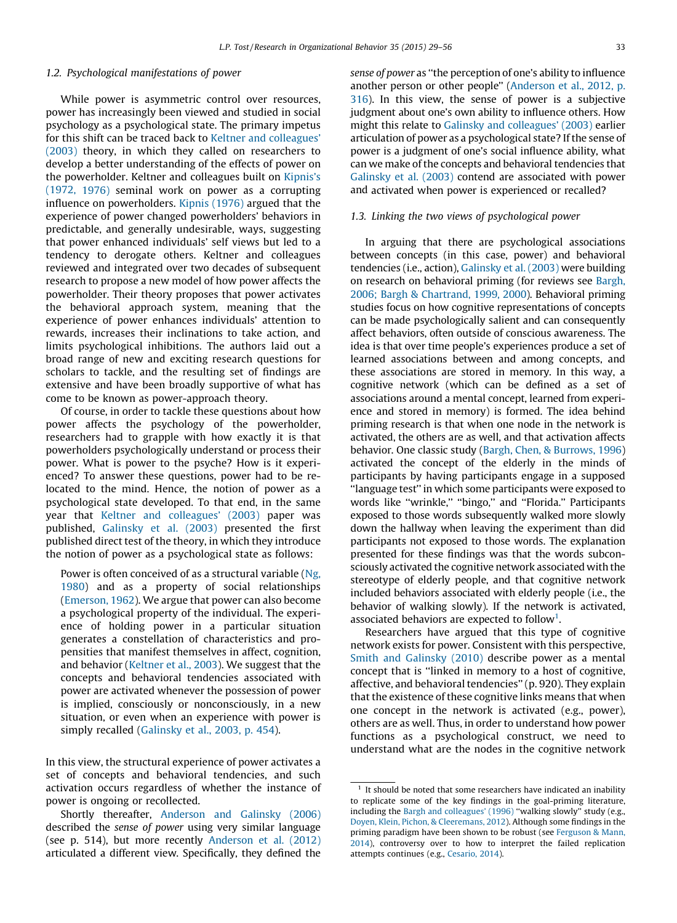#### 1.2. Psychological manifestations of power

While power is asymmetric control over resources, power has increasingly been viewed and studied in social psychology as a psychological state. The primary impetus for this shift can be traced back to Keltner and [colleagues'](#page-26-0) [\(2003\)](#page-26-0) theory, in which they called on researchers to develop a better understanding of the effects of power on the powerholder. Keltner and colleagues built on [Kipnis's](#page-26-0) [\(1972,](#page-26-0) 1976) seminal work on power as a corrupting influence on powerholders. Kipnis [\(1976\)](#page-26-0) argued that the experience of power changed powerholders' behaviors in predictable, and generally undesirable, ways, suggesting that power enhanced individuals' self views but led to a tendency to derogate others. Keltner and colleagues reviewed and integrated over two decades of subsequent research to propose a new model of how power affects the powerholder. Their theory proposes that power activates the behavioral approach system, meaning that the experience of power enhances individuals' attention to rewards, increases their inclinations to take action, and limits psychological inhibitions. The authors laid out a broad range of new and exciting research questions for scholars to tackle, and the resulting set of findings are extensive and have been broadly supportive of what has come to be known as power-approach theory.

Of course, in order to tackle these questions about how power affects the psychology of the powerholder, researchers had to grapple with how exactly it is that powerholders psychologically understand or process their power. What is power to the psyche? How is it experienced? To answer these questions, power had to be relocated to the mind. Hence, the notion of power as a psychological state developed. To that end, in the same year that Keltner and [colleagues'](#page-26-0) (2003) paper was published, [Galinsky](#page-25-0) et al. (2003) presented the first published direct test of the theory, in which they introduce the notion of power as a psychological state as follows:

Power is often conceived of as a structural variable ([Ng,](#page-26-0) [1980](#page-26-0)) and as a property of social relationships ([Emerson,](#page-25-0) 1962). We argue that power can also become a psychological property of the individual. The experience of holding power in a particular situation generates a constellation of characteristics and propensities that manifest themselves in affect, cognition, and behavior ([Keltner](#page-26-0) et al., 2003). We suggest that the concepts and behavioral tendencies associated with power are activated whenever the possession of power is implied, consciously or nonconsciously, in a new situation, or even when an experience with power is simply recalled [\(Galinsky](#page-25-0) et al., 2003, p. 454).

In this view, the structural experience of power activates a set of concepts and behavioral tendencies, and such activation occurs regardless of whether the instance of power is ongoing or recollected.

Shortly thereafter, [Anderson](#page-24-0) and Galinsky (2006) described the sense of power using very similar language (see p. 514), but more recently [Anderson](#page-24-0) et al. (2012) articulated a different view. Specifically, they defined the

sense of power as ''the perception of one's ability to influence another person or other people'' ([Anderson](#page-24-0) et al., 2012, p. [316](#page-24-0)). In this view, the sense of power is a subjective judgment about one's own ability to influence others. How might this relate to Galinsky and [colleagues'](#page-25-0) (2003) earlier articulation of power as a psychological state? If the sense of power is a judgment of one's social influence ability, what can we make of the concepts and behavioral tendencies that [Galinsky](#page-25-0) et al. (2003) contend are associated with power and activated when power is experienced or recalled?

#### 1.3. Linking the two views of psychological power

In arguing that there are psychological associations between concepts (in this case, power) and behavioral tendencies (i.e., action), [Galinsky](#page-25-0) et al. (2003) were building on research on behavioral priming (for reviews see [Bargh,](#page-24-0) 2006; Bargh & [Chartrand,](#page-24-0) 1999, 2000). Behavioral priming studies focus on how cognitive representations of concepts can be made psychologically salient and can consequently affect behaviors, often outside of conscious awareness. The idea is that over time people's experiences produce a set of learned associations between and among concepts, and these associations are stored in memory. In this way, a cognitive network (which can be defined as a set of associations around a mental concept, learned from experience and stored in memory) is formed. The idea behind priming research is that when one node in the network is activated, the others are as well, and that activation affects behavior. One classic study (Bargh, Chen, & [Burrows,](#page-24-0) 1996) activated the concept of the elderly in the minds of participants by having participants engage in a supposed ''language test'' in which some participants were exposed to words like ''wrinkle,'' ''bingo,'' and ''Florida.'' Participants exposed to those words subsequently walked more slowly down the hallway when leaving the experiment than did participants not exposed to those words. The explanation presented for these findings was that the words subconsciously activated the cognitive network associated with the stereotype of elderly people, and that cognitive network included behaviors associated with elderly people (i.e., the behavior of walking slowly). If the network is activated, associated behaviors are expected to follow<sup>1</sup>.

Researchers have argued that this type of cognitive network exists for power. Consistent with this perspective, Smith and [Galinsky](#page-27-0) (2010) describe power as a mental concept that is ''linked in memory to a host of cognitive, affective, and behavioral tendencies'' (p. 920). They explain that the existence of these cognitive links means that when one concept in the network is activated (e.g., power), others are as well. Thus, in order to understand how power functions as a psychological construct, we need to understand what are the nodes in the cognitive network

 $1$  It should be noted that some researchers have indicated an inability to replicate some of the key findings in the goal-priming literature, including the Bargh and [colleagues'](#page-24-0) (1996) "walking slowly" study (e.g., Doyen, Klein, Pichon, & [Cleeremans,](#page-25-0) 2012). Although some findings in the priming paradigm have been shown to be robust (see [Ferguson](#page-25-0) & Mann, [2014](#page-25-0)), controversy over to how to interpret the failed replication attempts continues (e.g., [Cesario,](#page-25-0) 2014).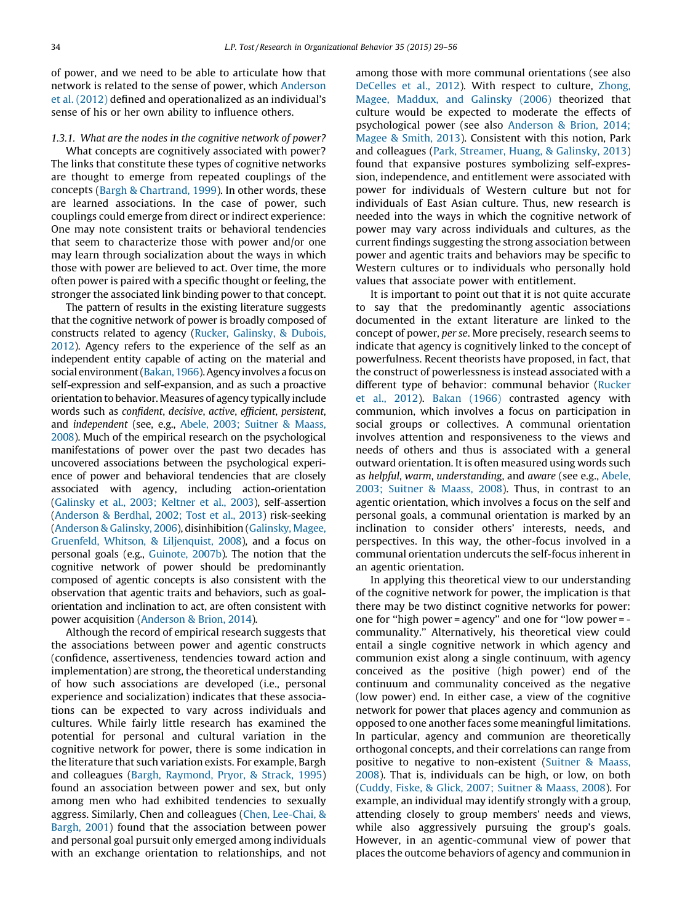of power, and we need to be able to articulate how that network is related to the sense of power, which [Anderson](#page-24-0) et al. [\(2012\)](#page-24-0) defined and operationalized as an individual's sense of his or her own ability to influence others.

### 1.3.1. What are the nodes in the cognitive network of power?

What concepts are cognitively associated with power? The links that constitute these types of cognitive networks are thought to emerge from repeated couplings of the concepts (Bargh & [Chartrand,](#page-24-0) 1999). In other words, these are learned associations. In the case of power, such couplings could emerge from direct or indirect experience: One may note consistent traits or behavioral tendencies that seem to characterize those with power and/or one may learn through socialization about the ways in which those with power are believed to act. Over time, the more often power is paired with a specific thought or feeling, the stronger the associated link binding power to that concept.

The pattern of results in the existing literature suggests that the cognitive network of power is broadly composed of constructs related to agency (Rucker, [Galinsky,](#page-26-0) & Dubois, [2012\)](#page-26-0). Agency refers to the experience of the self as an independent entity capable of acting on the material and social environment ([Bakan,](#page-24-0) 1966). Agency involves a focus on self-expression and self-expansion, and as such a proactive orientation to behavior.Measures of agency typically include words such as confident, decisive, active, efficient, persistent, and independent (see, e.g., Abele, 2003; [Suitner](#page-24-0) & Maass, [2008\)](#page-24-0). Much of the empirical research on the psychological manifestations of power over the past two decades has uncovered associations between the psychological experience of power and behavioral tendencies that are closely associated with agency, including action-orientation [\(Galinsky](#page-25-0) et al., 2003; Keltner et al., 2003), self-assertion [\(Anderson](#page-24-0) & Berdhal, 2002; Tost et al., 2013) risk-seeking [\(Anderson](#page-24-0) & Galinsky, 2006), disinhibition [\(Galinsky,](#page-25-0) Magee, Gruenfeld, Whitson, & [Liljenquist,](#page-25-0) 2008), and a focus on personal goals (e.g., [Guinote,](#page-25-0) 2007b). The notion that the cognitive network of power should be predominantly composed of agentic concepts is also consistent with the observation that agentic traits and behaviors, such as goalorientation and inclination to act, are often consistent with power acquisition [\(Anderson](#page-24-0) & Brion, 2014).

Although the record of empirical research suggests that the associations between power and agentic constructs (confidence, assertiveness, tendencies toward action and implementation) are strong, the theoretical understanding of how such associations are developed (i.e., personal experience and socialization) indicates that these associations can be expected to vary across individuals and cultures. While fairly little research has examined the potential for personal and cultural variation in the cognitive network for power, there is some indication in the literature that such variation exists. For example, Bargh and colleagues (Bargh, [Raymond,](#page-24-0) Pryor, & Strack, 1995) found an association between power and sex, but only among men who had exhibited tendencies to sexually aggress. Similarly, Chen and colleagues (Chen, [Lee-Chai,](#page-25-0) & [Bargh,](#page-25-0) 2001) found that the association between power and personal goal pursuit only emerged among individuals with an exchange orientation to relationships, and not

among those with more communal orientations (see also [DeCelles](#page-25-0) et al., 2012). With respect to culture, [Zhong,](#page-27-0) Magee, [Maddux,](#page-27-0) and Galinsky (2006) theorized that culture would be expected to moderate the effects of psychological power (see also [Anderson](#page-24-0) & Brion, 2014; [Magee](#page-24-0) & Smith, 2013). Consistent with this notion, Park and colleagues (Park, [Streamer,](#page-26-0) Huang, & Galinsky, 2013) found that expansive postures symbolizing self-expression, independence, and entitlement were associated with power for individuals of Western culture but not for individuals of East Asian culture. Thus, new research is needed into the ways in which the cognitive network of power may vary across individuals and cultures, as the current findings suggesting the strong association between power and agentic traits and behaviors may be specific to Western cultures or to individuals who personally hold values that associate power with entitlement.

It is important to point out that it is not quite accurate to say that the predominantly agentic associations documented in the extant literature are linked to the concept of power, per se. More precisely, research seems to indicate that agency is cognitively linked to the concept of powerfulness. Recent theorists have proposed, in fact, that the construct of powerlessness is instead associated with a different type of behavior: communal behavior [\(Rucker](#page-26-0) et al., [2012\)](#page-26-0). Bakan [\(1966\)](#page-24-0) contrasted agency with communion, which involves a focus on participation in social groups or collectives. A communal orientation involves attention and responsiveness to the views and needs of others and thus is associated with a general outward orientation. It is often measured using words such as helpful, warm, understanding, and aware (see e.g., [Abele,](#page-24-0) 2003; [Suitner](#page-24-0) & Maass, 2008). Thus, in contrast to an agentic orientation, which involves a focus on the self and personal goals, a communal orientation is marked by an inclination to consider others' interests, needs, and perspectives. In this way, the other-focus involved in a communal orientation undercuts the self-focus inherent in an agentic orientation.

In applying this theoretical view to our understanding of the cognitive network for power, the implication is that there may be two distinct cognitive networks for power: one for ''high power = agency'' and one for ''low power = communality.'' Alternatively, his theoretical view could entail a single cognitive network in which agency and communion exist along a single continuum, with agency conceived as the positive (high power) end of the continuum and communality conceived as the negative (low power) end. In either case, a view of the cognitive network for power that places agency and communion as opposed to one another faces some meaningful limitations. In particular, agency and communion are theoretically orthogonal concepts, and their correlations can range from positive to negative to non-existent [\(Suitner](#page-27-0) & Maass, [2008](#page-27-0)). That is, individuals can be high, or low, on both (Cuddy, Fiske, & Glick, 2007; [Suitner](#page-25-0) & Maass, 2008). For example, an individual may identify strongly with a group, attending closely to group members' needs and views, while also aggressively pursuing the group's goals. However, in an agentic-communal view of power that places the outcome behaviors of agency and communion in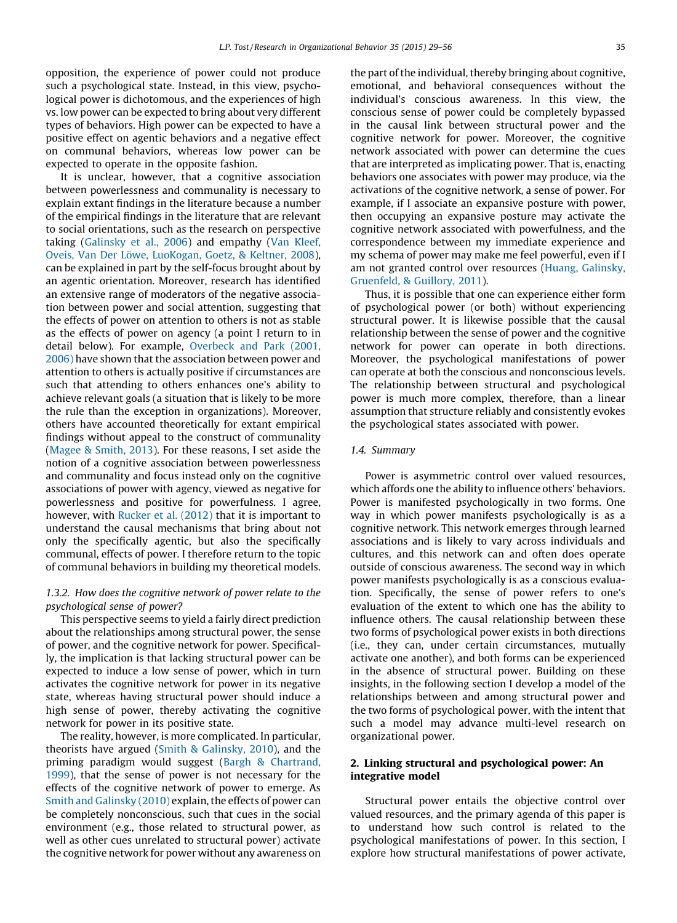opposition, the experience of power could not produce such a psychological state. Instead, in this view, psychological power is dichotomous, and the experiences of high vs. low power can be expected to bring about very different types of behaviors. High power can be expected to have a positive effect on agentic behaviors and a negative effect on communal behaviors, whereas low power can be expected to operate in the opposite fashion.

It is unclear, however, that a cognitive association between powerlessness and communality is necessary to explain extant findings in the literature because a number of the empirical findings in the literature that are relevant to social orientations, such as the research on perspective taking [\(Galinsky](#page-25-0) et al., 2006) and empathy (Van [Kleef,](#page-27-0) Oveis, Van Der Löwe, [LuoKogan,](#page-27-0) Goetz, & Keltner, 2008), can be explained in part by the self-focus brought about by an agentic orientation. Moreover, research has identified an extensive range of moderators of the negative association between power and social attention, suggesting that the effects of power on attention to others is not as stable as the effects of power on agency (a point I return to in detail below). For example, [Overbeck](#page-26-0) and Park (2001, [2006\)](#page-26-0) have shown that the association between power and attention to others is actually positive if circumstances are such that attending to others enhances one's ability to achieve relevant goals (a situation that is likely to be more the rule than the exception in organizations). Moreover, others have accounted theoretically for extant empirical findings without appeal to the construct of communality ([Magee](#page-26-0) & Smith, 2013). For these reasons, I set aside the notion of a cognitive association between powerlessness and communality and focus instead only on the cognitive associations of power with agency, viewed as negative for powerlessness and positive for powerfulness. I agree, however, with [Rucker](#page-26-0) et al. (2012) that it is important to understand the causal mechanisms that bring about not only the specifically agentic, but also the specifically communal, effects of power. I therefore return to the topic of communal behaviors in building my theoretical models.

# 1.3.2. How does the cognitive network of power relate to the psychological sense of power?

This perspective seems to yield a fairly direct prediction about the relationships among structural power, the sense of power, and the cognitive network for power. Specifically, the implication is that lacking structural power can be expected to induce a low sense of power, which in turn activates the cognitive network for power in its negative state, whereas having structural power should induce a high sense of power, thereby activating the cognitive network for power in its positive state.

The reality, however, is more complicated. In particular, theorists have argued (Smith & [Galinsky,](#page-27-0) 2010), and the priming paradigm would suggest (Bargh & [Chartrand,](#page-24-0) [1999](#page-24-0)), that the sense of power is not necessary for the effects of the cognitive network of power to emerge. As Smith and [Galinsky](#page-27-0) (2010) explain, the effects of power can be completely nonconscious, such that cues in the social environment (e.g., those related to structural power, as well as other cues unrelated to structural power) activate the cognitive network for power without any awareness on the part of the individual, thereby bringing about cognitive, emotional, and behavioral consequences without the individual's conscious awareness. In this view, the conscious sense of power could be completely bypassed in the causal link between structural power and the cognitive network for power. Moreover, the cognitive network associated with power can determine the cues that are interpreted as implicating power. That is, enacting behaviors one associates with power may produce, via the activations of the cognitive network, a sense of power. For example, if I associate an expansive posture with power, then occupying an expansive posture may activate the cognitive network associated with powerfulness, and the correspondence between my immediate experience and my schema of power may make me feel powerful, even if I am not granted control over resources (Huang, [Galinsky,](#page-26-0) [Gruenfeld,](#page-26-0) & Guillory, 2011).

Thus, it is possible that one can experience either form of psychological power (or both) without experiencing structural power. It is likewise possible that the causal relationship between the sense of power and the cognitive network for power can operate in both directions. Moreover, the psychological manifestations of power can operate at both the conscious and nonconscious levels. The relationship between structural and psychological power is much more complex, therefore, than a linear assumption that structure reliably and consistently evokes the psychological states associated with power.

# 1.4. Summary

Power is asymmetric control over valued resources, which affords one the ability to influence others' behaviors. Power is manifested psychologically in two forms. One way in which power manifests psychologically is as a cognitive network. This network emerges through learned associations and is likely to vary across individuals and cultures, and this network can and often does operate outside of conscious awareness. The second way in which power manifests psychologically is as a conscious evaluation. Specifically, the sense of power refers to one's evaluation of the extent to which one has the ability to influence others. The causal relationship between these two forms of psychological power exists in both directions (i.e., they can, under certain circumstances, mutually activate one another), and both forms can be experienced in the absence of structural power. Building on these insights, in the following section I develop a model of the relationships between and among structural power and the two forms of psychological power, with the intent that such a model may advance multi-level research on organizational power.

# 2. Linking structural and psychological power: An integrative model

Structural power entails the objective control over valued resources, and the primary agenda of this paper is to understand how such control is related to the psychological manifestations of power. In this section, I explore how structural manifestations of power activate,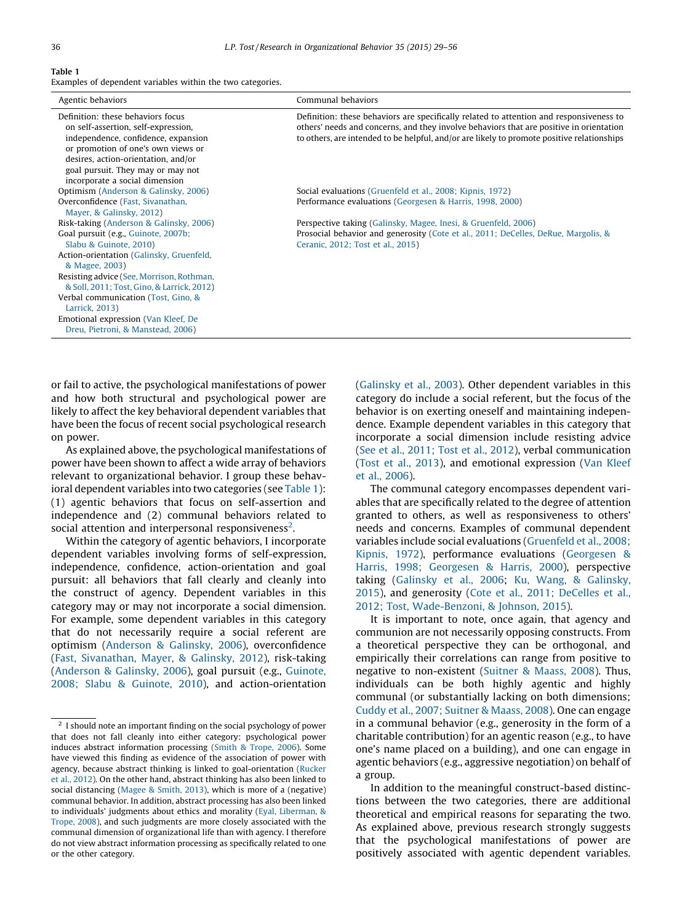#### Table 1

Examples of dependent variables within the two categories.

| Agentic behaviors                                                                                                                                                                                                                                                   | Communal behaviors                                                                                                                                                                                                                                                               |
|---------------------------------------------------------------------------------------------------------------------------------------------------------------------------------------------------------------------------------------------------------------------|----------------------------------------------------------------------------------------------------------------------------------------------------------------------------------------------------------------------------------------------------------------------------------|
| Definition: these behaviors focus<br>on self-assertion, self-expression,<br>independence, confidence, expansion<br>or promotion of one's own views or<br>desires, action-orientation, and/or<br>goal pursuit. They may or may not<br>incorporate a social dimension | Definition: these behaviors are specifically related to attention and responsiveness to<br>others' needs and concerns, and they involve behaviors that are positive in orientation<br>to others, are intended to be helpful, and/or are likely to promote positive relationships |
| Optimism (Anderson & Galinsky, 2006)                                                                                                                                                                                                                                | Social evaluations (Gruenfeld et al., 2008; Kipnis, 1972)                                                                                                                                                                                                                        |
| Overconfidence (Fast, Sivanathan,                                                                                                                                                                                                                                   | Performance evaluations (Georgesen & Harris, 1998, 2000)                                                                                                                                                                                                                         |
| Mayer, & Galinsky, 2012)                                                                                                                                                                                                                                            |                                                                                                                                                                                                                                                                                  |
| Risk-taking (Anderson & Galinsky, 2006)                                                                                                                                                                                                                             | Perspective taking (Galinsky, Magee, Inesi, & Gruenfeld, 2006)                                                                                                                                                                                                                   |
| Goal pursuit (e.g., Guinote, 2007b;<br>Slabu & Guinote, 2010)                                                                                                                                                                                                       | Prosocial behavior and generosity (Cote et al., 2011; DeCelles, DeRue, Margolis, &<br>Ceranic, 2012; Tost et al., 2015)                                                                                                                                                          |
| Action-orientation (Galinsky, Gruenfeld,<br>& Magee, 2003)                                                                                                                                                                                                          |                                                                                                                                                                                                                                                                                  |
| Resisting advice (See, Morrison, Rothman,<br>& Soll, 2011; Tost, Gino, & Larrick, 2012)                                                                                                                                                                             |                                                                                                                                                                                                                                                                                  |
| Verbal communication (Tost, Gino, &                                                                                                                                                                                                                                 |                                                                                                                                                                                                                                                                                  |
| Larrick, 2013)                                                                                                                                                                                                                                                      |                                                                                                                                                                                                                                                                                  |
| Emotional expression (Van Kleef, De                                                                                                                                                                                                                                 |                                                                                                                                                                                                                                                                                  |
| Dreu, Pietroni, & Manstead, 2006)                                                                                                                                                                                                                                   |                                                                                                                                                                                                                                                                                  |

or fail to active, the psychological manifestations of power and how both structural and psychological power are likely to affect the key behavioral dependent variables that have been the focus of recent social psychological research on power.

As explained above, the psychological manifestations of power have been shown to affect a wide array of behaviors relevant to organizational behavior. I group these behavioral dependent variables into two categories (see Table 1): (1) agentic behaviors that focus on self-assertion and independence and (2) communal behaviors related to social attention and interpersonal responsiveness<sup>2</sup>.

Within the category of agentic behaviors, I incorporate dependent variables involving forms of self-expression, independence, confidence, action-orientation and goal pursuit: all behaviors that fall clearly and cleanly into the construct of agency. Dependent variables in this category may or may not incorporate a social dimension. For example, some dependent variables in this category that do not necessarily require a social referent are optimism [\(Anderson](#page-24-0) & Galinsky, 2006), overconfidence (Fast, [Sivanathan,](#page-25-0) Mayer, & Galinsky, 2012), risk-taking [\(Anderson](#page-24-0) & Galinsky, 2006), goal pursuit (e.g., [Guinote,](#page-25-0) 2008; Slabu & [Guinote,](#page-25-0) 2010), and action-orientation [\(Galinsky](#page-25-0) et al., 2003). Other dependent variables in this category do include a social referent, but the focus of the behavior is on exerting oneself and maintaining independence. Example dependent variables in this category that incorporate a social dimension include resisting advice (See et al., [2011;](#page-27-0) Tost et al., 2012), verbal communication (Tost et al., [2013](#page-27-0)), and emotional expression (Van [Kleef](#page-27-0) et al., [2006\)](#page-27-0).

The communal category encompasses dependent variables that are specifically related to the degree of attention granted to others, as well as responsiveness to others' needs and concerns. Examples of communal dependent variables include social evaluations [\(Gruenfeld](#page-25-0) et al., 2008; [Kipnis,](#page-25-0) 1972), performance evaluations ([Georgesen](#page-25-0) & Harris, 1998; [Georgesen](#page-25-0) & Harris, 2000), perspective taking ([Galinsky](#page-25-0) et al., 2006; Ku, Wang, & [Galinsky,](#page-26-0) [2015](#page-26-0)), and generosity (Cote et al., 2011; [DeCelles](#page-25-0) et al., 2012; Tost, [Wade-Benzoni,](#page-25-0) & Johnson, 2015).

It is important to note, once again, that agency and communion are not necessarily opposing constructs. From a theoretical perspective they can be orthogonal, and empirically their correlations can range from positive to negative to non-existent [\(Suitner](#page-27-0) & Maass, 2008). Thus, individuals can be both highly agentic and highly communal (or substantially lacking on both dimensions; Cuddy et al., 2007; [Suitner](#page-25-0) & Maass, 2008). One can engage in a communal behavior (e.g., generosity in the form of a charitable contribution) for an agentic reason (e.g., to have one's name placed on a building), and one can engage in agentic behaviors (e.g., aggressive negotiation) on behalf of a group.

In addition to the meaningful construct-based distinctions between the two categories, there are additional theoretical and empirical reasons for separating the two. As explained above, previous research strongly suggests that the psychological manifestations of power are positively associated with agentic dependent variables.

 $^{\rm 2}$  I should note an important finding on the social psychology of power that does not fall cleanly into either category: psychological power induces abstract information processing (Smith & [Trope,](#page-27-0) 2006). Some have viewed this finding as evidence of the association of power with agency, because abstract thinking is linked to goal-orientation [\(Rucker](#page-26-0) et al., [2012](#page-26-0)). On the other hand, abstract thinking has also been linked to social distancing [\(Magee](#page-26-0) & Smith, 2013), which is more of a (negative) communal behavior. In addition, abstract processing has also been linked to individuals' judgments about ethics and morality (Eyal, [Liberman,](#page-25-0) & [Trope,](#page-25-0) 2008), and such judgments are more closely associated with the communal dimension of organizational life than with agency. I therefore do not view abstract information processing as specifically related to one or the other category.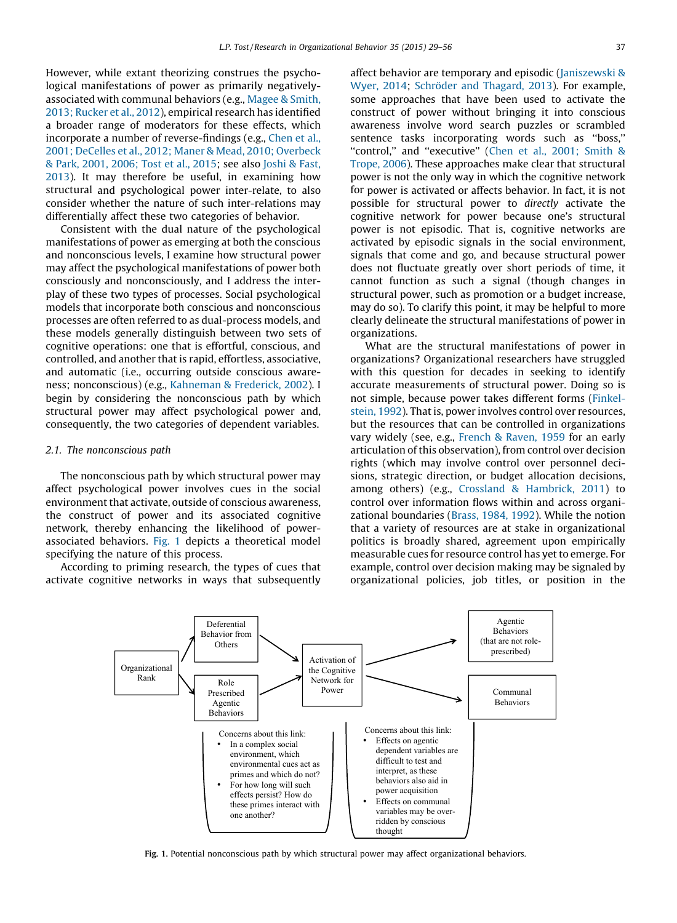However, while extant theorizing construes the psychological manifestations of power as primarily negativelyassociated with communal behaviors (e.g., [Magee](#page-26-0) & Smith, 2013; [Rucker](#page-26-0) et al., 2012), empirical research has identified a broader range of moderators for these effects, which incorporate a number of reverse-findings (e.g., [Chen](#page-25-0) et al., 2001; DeCelles et al., 2012; Maner & Mead, 2010; [Overbeck](#page-25-0) & Park, 2001, [2006;](#page-25-0) Tost et al., 2015; see also [Joshi](#page-26-0) & Fast, [2013](#page-26-0)). It may therefore be useful, in examining how structural and psychological power inter-relate, to also consider whether the nature of such inter-relations may differentially affect these two categories of behavior.

Consistent with the dual nature of the psychological manifestations of power as emerging at both the conscious and nonconscious levels, I examine how structural power may affect the psychological manifestations of power both consciously and nonconsciously, and I address the interplay of these two types of processes. Social psychological models that incorporate both conscious and nonconscious processes are often referred to as dual-process models, and these models generally distinguish between two sets of cognitive operations: one that is effortful, conscious, and controlled, and another that is rapid, effortless, associative, and automatic (i.e., occurring outside conscious awareness; nonconscious) (e.g., [Kahneman](#page-26-0) & Frederick, 2002). I begin by considering the nonconscious path by which structural power may affect psychological power and, consequently, the two categories of dependent variables.

#### 2.1. The nonconscious path

The nonconscious path by which structural power may affect psychological power involves cues in the social environment that activate, outside of conscious awareness, the construct of power and its associated cognitive network, thereby enhancing the likelihood of powerassociated behaviors. Fig. 1 depicts a theoretical model specifying the nature of this process.

According to priming research, the types of cues that activate cognitive networks in ways that subsequently

affect behavior are temporary and episodic ([Janiszewski](#page-26-0) & [Wyer,](#page-26-0) 2014; Schröder and Thagard, 2013). For example, some approaches that have been used to activate the construct of power without bringing it into conscious awareness involve word search puzzles or scrambled sentence tasks incorporating words such as ''boss,'' "control." and "executive" (Chen et al., 2001; [Smith](#page-25-0) & [Trope,](#page-25-0) 2006). These approaches make clear that structural power is not the only way in which the cognitive network for power is activated or affects behavior. In fact, it is not possible for structural power to directly activate the cognitive network for power because one's structural power is not episodic. That is, cognitive networks are activated by episodic signals in the social environment, signals that come and go, and because structural power does not fluctuate greatly over short periods of time, it cannot function as such a signal (though changes in structural power, such as promotion or a budget increase, may do so). To clarify this point, it may be helpful to more clearly delineate the structural manifestations of power in organizations.

What are the structural manifestations of power in organizations? Organizational researchers have struggled with this question for decades in seeking to identify accurate measurements of structural power. Doing so is not simple, because power takes different forms ([Finkel](#page-25-0)[stein,](#page-25-0) 1992). That is, power involves control over resources, but the resources that can be controlled in organizations vary widely (see, e.g., [French](#page-25-0) & Raven, 1959 for an early articulation of this observation), from control over decision rights (which may involve control over personnel decisions, strategic direction, or budget allocation decisions, among others) (e.g., Crossland & [Hambrick,](#page-25-0) 2011) to control over information flows within and across organizational boundaries [\(Brass,](#page-24-0) 1984, 1992). While the notion that a variety of resources are at stake in organizational politics is broadly shared, agreement upon empirically measurable cues for resource control has yet to emerge. For example, control over decision making may be signaled by organizational policies, job titles, or position in the



Fig. 1. Potential nonconscious path by which structural power may affect organizational behaviors.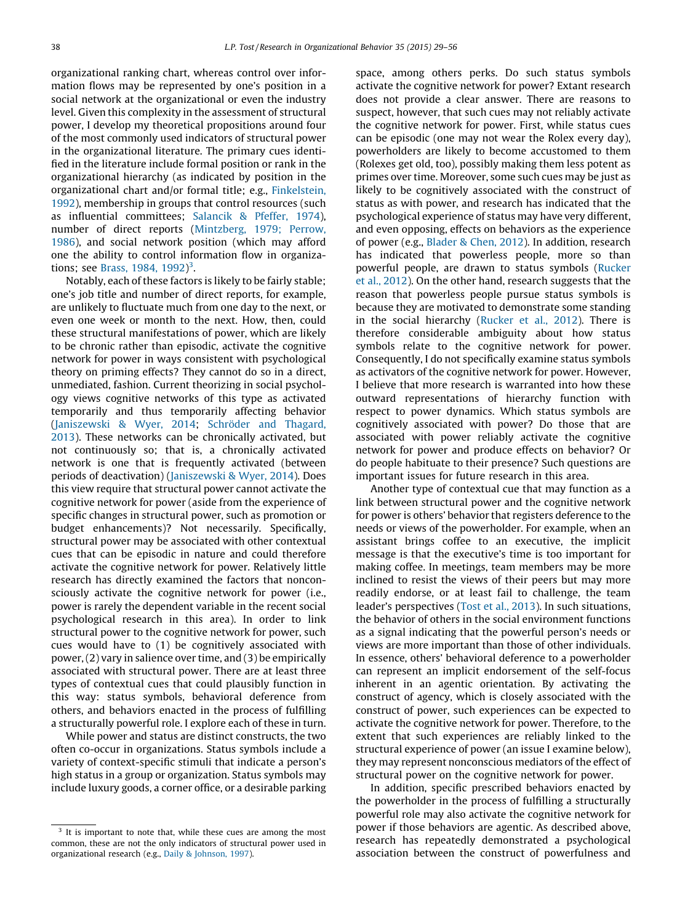organizational ranking chart, whereas control over information flows may be represented by one's position in a social network at the organizational or even the industry level. Given this complexity in the assessment of structural power, I develop my theoretical propositions around four of the most commonly used indicators of structural power in the organizational literature. The primary cues identified in the literature include formal position or rank in the organizational hierarchy (as indicated by position in the organizational chart and/or formal title; e.g., [Finkelstein,](#page-25-0) [1992](#page-25-0)), membership in groups that control resources (such as influential committees; [Salancik](#page-26-0) & Pfeffer, 1974), number of direct reports ([Mintzberg,](#page-26-0) 1979; Perrow, [1986](#page-26-0)), and social network position (which may afford one the ability to control information flow in organiza-tions; see [Brass,](#page-24-0) 1984, 1992)<sup>3</sup>.

Notably, each of these factors is likely to be fairly stable; one's job title and number of direct reports, for example, are unlikely to fluctuate much from one day to the next, or even one week or month to the next. How, then, could these structural manifestations of power, which are likely to be chronic rather than episodic, activate the cognitive network for power in ways consistent with psychological theory on priming effects? They cannot do so in a direct, unmediated, fashion. Current theorizing in social psychology views cognitive networks of this type as activated temporarily and thus temporarily affecting behavior [\(Janiszewski](#page-26-0) & Wyer, 2014; Schröder and Thagard, [2013](#page-26-0)). These networks can be chronically activated, but not continuously so; that is, a chronically activated network is one that is frequently activated (between periods of deactivation) [\(Janiszewski](#page-26-0) & Wyer, 2014). Does this view require that structural power cannot activate the cognitive network for power (aside from the experience of specific changes in structural power, such as promotion or budget enhancements)? Not necessarily. Specifically, structural power may be associated with other contextual cues that can be episodic in nature and could therefore activate the cognitive network for power. Relatively little research has directly examined the factors that nonconsciously activate the cognitive network for power (i.e., power is rarely the dependent variable in the recent social psychological research in this area). In order to link structural power to the cognitive network for power, such cues would have to (1) be cognitively associated with power,(2) vary in salience over time, and (3) be empirically associated with structural power. There are at least three types of contextual cues that could plausibly function in this way: status symbols, behavioral deference from others, and behaviors enacted in the process of fulfilling a structurally powerful role. I explore each of these in turn.

While power and status are distinct constructs, the two often co-occur in organizations. Status symbols include a variety of context-specific stimuli that indicate a person's high status in a group or organization. Status symbols may include luxury goods, a corner office, or a desirable parking

space, among others perks. Do such status symbols activate the cognitive network for power? Extant research does not provide a clear answer. There are reasons to suspect, however, that such cues may not reliably activate the cognitive network for power. First, while status cues can be episodic (one may not wear the Rolex every day), powerholders are likely to become accustomed to them (Rolexes get old, too), possibly making them less potent as primes over time. Moreover, some such cues may be just as likely to be cognitively associated with the construct of status as with power, and research has indicated that the psychological experience of status may have very different, and even opposing, effects on behaviors as the experience of power (e.g., [Blader](#page-24-0) & Chen, 2012). In addition, research has indicated that powerless people, more so than powerful people, are drawn to status symbols [\(Rucker](#page-26-0) et al., [2012\)](#page-26-0). On the other hand, research suggests that the reason that powerless people pursue status symbols is because they are motivated to demonstrate some standing in the social hierarchy ([Rucker](#page-26-0) et al., 2012). There is therefore considerable ambiguity about how status symbols relate to the cognitive network for power. Consequently, I do not specifically examine status symbols as activators of the cognitive network for power. However, I believe that more research is warranted into how these outward representations of hierarchy function with respect to power dynamics. Which status symbols are cognitively associated with power? Do those that are associated with power reliably activate the cognitive network for power and produce effects on behavior? Or do people habituate to their presence? Such questions are important issues for future research in this area.

Another type of contextual cue that may function as a link between structural power and the cognitive network for power is others' behavior that registers deference to the needs or views of the powerholder. For example, when an assistant brings coffee to an executive, the implicit message is that the executive's time is too important for making coffee. In meetings, team members may be more inclined to resist the views of their peers but may more readily endorse, or at least fail to challenge, the team leader's perspectives (Tost et al., [2013\)](#page-27-0). In such situations, the behavior of others in the social environment functions as a signal indicating that the powerful person's needs or views are more important than those of other individuals. In essence, others' behavioral deference to a powerholder can represent an implicit endorsement of the self-focus inherent in an agentic orientation. By activating the construct of agency, which is closely associated with the construct of power, such experiences can be expected to activate the cognitive network for power. Therefore, to the extent that such experiences are reliably linked to the structural experience of power (an issue I examine below), they may represent nonconscious mediators of the effect of structural power on the cognitive network for power.

In addition, specific prescribed behaviors enacted by the powerholder in the process of fulfilling a structurally powerful role may also activate the cognitive network for power if those behaviors are agentic. As described above, research has repeatedly demonstrated a psychological association between the construct of powerfulness and

<sup>&</sup>lt;sup>3</sup> It is important to note that, while these cues are among the most common, these are not the only indicators of structural power used in organizational research (e.g., Daily & [Johnson,](#page-25-0) 1997).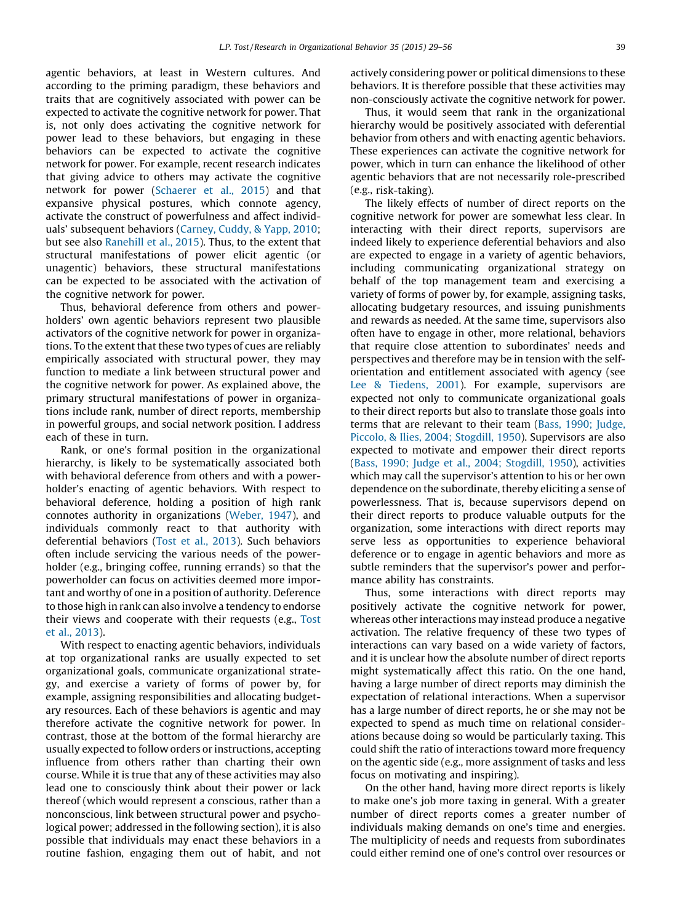agentic behaviors, at least in Western cultures. And according to the priming paradigm, these behaviors and traits that are cognitively associated with power can be expected to activate the cognitive network for power. That is, not only does activating the cognitive network for power lead to these behaviors, but engaging in these behaviors can be expected to activate the cognitive network for power. For example, recent research indicates that giving advice to others may activate the cognitive network for power [\(Schaerer](#page-26-0) et al., 2015) and that expansive physical postures, which connote agency, activate the construct of powerfulness and affect individuals' subsequent behaviors [\(Carney,](#page-24-0) Cuddy, & Yapp, 2010; but see also [Ranehill](#page-26-0) et al., 2015). Thus, to the extent that structural manifestations of power elicit agentic (or unagentic) behaviors, these structural manifestations can be expected to be associated with the activation of the cognitive network for power.

Thus, behavioral deference from others and powerholders' own agentic behaviors represent two plausible activators of the cognitive network for power in organizations. To the extent that these two types of cues are reliably empirically associated with structural power, they may function to mediate a link between structural power and the cognitive network for power. As explained above, the primary structural manifestations of power in organizations include rank, number of direct reports, membership in powerful groups, and social network position. I address each of these in turn.

Rank, or one's formal position in the organizational hierarchy, is likely to be systematically associated both with behavioral deference from others and with a powerholder's enacting of agentic behaviors. With respect to behavioral deference, holding a position of high rank connotes authority in organizations ([Weber,](#page-27-0) 1947), and individuals commonly react to that authority with deferential behaviors (Tost et al., [2013](#page-27-0)). Such behaviors often include servicing the various needs of the powerholder (e.g., bringing coffee, running errands) so that the powerholder can focus on activities deemed more important and worthy of one in a position of authority. Deference to those high in rank can also involve a tendency to endorse their views and cooperate with their requests (e.g., [Tost](#page-27-0) et al., [2013\)](#page-27-0).

With respect to enacting agentic behaviors, individuals at top organizational ranks are usually expected to set organizational goals, communicate organizational strategy, and exercise a variety of forms of power by, for example, assigning responsibilities and allocating budgetary resources. Each of these behaviors is agentic and may therefore activate the cognitive network for power. In contrast, those at the bottom of the formal hierarchy are usually expected to follow orders or instructions, accepting influence from others rather than charting their own course. While it is true that any of these activities may also lead one to consciously think about their power or lack thereof (which would represent a conscious, rather than a nonconscious, link between structural power and psychological power; addressed in the following section), it is also possible that individuals may enact these behaviors in a routine fashion, engaging them out of habit, and not actively considering power or political dimensions to these behaviors. It is therefore possible that these activities may non-consciously activate the cognitive network for power.

Thus, it would seem that rank in the organizational hierarchy would be positively associated with deferential behavior from others and with enacting agentic behaviors. These experiences can activate the cognitive network for power, which in turn can enhance the likelihood of other agentic behaviors that are not necessarily role-prescribed (e.g., risk-taking).

The likely effects of number of direct reports on the cognitive network for power are somewhat less clear. In interacting with their direct reports, supervisors are indeed likely to experience deferential behaviors and also are expected to engage in a variety of agentic behaviors, including communicating organizational strategy on behalf of the top management team and exercising a variety of forms of power by, for example, assigning tasks, allocating budgetary resources, and issuing punishments and rewards as needed. At the same time, supervisors also often have to engage in other, more relational, behaviors that require close attention to subordinates' needs and perspectives and therefore may be in tension with the selforientation and entitlement associated with agency (see Lee & [Tiedens,](#page-26-0) 2001). For example, supervisors are expected not only to communicate organizational goals to their direct reports but also to translate those goals into terms that are relevant to their team (Bass, 1990; [Judge,](#page-24-0) Piccolo, & Ilies, 2004; [Stogdill,](#page-24-0) 1950). Supervisors are also expected to motivate and empower their direct reports (Bass, 1990; Judge et al., 2004; [Stogdill,](#page-24-0) 1950), activities which may call the supervisor's attention to his or her own dependence on the subordinate, thereby eliciting a sense of powerlessness. That is, because supervisors depend on their direct reports to produce valuable outputs for the organization, some interactions with direct reports may serve less as opportunities to experience behavioral deference or to engage in agentic behaviors and more as subtle reminders that the supervisor's power and performance ability has constraints.

Thus, some interactions with direct reports may positively activate the cognitive network for power, whereas other interactions may instead produce a negative activation. The relative frequency of these two types of interactions can vary based on a wide variety of factors, and it is unclear how the absolute number of direct reports might systematically affect this ratio. On the one hand, having a large number of direct reports may diminish the expectation of relational interactions. When a supervisor has a large number of direct reports, he or she may not be expected to spend as much time on relational considerations because doing so would be particularly taxing. This could shift the ratio of interactions toward more frequency on the agentic side (e.g., more assignment of tasks and less focus on motivating and inspiring).

On the other hand, having more direct reports is likely to make one's job more taxing in general. With a greater number of direct reports comes a greater number of individuals making demands on one's time and energies. The multiplicity of needs and requests from subordinates could either remind one of one's control over resources or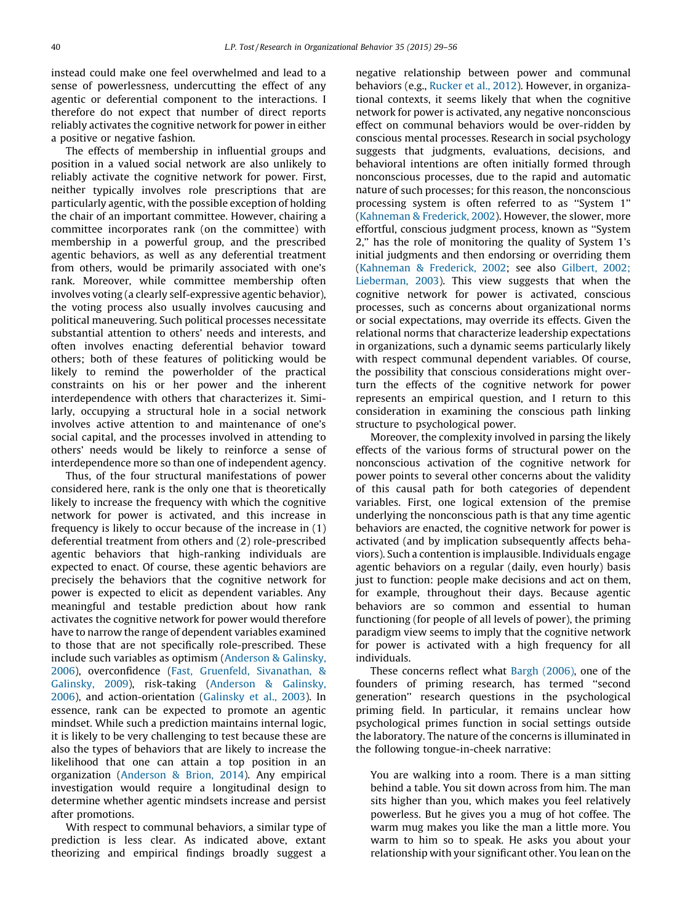instead could make one feel overwhelmed and lead to a sense of powerlessness, undercutting the effect of any agentic or deferential component to the interactions. I therefore do not expect that number of direct reports reliably activates the cognitive network for power in either a positive or negative fashion.

The effects of membership in influential groups and position in a valued social network are also unlikely to reliably activate the cognitive network for power. First, neither typically involves role prescriptions that are particularly agentic, with the possible exception of holding the chair of an important committee. However, chairing a committee incorporates rank (on the committee) with membership in a powerful group, and the prescribed agentic behaviors, as well as any deferential treatment from others, would be primarily associated with one's rank. Moreover, while committee membership often involves voting (a clearly self-expressive agentic behavior), the voting process also usually involves caucusing and political maneuvering. Such political processes necessitate substantial attention to others' needs and interests, and often involves enacting deferential behavior toward others; both of these features of politicking would be likely to remind the powerholder of the practical constraints on his or her power and the inherent interdependence with others that characterizes it. Similarly, occupying a structural hole in a social network involves active attention to and maintenance of one's social capital, and the processes involved in attending to others' needs would be likely to reinforce a sense of interdependence more so than one of independent agency.

Thus, of the four structural manifestations of power considered here, rank is the only one that is theoretically likely to increase the frequency with which the cognitive network for power is activated, and this increase in frequency is likely to occur because of the increase in (1) deferential treatment from others and (2) role-prescribed agentic behaviors that high-ranking individuals are expected to enact. Of course, these agentic behaviors are precisely the behaviors that the cognitive network for power is expected to elicit as dependent variables. Any meaningful and testable prediction about how rank activates the cognitive network for power would therefore have to narrow the range of dependent variables examined to those that are not specifically role-prescribed. These include such variables as optimism ([Anderson](#page-24-0) & Galinsky, [2006](#page-24-0)), overconfidence (Fast, Gruenfeld, [Sivanathan,](#page-25-0) & [Galinsky,](#page-25-0) 2009), risk-taking ([Anderson](#page-24-0) & Galinsky, [2006](#page-24-0)), and action-orientation ([Galinsky](#page-25-0) et al., 2003). In essence, rank can be expected to promote an agentic mindset. While such a prediction maintains internal logic, it is likely to be very challenging to test because these are also the types of behaviors that are likely to increase the likelihood that one can attain a top position in an organization [\(Anderson](#page-24-0) & Brion, 2014). Any empirical investigation would require a longitudinal design to determine whether agentic mindsets increase and persist after promotions.

With respect to communal behaviors, a similar type of prediction is less clear. As indicated above, extant theorizing and empirical findings broadly suggest a

negative relationship between power and communal behaviors (e.g., [Rucker](#page-26-0) et al., 2012). However, in organizational contexts, it seems likely that when the cognitive network for power is activated, any negative nonconscious effect on communal behaviors would be over-ridden by conscious mental processes. Research in social psychology suggests that judgments, evaluations, decisions, and behavioral intentions are often initially formed through nonconscious processes, due to the rapid and automatic nature of such processes; for this reason, the nonconscious processing system is often referred to as ''System 1'' [\(Kahneman](#page-26-0) & Frederick, 2002). However, the slower, more effortful, conscious judgment process, known as ''System 2,'' has the role of monitoring the quality of System 1's initial judgments and then endorsing or overriding them [\(Kahneman](#page-26-0) & Frederick, 2002; see also [Gilbert,](#page-25-0) 2002; [Lieberman,](#page-25-0) 2003). This view suggests that when the cognitive network for power is activated, conscious processes, such as concerns about organizational norms or social expectations, may override its effects. Given the relational norms that characterize leadership expectations in organizations, such a dynamic seems particularly likely with respect communal dependent variables. Of course, the possibility that conscious considerations might overturn the effects of the cognitive network for power represents an empirical question, and I return to this consideration in examining the conscious path linking structure to psychological power.

Moreover, the complexity involved in parsing the likely effects of the various forms of structural power on the nonconscious activation of the cognitive network for power points to several other concerns about the validity of this causal path for both categories of dependent variables. First, one logical extension of the premise underlying the nonconscious path is that any time agentic behaviors are enacted, the cognitive network for power is activated (and by implication subsequently affects behaviors). Such a contention is implausible. Individuals engage agentic behaviors on a regular (daily, even hourly) basis just to function: people make decisions and act on them, for example, throughout their days. Because agentic behaviors are so common and essential to human functioning (for people of all levels of power), the priming paradigm view seems to imply that the cognitive network for power is activated with a high frequency for all individuals.

These concerns reflect what Bargh [\(2006\),](#page-24-0) one of the founders of priming research, has termed ''second generation'' research questions in the psychological priming field. In particular, it remains unclear how psychological primes function in social settings outside the laboratory. The nature of the concerns is illuminated in the following tongue-in-cheek narrative:

You are walking into a room. There is a man sitting behind a table. You sit down across from him. The man sits higher than you, which makes you feel relatively powerless. But he gives you a mug of hot coffee. The warm mug makes you like the man a little more. You warm to him so to speak. He asks you about your relationship with your significant other. You lean on the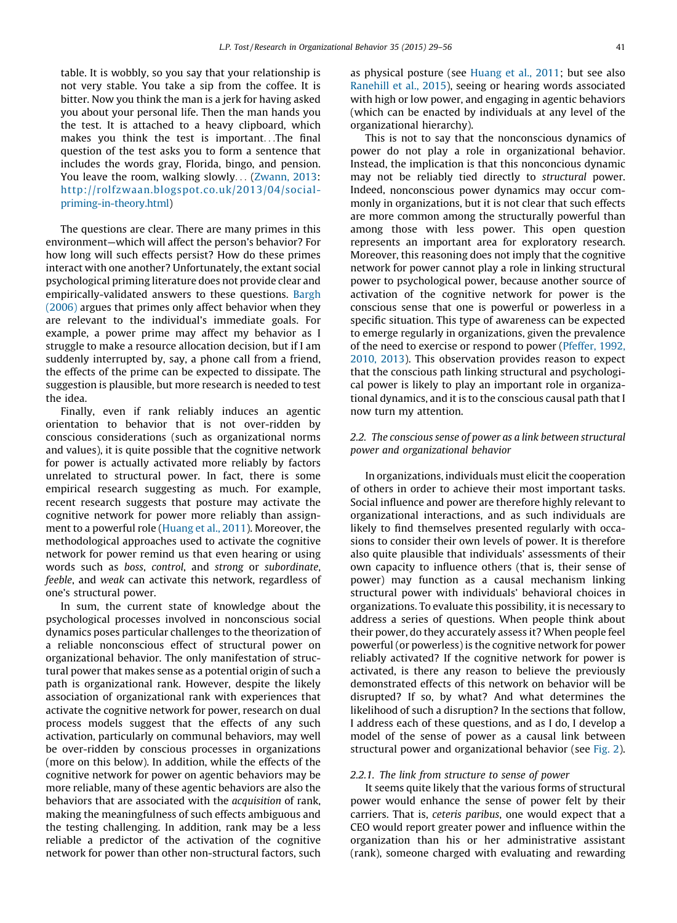table. It is wobbly, so you say that your relationship is not very stable. You take a sip from the coffee. It is bitter. Now you think the man is a jerk for having asked you about your personal life. Then the man hands you the test. It is attached to a heavy clipboard, which makes you think the test is important. . .The final question of the test asks you to form a sentence that includes the words gray, Florida, bingo, and pension. You leave the room, walking slowly... ([Zwann,](#page-27-0) 2013: [http://rolfzwaan.blogspot.co.uk/2013/04/social](http://rolfzwaan.blogspot.co.uk/2013/04/social-priming-in-theory.html)[priming-in-theory.html](http://rolfzwaan.blogspot.co.uk/2013/04/social-priming-in-theory.html))

The questions are clear. There are many primes in this environment—which will affect the person's behavior? For how long will such effects persist? How do these primes interact with one another? Unfortunately, the extant social psychological priming literature does not provide clear and empirically-validated answers to these questions. [Bargh](#page-24-0) [\(2006\)](#page-24-0) argues that primes only affect behavior when they are relevant to the individual's immediate goals. For example, a power prime may affect my behavior as I struggle to make a resource allocation decision, but if I am suddenly interrupted by, say, a phone call from a friend, the effects of the prime can be expected to dissipate. The suggestion is plausible, but more research is needed to test the idea.

Finally, even if rank reliably induces an agentic orientation to behavior that is not over-ridden by conscious considerations (such as organizational norms and values), it is quite possible that the cognitive network for power is actually activated more reliably by factors unrelated to structural power. In fact, there is some empirical research suggesting as much. For example, recent research suggests that posture may activate the cognitive network for power more reliably than assignment to a powerful role ([Huang](#page-26-0) et al., 2011). Moreover, the methodological approaches used to activate the cognitive network for power remind us that even hearing or using words such as boss, control, and strong or subordinate, feeble, and weak can activate this network, regardless of one's structural power.

In sum, the current state of knowledge about the psychological processes involved in nonconscious social dynamics poses particular challenges to the theorization of a reliable nonconscious effect of structural power on organizational behavior. The only manifestation of structural power that makes sense as a potential origin of such a path is organizational rank. However, despite the likely association of organizational rank with experiences that activate the cognitive network for power, research on dual process models suggest that the effects of any such activation, particularly on communal behaviors, may well be over-ridden by conscious processes in organizations (more on this below). In addition, while the effects of the cognitive network for power on agentic behaviors may be more reliable, many of these agentic behaviors are also the behaviors that are associated with the acquisition of rank, making the meaningfulness of such effects ambiguous and the testing challenging. In addition, rank may be a less reliable a predictor of the activation of the cognitive network for power than other non-structural factors, such

as physical posture (see [Huang](#page-26-0) et al., 2011; but see also [Ranehill](#page-26-0) et al., 2015), seeing or hearing words associated with high or low power, and engaging in agentic behaviors (which can be enacted by individuals at any level of the organizational hierarchy).

This is not to say that the nonconscious dynamics of power do not play a role in organizational behavior. Instead, the implication is that this nonconcious dynamic may not be reliably tied directly to structural power. Indeed, nonconscious power dynamics may occur commonly in organizations, but it is not clear that such effects are more common among the structurally powerful than among those with less power. This open question represents an important area for exploratory research. Moreover, this reasoning does not imply that the cognitive network for power cannot play a role in linking structural power to psychological power, because another source of activation of the cognitive network for power is the conscious sense that one is powerful or powerless in a specific situation. This type of awareness can be expected to emerge regularly in organizations, given the prevalence of the need to exercise or respond to power ([Pfeffer,](#page-26-0) 1992, [2010,](#page-26-0) 2013). This observation provides reason to expect that the conscious path linking structural and psychological power is likely to play an important role in organizational dynamics, and it is to the conscious causal path that I now turn my attention.

# 2.2. The conscious sense of power as a link between structural power and organizational behavior

In organizations, individuals must elicit the cooperation of others in order to achieve their most important tasks. Social influence and power are therefore highly relevant to organizational interactions, and as such individuals are likely to find themselves presented regularly with occasions to consider their own levels of power. It is therefore also quite plausible that individuals' assessments of their own capacity to influence others (that is, their sense of power) may function as a causal mechanism linking structural power with individuals' behavioral choices in organizations. To evaluate this possibility, it is necessary to address a series of questions. When people think about their power, do they accurately assess it? When people feel powerful (or powerless) is the cognitive network for power reliably activated? If the cognitive network for power is activated, is there any reason to believe the previously demonstrated effects of this network on behavior will be disrupted? If so, by what? And what determines the likelihood of such a disruption? In the sections that follow, I address each of these questions, and as I do, I develop a model of the sense of power as a causal link between structural power and organizational behavior (see [Fig.](#page-13-0) 2).

#### 2.2.1. The link from structure to sense of power

It seems quite likely that the various forms of structural power would enhance the sense of power felt by their carriers. That is, ceteris paribus, one would expect that a CEO would report greater power and influence within the organization than his or her administrative assistant (rank), someone charged with evaluating and rewarding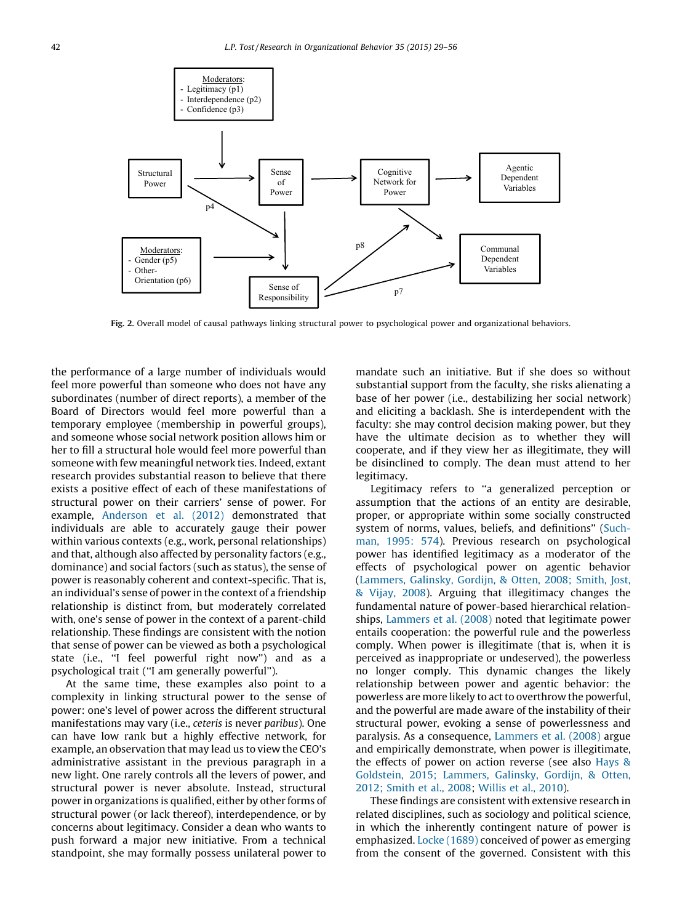<span id="page-13-0"></span>

Fig. 2. Overall model of causal pathways linking structural power to psychological power and organizational behaviors.

the performance of a large number of individuals would feel more powerful than someone who does not have any subordinates (number of direct reports), a member of the Board of Directors would feel more powerful than a temporary employee (membership in powerful groups), and someone whose social network position allows him or her to fill a structural hole would feel more powerful than someone with few meaningful network ties. Indeed, extant research provides substantial reason to believe that there exists a positive effect of each of these manifestations of structural power on their carriers' sense of power. For example, [Anderson](#page-24-0) et al. (2012) demonstrated that individuals are able to accurately gauge their power within various contexts (e.g., work, personal relationships) and that, although also affected by personality factors (e.g., dominance) and social factors (such as status), the sense of power is reasonably coherent and context-specific. That is, an individual's sense of power in the context of a friendship relationship is distinct from, but moderately correlated with, one's sense of power in the context of a parent-child relationship. These findings are consistent with the notion that sense of power can be viewed as both a psychological state (i.e., ''I feel powerful right now'') and as a psychological trait (''I am generally powerful'').

At the same time, these examples also point to a complexity in linking structural power to the sense of power: one's level of power across the different structural manifestations may vary (i.e., ceteris is never paribus). One can have low rank but a highly effective network, for example, an observation that may lead us to view the CEO's administrative assistant in the previous paragraph in a new light. One rarely controls all the levers of power, and structural power is never absolute. Instead, structural power in organizations is qualified, either by other forms of structural power (or lack thereof), interdependence, or by concerns about legitimacy. Consider a dean who wants to push forward a major new initiative. From a technical standpoint, she may formally possess unilateral power to

mandate such an initiative. But if she does so without substantial support from the faculty, she risks alienating a base of her power (i.e., destabilizing her social network) and eliciting a backlash. She is interdependent with the faculty: she may control decision making power, but they have the ultimate decision as to whether they will cooperate, and if they view her as illegitimate, they will be disinclined to comply. The dean must attend to her legitimacy.

Legitimacy refers to ''a generalized perception or assumption that the actions of an entity are desirable, proper, or appropriate within some socially constructed system of norms, values, beliefs, and definitions'' ([Such](#page-27-0)man, [1995:](#page-27-0) 574). Previous research on psychological power has identified legitimacy as a moderator of the effects of psychological power on agentic behavior [\(Lammers,](#page-26-0) Galinsky, Gordijn, & Otten, 2008; Smith, Jost, & [Vijay,](#page-26-0) 2008). Arguing that illegitimacy changes the fundamental nature of power-based hierarchical relationships, [Lammers](#page-26-0) et al. (2008) noted that legitimate power entails cooperation: the powerful rule and the powerless comply. When power is illegitimate (that is, when it is perceived as inappropriate or undeserved), the powerless no longer comply. This dynamic changes the likely relationship between power and agentic behavior: the powerless are more likely to act to overthrow the powerful, and the powerful are made aware of the instability of their structural power, evoking a sense of powerlessness and paralysis. As a consequence, [Lammers](#page-26-0) et al. (2008) argue and empirically demonstrate, when power is illegitimate, the effects of power on action reverse (see also [Hays](#page-25-0) & [Goldstein,](#page-25-0) 2015; Lammers, Galinsky, Gordijn, & Otten, 2012; [Smith](#page-25-0) et al., 2008; [Willis](#page-27-0) et al., 2010).

These findings are consistent with extensive research in related disciplines, such as sociology and political science, in which the inherently contingent nature of power is emphasized. Locke [\(1689\)](#page-26-0) conceived of power as emerging from the consent of the governed. Consistent with this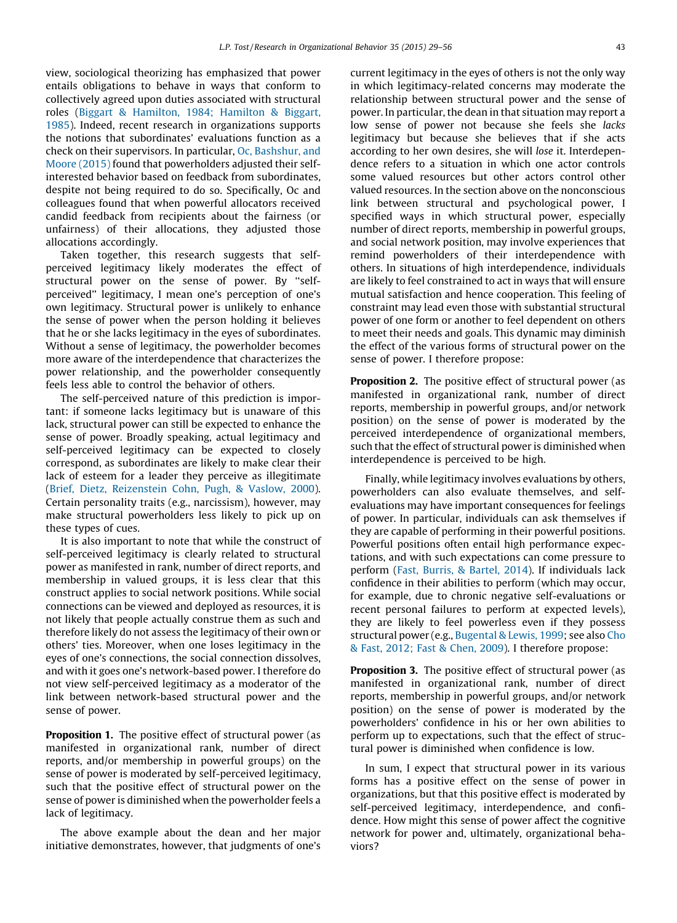<span id="page-14-0"></span>view, sociological theorizing has emphasized that power entails obligations to behave in ways that conform to collectively agreed upon duties associated with structural roles (Biggart & [Hamilton,](#page-24-0) 1984; Hamilton & Biggart, [1985](#page-24-0)). Indeed, recent research in organizations supports the notions that subordinates' evaluations function as a check on their supervisors. In particular, Oc, [Bashshur,](#page-26-0) and Moore [\(2015\)](#page-26-0) found that powerholders adjusted their selfinterested behavior based on feedback from subordinates, despite not being required to do so. Specifically, Oc and colleagues found that when powerful allocators received candid feedback from recipients about the fairness (or unfairness) of their allocations, they adjusted those allocations accordingly.

Taken together, this research suggests that selfperceived legitimacy likely moderates the effect of structural power on the sense of power. By ''selfperceived'' legitimacy, I mean one's perception of one's own legitimacy. Structural power is unlikely to enhance the sense of power when the person holding it believes that he or she lacks legitimacy in the eyes of subordinates. Without a sense of legitimacy, the powerholder becomes more aware of the interdependence that characterizes the power relationship, and the powerholder consequently feels less able to control the behavior of others.

The self-perceived nature of this prediction is important: if someone lacks legitimacy but is unaware of this lack, structural power can still be expected to enhance the sense of power. Broadly speaking, actual legitimacy and self-perceived legitimacy can be expected to closely correspond, as subordinates are likely to make clear their lack of esteem for a leader they perceive as illegitimate (Brief, Dietz, [Reizenstein](#page-24-0) Cohn, Pugh, & Vaslow, 2000). Certain personality traits (e.g., narcissism), however, may make structural powerholders less likely to pick up on these types of cues.

It is also important to note that while the construct of self-perceived legitimacy is clearly related to structural power as manifested in rank, number of direct reports, and membership in valued groups, it is less clear that this construct applies to social network positions. While social connections can be viewed and deployed as resources, it is not likely that people actually construe them as such and therefore likely do not assess the legitimacy of their own or others' ties. Moreover, when one loses legitimacy in the eyes of one's connections, the social connection dissolves, and with it goes one's network-based power. I therefore do not view self-perceived legitimacy as a moderator of the link between network-based structural power and the sense of power.

Proposition 1. The positive effect of structural power (as manifested in organizational rank, number of direct reports, and/or membership in powerful groups) on the sense of power is moderated by self-perceived legitimacy, such that the positive effect of structural power on the sense of power is diminished when the powerholder feels a lack of legitimacy.

The above example about the dean and her major initiative demonstrates, however, that judgments of one's current legitimacy in the eyes of others is not the only way in which legitimacy-related concerns may moderate the relationship between structural power and the sense of power. In particular, the dean in that situation may report a low sense of power not because she feels she lacks legitimacy but because she believes that if she acts according to her own desires, she will lose it. Interdependence refers to a situation in which one actor controls some valued resources but other actors control other valued resources. In the section above on the nonconscious link between structural and psychological power, I specified ways in which structural power, especially number of direct reports, membership in powerful groups, and social network position, may involve experiences that remind powerholders of their interdependence with others. In situations of high interdependence, individuals are likely to feel constrained to act in ways that will ensure mutual satisfaction and hence cooperation. This feeling of constraint may lead even those with substantial structural power of one form or another to feel dependent on others to meet their needs and goals. This dynamic may diminish the effect of the various forms of structural power on the sense of power. I therefore propose:

**Proposition 2.** The positive effect of structural power (as manifested in organizational rank, number of direct reports, membership in powerful groups, and/or network position) on the sense of power is moderated by the perceived interdependence of organizational members, such that the effect of structural power is diminished when interdependence is perceived to be high.

Finally, while legitimacy involves evaluations by others, powerholders can also evaluate themselves, and selfevaluations may have important consequences for feelings of power. In particular, individuals can ask themselves if they are capable of performing in their powerful positions. Powerful positions often entail high performance expectations, and with such expectations can come pressure to perform (Fast, [Burris,](#page-25-0) & Bartel, 2014). If individuals lack confidence in their abilities to perform (which may occur, for example, due to chronic negative self-evaluations or recent personal failures to perform at expected levels), they are likely to feel powerless even if they possess structural power (e.g., [Bugental](#page-24-0) & Lewis, 1999; see also [Cho](#page-25-0) & Fast, [2012;](#page-25-0) Fast & Chen, 2009). I therefore propose:

Proposition 3. The positive effect of structural power (as manifested in organizational rank, number of direct reports, membership in powerful groups, and/or network position) on the sense of power is moderated by the powerholders' confidence in his or her own abilities to perform up to expectations, such that the effect of structural power is diminished when confidence is low.

In sum, I expect that structural power in its various forms has a positive effect on the sense of power in organizations, but that this positive effect is moderated by self-perceived legitimacy, interdependence, and confidence. How might this sense of power affect the cognitive network for power and, ultimately, organizational behaviors?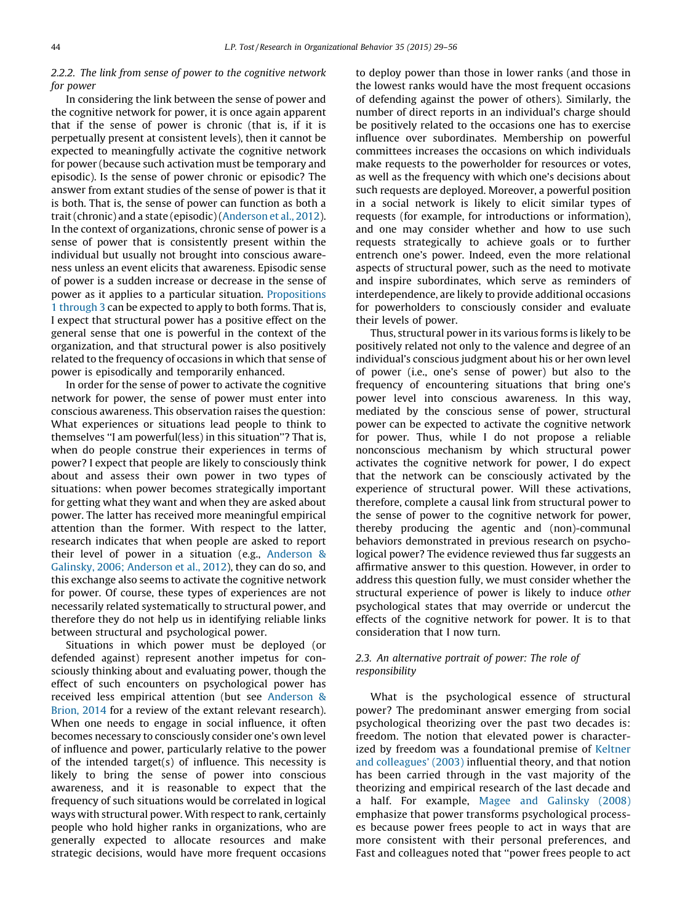# 2.2.2. The link from sense of power to the cognitive network for power

In considering the link between the sense of power and the cognitive network for power, it is once again apparent that if the sense of power is chronic (that is, if it is perpetually present at consistent levels), then it cannot be expected to meaningfully activate the cognitive network for power (because such activation must be temporary and episodic). Is the sense of power chronic or episodic? The answer from extant studies of the sense of power is that it is both. That is, the sense of power can function as both a trait(chronic) and a state (episodic)[\(Anderson](#page-24-0) et al., 2012). In the context of organizations, chronic sense of power is a sense of power that is consistently present within the individual but usually not brought into conscious awareness unless an event elicits that awareness. Episodic sense of power is a sudden increase or decrease in the sense of power as it applies to a particular situation. [Propositions](#page-14-0) 1 [through](#page-14-0) 3 can be expected to apply to both forms. That is, I expect that structural power has a positive effect on the general sense that one is powerful in the context of the organization, and that structural power is also positively related to the frequency of occasions in which that sense of power is episodically and temporarily enhanced.

In order for the sense of power to activate the cognitive network for power, the sense of power must enter into conscious awareness. This observation raises the question: What experiences or situations lead people to think to themselves ''I am powerful(less) in this situation''? That is, when do people construe their experiences in terms of power? I expect that people are likely to consciously think about and assess their own power in two types of situations: when power becomes strategically important for getting what they want and when they are asked about power. The latter has received more meaningful empirical attention than the former. With respect to the latter, research indicates that when people are asked to report their level of power in a situation (e.g., [Anderson](#page-24-0) & Galinsky, 2006; [Anderson](#page-24-0) et al., 2012), they can do so, and this exchange also seems to activate the cognitive network for power. Of course, these types of experiences are not necessarily related systematically to structural power, and therefore they do not help us in identifying reliable links between structural and psychological power.

Situations in which power must be deployed (or defended against) represent another impetus for consciously thinking about and evaluating power, though the effect of such encounters on psychological power has received less empirical attention (but see [Anderson](#page-24-0) & [Brion,](#page-24-0) 2014 for a review of the extant relevant research). When one needs to engage in social influence, it often becomes necessary to consciously consider one's own level of influence and power, particularly relative to the power of the intended target(s) of influence. This necessity is likely to bring the sense of power into conscious awareness, and it is reasonable to expect that the frequency of such situations would be correlated in logical ways with structural power. With respect to rank, certainly people who hold higher ranks in organizations, who are generally expected to allocate resources and make strategic decisions, would have more frequent occasions to deploy power than those in lower ranks (and those in the lowest ranks would have the most frequent occasions of defending against the power of others). Similarly, the number of direct reports in an individual's charge should be positively related to the occasions one has to exercise influence over subordinates. Membership on powerful committees increases the occasions on which individuals make requests to the powerholder for resources or votes, as well as the frequency with which one's decisions about such requests are deployed. Moreover, a powerful position in a social network is likely to elicit similar types of requests (for example, for introductions or information), and one may consider whether and how to use such requests strategically to achieve goals or to further entrench one's power. Indeed, even the more relational aspects of structural power, such as the need to motivate and inspire subordinates, which serve as reminders of interdependence, are likely to provide additional occasions for powerholders to consciously consider and evaluate their levels of power.

Thus, structural power in its various forms is likely to be positively related not only to the valence and degree of an individual's conscious judgment about his or her own level of power (i.e., one's sense of power) but also to the frequency of encountering situations that bring one's power level into conscious awareness. In this way, mediated by the conscious sense of power, structural power can be expected to activate the cognitive network for power. Thus, while I do not propose a reliable nonconscious mechanism by which structural power activates the cognitive network for power, I do expect that the network can be consciously activated by the experience of structural power. Will these activations, therefore, complete a causal link from structural power to the sense of power to the cognitive network for power, thereby producing the agentic and (non)-communal behaviors demonstrated in previous research on psychological power? The evidence reviewed thus far suggests an affirmative answer to this question. However, in order to address this question fully, we must consider whether the structural experience of power is likely to induce other psychological states that may override or undercut the effects of the cognitive network for power. It is to that consideration that I now turn.

# 2.3. An alternative portrait of power: The role of responsibility

What is the psychological essence of structural power? The predominant answer emerging from social psychological theorizing over the past two decades is: freedom. The notion that elevated power is character-ized by freedom was a foundational premise of [Keltner](#page-26-0) and [colleagues'](#page-26-0) (2003) influential theory, and that notion has been carried through in the vast majority of the theorizing and empirical research of the last decade and a half. For example, Magee and [Galinsky](#page-26-0) (2008) emphasize that power transforms psychological processes because power frees people to act in ways that are more consistent with their personal preferences, and Fast and colleagues noted that ''power frees people to act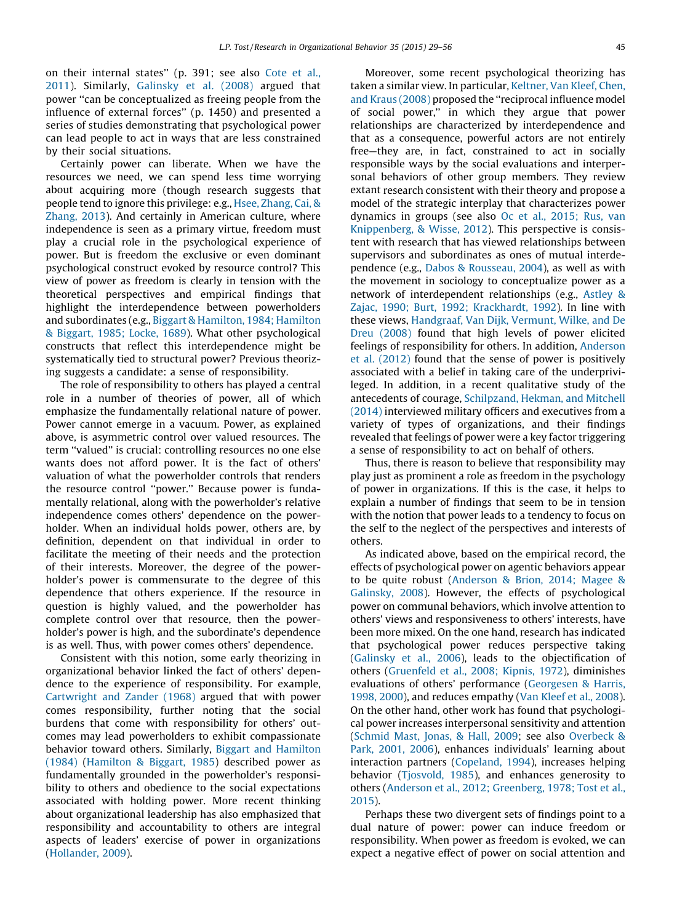on their internal states'' (p. 391; see also [Cote](#page-25-0) et al., [2011](#page-25-0)). Similarly, [Galinsky](#page-25-0) et al. (2008) argued that power ''can be conceptualized as freeing people from the influence of external forces'' (p. 1450) and presented a series of studies demonstrating that psychological power can lead people to act in ways that are less constrained by their social situations.

Certainly power can liberate. When we have the resources we need, we can spend less time worrying about acquiring more (though research suggests that people tend to ignore this privilege: e.g., Hsee, [Zhang,](#page-25-0) Cai, & [Zhang,](#page-25-0) 2013). And certainly in American culture, where independence is seen as a primary virtue, freedom must play a crucial role in the psychological experience of power. But is freedom the exclusive or even dominant psychological construct evoked by resource control? This view of power as freedom is clearly in tension with the theoretical perspectives and empirical findings that highlight the interdependence between powerholders and subordinates (e.g., Biggart & [Hamilton,](#page-24-0) 1984; Hamilton & [Biggart,](#page-24-0) 1985; Locke, 1689). What other psychological constructs that reflect this interdependence might be systematically tied to structural power? Previous theorizing suggests a candidate: a sense of responsibility.

The role of responsibility to others has played a central role in a number of theories of power, all of which emphasize the fundamentally relational nature of power. Power cannot emerge in a vacuum. Power, as explained above, is asymmetric control over valued resources. The term ''valued'' is crucial: controlling resources no one else wants does not afford power. It is the fact of others' valuation of what the powerholder controls that renders the resource control ''power.'' Because power is fundamentally relational, along with the powerholder's relative independence comes others' dependence on the powerholder. When an individual holds power, others are, by definition, dependent on that individual in order to facilitate the meeting of their needs and the protection of their interests. Moreover, the degree of the powerholder's power is commensurate to the degree of this dependence that others experience. If the resource in question is highly valued, and the powerholder has complete control over that resource, then the powerholder's power is high, and the subordinate's dependence is as well. Thus, with power comes others' dependence.

Consistent with this notion, some early theorizing in organizational behavior linked the fact of others' dependence to the experience of responsibility. For example, [Cartwright](#page-25-0) and Zander (1968) argued that with power comes responsibility, further noting that the social burdens that come with responsibility for others' outcomes may lead powerholders to exhibit compassionate behavior toward others. Similarly, Biggart and [Hamilton](#page-24-0) [\(1984\)](#page-24-0) ([Hamilton](#page-25-0) & Biggart, 1985) described power as fundamentally grounded in the powerholder's responsibility to others and obedience to the social expectations associated with holding power. More recent thinking about organizational leadership has also emphasized that responsibility and accountability to others are integral aspects of leaders' exercise of power in organizations ([Hollander,](#page-25-0) 2009).

Moreover, some recent psychological theorizing has taken a similar view. In particular, [Keltner,](#page-26-0) Van Kleef, Chen, and Kraus [\(2008\)](#page-26-0) proposed the ''reciprocal influence model of social power,'' in which they argue that power relationships are characterized by interdependence and that as a consequence, powerful actors are not entirely free—they are, in fact, constrained to act in socially responsible ways by the social evaluations and interpersonal behaviors of other group members. They review extant research consistent with their theory and propose a model of the strategic interplay that characterizes power dynamics in groups (see also Oc et al., [2015;](#page-26-0) Rus, van [Knippenberg,](#page-26-0) & Wisse, 2012). This perspective is consistent with research that has viewed relationships between supervisors and subordinates as ones of mutual interdependence (e.g., Dabos & [Rousseau,](#page-25-0) 2004), as well as with the movement in sociology to conceptualize power as a network of interdependent relationships (e.g., [Astley](#page-24-0) & Zajac, 1990; Burt, 1992; [Krackhardt,](#page-24-0) 1992). In line with these views, [Handgraaf,](#page-25-0) Van Dijk, Vermunt, Wilke, and De Dreu [\(2008\)](#page-25-0) found that high levels of power elicited feelings of responsibility for others. In addition, [Anderson](#page-24-0) et al. [\(2012\)](#page-24-0) found that the sense of power is positively associated with a belief in taking care of the underprivileged. In addition, in a recent qualitative study of the antecedents of courage, [Schilpzand,](#page-26-0) Hekman, and Mitchell [\(2014\)](#page-26-0) interviewed military officers and executives from a variety of types of organizations, and their findings revealed that feelings of power were a key factor triggering a sense of responsibility to act on behalf of others.

Thus, there is reason to believe that responsibility may play just as prominent a role as freedom in the psychology of power in organizations. If this is the case, it helps to explain a number of findings that seem to be in tension with the notion that power leads to a tendency to focus on the self to the neglect of the perspectives and interests of others.

As indicated above, based on the empirical record, the effects of psychological power on agentic behaviors appear to be quite robust ([Anderson](#page-24-0) & Brion, 2014; Magee & [Galinsky,](#page-24-0) 2008). However, the effects of psychological power on communal behaviors, which involve attention to others' views and responsiveness to others' interests, have been more mixed. On the one hand, research has indicated that psychological power reduces perspective taking [\(Galinsky](#page-25-0) et al., 2006), leads to the objectification of others ([Gruenfeld](#page-25-0) et al., 2008; Kipnis, 1972), diminishes evaluations of others' performance ([Georgesen](#page-25-0) & Harris, [1998,](#page-25-0) 2000), and reduces empathy (Van [Kleef](#page-27-0) et al., 2008). On the other hand, other work has found that psychological power increases interpersonal sensitivity and attention [\(Schmid](#page-26-0) Mast, Jonas, & Hall, 2009; see also [Overbeck](#page-26-0) & Park, [2001,](#page-26-0) 2006), enhances individuals' learning about interaction partners [\(Copeland,](#page-25-0) 1994), increases helping behavior [\(Tjosvold,](#page-27-0) 1985), and enhances generosity to others (Anderson et al., 2012; [Greenberg,](#page-24-0) 1978; Tost et al., [2015](#page-24-0)).

Perhaps these two divergent sets of findings point to a dual nature of power: power can induce freedom or responsibility. When power as freedom is evoked, we can expect a negative effect of power on social attention and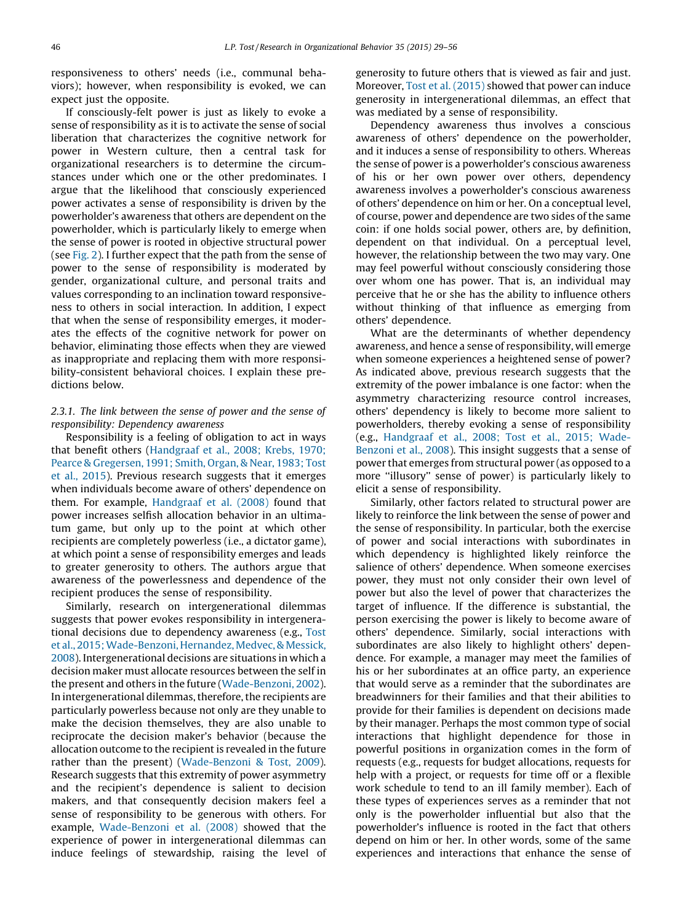responsiveness to others' needs (i.e., communal behaviors); however, when responsibility is evoked, we can expect just the opposite.

If consciously-felt power is just as likely to evoke a sense of responsibility as it is to activate the sense of social liberation that characterizes the cognitive network for power in Western culture, then a central task for organizational researchers is to determine the circumstances under which one or the other predominates. I argue that the likelihood that consciously experienced power activates a sense of responsibility is driven by the powerholder's awareness that others are dependent on the powerholder, which is particularly likely to emerge when the sense of power is rooted in objective structural power (see [Fig.](#page-13-0) 2). I further expect that the path from the sense of power to the sense of responsibility is moderated by gender, organizational culture, and personal traits and values corresponding to an inclination toward responsiveness to others in social interaction. In addition, I expect that when the sense of responsibility emerges, it moderates the effects of the cognitive network for power on behavior, eliminating those effects when they are viewed as inappropriate and replacing them with more responsibility-consistent behavioral choices. I explain these predictions below.

# 2.3.1. The link between the sense of power and the sense of responsibility: Dependency awareness

Responsibility is a feeling of obligation to act in ways that benefit others [\(Handgraaf](#page-25-0) et al., 2008; Krebs, 1970; Pearce & [Gregersen,](#page-25-0) 1991; Smith, Organ, & Near, 1983; Tost et al., [2015](#page-25-0)). Previous research suggests that it emerges when individuals become aware of others' dependence on them. For example, [Handgraaf](#page-25-0) et al. (2008) found that power increases selfish allocation behavior in an ultimatum game, but only up to the point at which other recipients are completely powerless (i.e., a dictator game), at which point a sense of responsibility emerges and leads to greater generosity to others. The authors argue that awareness of the powerlessness and dependence of the recipient produces the sense of responsibility.

Similarly, research on intergenerational dilemmas suggests that power evokes responsibility in intergenerational decisions due to dependency awareness (e.g., [Tost](#page-27-0) et al., [2015;Wade-Benzoni,](#page-27-0) Hernandez, Medvec,& Messick, [2008](#page-27-0)). Intergenerational decisions are situations in which a decision maker must allocate resources between the self in the present and others in the future ([Wade-Benzoni,](#page-27-0) 2002). In intergenerational dilemmas, therefore, the recipients are particularly powerless because not only are they unable to make the decision themselves, they are also unable to reciprocate the decision maker's behavior (because the allocation outcome to the recipient is revealed in the future rather than the present) ([Wade-Benzoni](#page-27-0) & Tost, 2009). Research suggests that this extremity of power asymmetry and the recipient's dependence is salient to decision makers, and that consequently decision makers feel a sense of responsibility to be generous with others. For example, [Wade-Benzoni](#page-27-0) et al. (2008) showed that the experience of power in intergenerational dilemmas can induce feelings of stewardship, raising the level of generosity to future others that is viewed as fair and just. Moreover, Tost et al. [\(2015\)](#page-27-0) showed that power can induce generosity in intergenerational dilemmas, an effect that was mediated by a sense of responsibility.

Dependency awareness thus involves a conscious awareness of others' dependence on the powerholder, and it induces a sense of responsibility to others. Whereas the sense of power is a powerholder's conscious awareness of his or her own power over others, dependency awareness involves a powerholder's conscious awareness of others' dependence on him or her. On a conceptual level, of course, power and dependence are two sides of the same coin: if one holds social power, others are, by definition, dependent on that individual. On a perceptual level, however, the relationship between the two may vary. One may feel powerful without consciously considering those over whom one has power. That is, an individual may perceive that he or she has the ability to influence others without thinking of that influence as emerging from others' dependence.

What are the determinants of whether dependency awareness, and hence a sense of responsibility, will emerge when someone experiences a heightened sense of power? As indicated above, previous research suggests that the extremity of the power imbalance is one factor: when the asymmetry characterizing resource control increases, others' dependency is likely to become more salient to powerholders, thereby evoking a sense of responsibility (e.g., [Handgraaf](#page-25-0) et al., 2008; Tost et al., 2015; Wade-[Benzoni](#page-25-0) et al., 2008). This insight suggests that a sense of power that emerges from structural power (as opposed to a more ''illusory'' sense of power) is particularly likely to elicit a sense of responsibility.

Similarly, other factors related to structural power are likely to reinforce the link between the sense of power and the sense of responsibility. In particular, both the exercise of power and social interactions with subordinates in which dependency is highlighted likely reinforce the salience of others' dependence. When someone exercises power, they must not only consider their own level of power but also the level of power that characterizes the target of influence. If the difference is substantial, the person exercising the power is likely to become aware of others' dependence. Similarly, social interactions with subordinates are also likely to highlight others' dependence. For example, a manager may meet the families of his or her subordinates at an office party, an experience that would serve as a reminder that the subordinates are breadwinners for their families and that their abilities to provide for their families is dependent on decisions made by their manager. Perhaps the most common type of social interactions that highlight dependence for those in powerful positions in organization comes in the form of requests (e.g., requests for budget allocations, requests for help with a project, or requests for time off or a flexible work schedule to tend to an ill family member). Each of these types of experiences serves as a reminder that not only is the powerholder influential but also that the powerholder's influence is rooted in the fact that others depend on him or her. In other words, some of the same experiences and interactions that enhance the sense of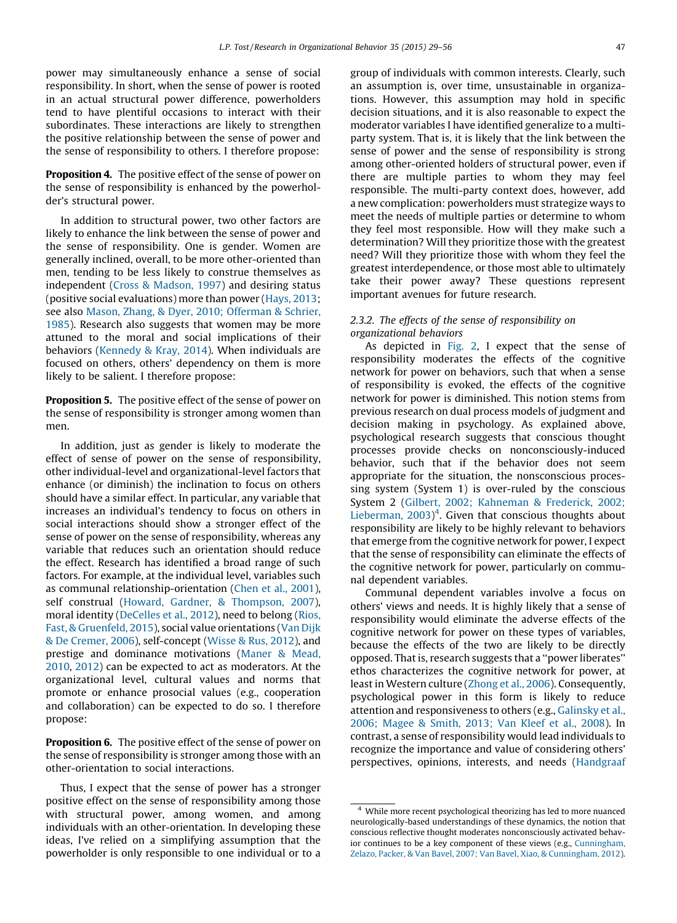<span id="page-18-0"></span>power may simultaneously enhance a sense of social responsibility. In short, when the sense of power is rooted in an actual structural power difference, powerholders tend to have plentiful occasions to interact with their subordinates. These interactions are likely to strengthen the positive relationship between the sense of power and the sense of responsibility to others. I therefore propose:

Proposition 4. The positive effect of the sense of power on the sense of responsibility is enhanced by the powerholder's structural power.

In addition to structural power, two other factors are likely to enhance the link between the sense of power and the sense of responsibility. One is gender. Women are generally inclined, overall, to be more other-oriented than men, tending to be less likely to construe themselves as independent (Cross & [Madson,](#page-25-0) 1997) and desiring status (positive social evaluations) more than power ([Hays,](#page-25-0) 2013; see also Mason, Zhang, & Dyer, 2010; [Offerman](#page-26-0) & Schrier, [1985](#page-26-0)). Research also suggests that women may be more attuned to the moral and social implications of their behaviors [\(Kennedy](#page-26-0) & Kray, 2014). When individuals are focused on others, others' dependency on them is more likely to be salient. I therefore propose:

Proposition 5. The positive effect of the sense of power on the sense of responsibility is stronger among women than men.

In addition, just as gender is likely to moderate the effect of sense of power on the sense of responsibility, other individual-level and organizational-level factors that enhance (or diminish) the inclination to focus on others should have a similar effect. In particular, any variable that increases an individual's tendency to focus on others in social interactions should show a stronger effect of the sense of power on the sense of responsibility, whereas any variable that reduces such an orientation should reduce the effect. Research has identified a broad range of such factors. For example, at the individual level, variables such as communal relationship-orientation (Chen et al., [2001](#page-25-0)), self construal (Howard, Gardner, & [Thompson,](#page-25-0) 2007), moral identity [\(DeCelles](#page-25-0) et al., 2012), need to belong [\(Rios,](#page-26-0) Fast, & [Gruenfeld,](#page-26-0) 2015), social value orientations (Van [Dijk](#page-27-0) & De [Cremer,](#page-27-0) 2006), self-concept [\(Wisse](#page-27-0) & Rus, 2012), and prestige and dominance motivations ([Maner](#page-26-0) & Mead, [2010](#page-26-0), [2012\)](#page-26-0) can be expected to act as moderators. At the organizational level, cultural values and norms that promote or enhance prosocial values (e.g., cooperation and collaboration) can be expected to do so. I therefore propose:

Proposition 6. The positive effect of the sense of power on the sense of responsibility is stronger among those with an other-orientation to social interactions.

Thus, I expect that the sense of power has a stronger positive effect on the sense of responsibility among those with structural power, among women, and among individuals with an other-orientation. In developing these ideas, I've relied on a simplifying assumption that the powerholder is only responsible to one individual or to a

group of individuals with common interests. Clearly, such an assumption is, over time, unsustainable in organizations. However, this assumption may hold in specific decision situations, and it is also reasonable to expect the moderator variables I have identified generalize to a multiparty system. That is, it is likely that the link between the sense of power and the sense of responsibility is strong among other-oriented holders of structural power, even if there are multiple parties to whom they may feel responsible. The multi-party context does, however, add a new complication: powerholders must strategize ways to meet the needs of multiple parties or determine to whom they feel most responsible. How will they make such a determination? Will they prioritize those with the greatest need? Will they prioritize those with whom they feel the greatest interdependence, or those most able to ultimately take their power away? These questions represent important avenues for future research.

# 2.3.2. The effects of the sense of responsibility on organizational behaviors

As depicted in [Fig.](#page-13-0) 2, I expect that the sense of responsibility moderates the effects of the cognitive network for power on behaviors, such that when a sense of responsibility is evoked, the effects of the cognitive network for power is diminished. This notion stems from previous research on dual process models of judgment and decision making in psychology. As explained above, psychological research suggests that conscious thought processes provide checks on nonconsciously-induced behavior, such that if the behavior does not seem appropriate for the situation, the nonsconscious processing system (System 1) is over-ruled by the conscious System 2 (Gilbert, 2002; [Kahneman](#page-25-0) & Frederick, 2002; [Lieberman,](#page-25-0)  $2003$ <sup>4</sup>. Given that conscious thoughts about responsibility are likely to be highly relevant to behaviors that emerge from the cognitive network for power, I expect that the sense of responsibility can eliminate the effects of the cognitive network for power, particularly on communal dependent variables.

Communal dependent variables involve a focus on others' views and needs. It is highly likely that a sense of responsibility would eliminate the adverse effects of the cognitive network for power on these types of variables, because the effects of the two are likely to be directly opposed. Thatis, research suggests that a ''power liberates'' ethos characterizes the cognitive network for power, at least in Western culture ([Zhong](#page-27-0) et al., 2006). Consequently, psychological power in this form is likely to reduce attention and responsiveness to others (e.g., [Galinsky](#page-25-0) et al., 2006; [Magee](#page-25-0) & Smith, 2013; Van Kleef et al., 2008). In contrast, a sense of responsibility would lead individuals to recognize the importance and value of considering others' perspectives, opinions, interests, and needs [\(Handgraaf](#page-25-0)

<sup>4</sup> While more recent psychological theorizing has led to more nuanced neurologically-based understandings of these dynamics, the notion that conscious reflective thought moderates nonconsciously activated behavior continues to be a key component of these views (e.g., [Cunningham,](#page-25-0) Zelazo, Packer, & Van Bavel, 2007; Van Bavel, Xiao, & [Cunningham,](#page-25-0) 2012).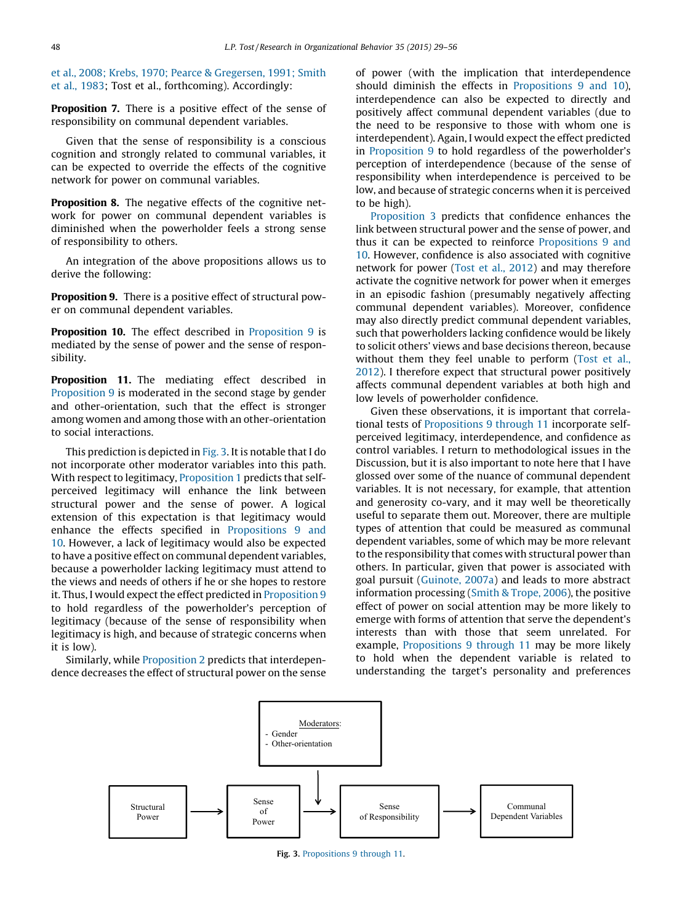<span id="page-19-0"></span>et al., 2008; Krebs, 1970; Pearce & [Gregersen,](#page-25-0) 1991; Smith et al., [1983](#page-25-0); Tost et al., forthcoming). Accordingly:

**Proposition 7.** There is a positive effect of the sense of responsibility on communal dependent variables.

Given that the sense of responsibility is a conscious cognition and strongly related to communal variables, it can be expected to override the effects of the cognitive network for power on communal variables.

**Proposition 8.** The negative effects of the cognitive network for power on communal dependent variables is diminished when the powerholder feels a strong sense of responsibility to others.

An integration of the above propositions allows us to derive the following:

Proposition 9. There is a positive effect of structural power on communal dependent variables.

Proposition 10. The effect described in Proposition 9 is mediated by the sense of power and the sense of responsibility.

Proposition 11. The mediating effect described in Proposition 9 is moderated in the second stage by gender and other-orientation, such that the effect is stronger among women and among those with an other-orientation to social interactions.

This prediction is depicted in Fig. 3. It is notable that I do not incorporate other moderator variables into this path. With respect to legitimacy, [Proposition](#page-14-0) 1 predicts that selfperceived legitimacy will enhance the link between structural power and the sense of power. A logical extension of this expectation is that legitimacy would enhance the effects specified in Propositions 9 and 10. However, a lack of legitimacy would also be expected to have a positive effect on communal dependent variables, because a powerholder lacking legitimacy must attend to the views and needs of others if he or she hopes to restore it. Thus, I would expect the effect predicted in Proposition 9 to hold regardless of the powerholder's perception of legitimacy (because of the sense of responsibility when legitimacy is high, and because of strategic concerns when it is low).

Similarly, while [Proposition](#page-14-0) 2 predicts that interdependence decreases the effect of structural power on the sense of power (with the implication that interdependence should diminish the effects in Propositions 9 and 10), interdependence can also be expected to directly and positively affect communal dependent variables (due to the need to be responsive to those with whom one is interdependent). Again, I would expect the effect predicted in Proposition 9 to hold regardless of the powerholder's perception of interdependence (because of the sense of responsibility when interdependence is perceived to be low, and because of strategic concerns when it is perceived to be high).

[Proposition](#page-14-0) 3 predicts that confidence enhances the link between structural power and the sense of power, and thus it can be expected to reinforce Propositions 9 and 10. However, confidence is also associated with cognitive network for power (Tost et al., [2012\)](#page-27-0) and may therefore activate the cognitive network for power when it emerges in an episodic fashion (presumably negatively affecting communal dependent variables). Moreover, confidence may also directly predict communal dependent variables, such that powerholders lacking confidence would be likely to solicit others' views and base decisions thereon, because without them they feel unable to perform ([Tost](#page-27-0) et al., [2012](#page-27-0)). I therefore expect that structural power positively affects communal dependent variables at both high and low levels of powerholder confidence.

Given these observations, it is important that correlational tests of Propositions 9 through 11 incorporate selfperceived legitimacy, interdependence, and confidence as control variables. I return to methodological issues in the Discussion, but it is also important to note here that I have glossed over some of the nuance of communal dependent variables. It is not necessary, for example, that attention and generosity co-vary, and it may well be theoretically useful to separate them out. Moreover, there are multiple types of attention that could be measured as communal dependent variables, some of which may be more relevant to the responsibility that comes with structural power than others. In particular, given that power is associated with goal pursuit ([Guinote,](#page-25-0) 2007a) and leads to more abstract information processing (Smith & [Trope,](#page-27-0) 2006), the positive effect of power on social attention may be more likely to emerge with forms of attention that serve the dependent's interests than with those that seem unrelated. For example, Propositions 9 through 11 may be more likely to hold when the dependent variable is related to understanding the target's personality and preferences



Fig. 3. Propositions 9 through 11.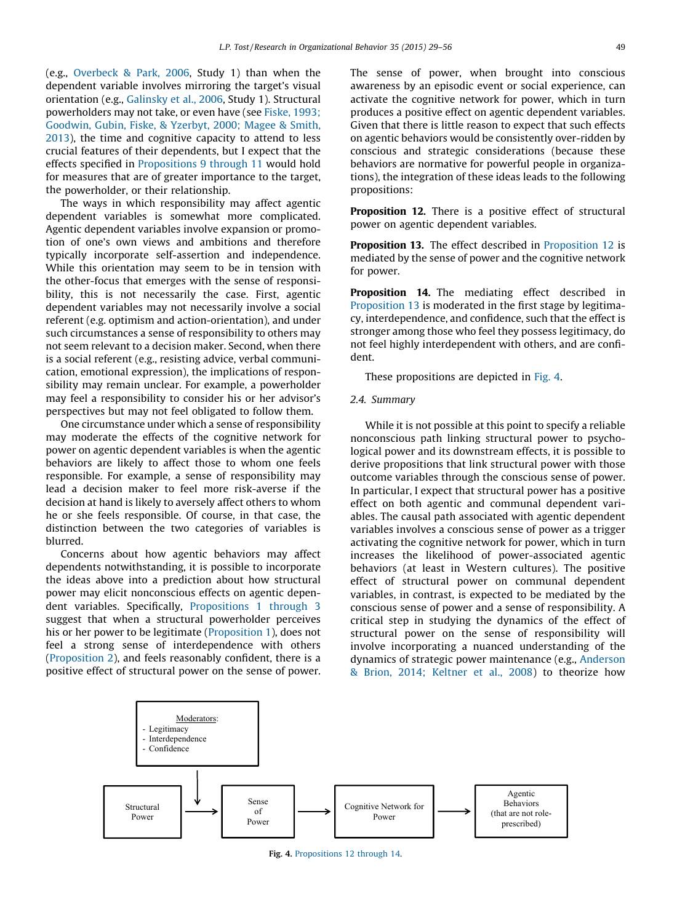<span id="page-20-0"></span>(e.g., [Overbeck](#page-26-0) & Park, 2006, Study 1) than when the dependent variable involves mirroring the target's visual orientation (e.g., [Galinsky](#page-25-0) et al., 2006, Study 1). Structural powerholders may not take, or even have (see Fiske, [1993;](#page-25-0) [Goodwin,](#page-25-0) Gubin, Fiske, & Yzerbyt, 2000; Magee & Smith, [2013](#page-25-0)), the time and cognitive capacity to attend to less crucial features of their dependents, but I expect that the effects specified in [Propositions](#page-19-0) 9 through 11 would hold for measures that are of greater importance to the target, the powerholder, or their relationship.

The ways in which responsibility may affect agentic dependent variables is somewhat more complicated. Agentic dependent variables involve expansion or promotion of one's own views and ambitions and therefore typically incorporate self-assertion and independence. While this orientation may seem to be in tension with the other-focus that emerges with the sense of responsibility, this is not necessarily the case. First, agentic dependent variables may not necessarily involve a social referent (e.g. optimism and action-orientation), and under such circumstances a sense of responsibility to others may not seem relevant to a decision maker. Second, when there is a social referent (e.g., resisting advice, verbal communication, emotional expression), the implications of responsibility may remain unclear. For example, a powerholder may feel a responsibility to consider his or her advisor's perspectives but may not feel obligated to follow them.

One circumstance under which a sense of responsibility may moderate the effects of the cognitive network for power on agentic dependent variables is when the agentic behaviors are likely to affect those to whom one feels responsible. For example, a sense of responsibility may lead a decision maker to feel more risk-averse if the decision at hand is likely to aversely affect others to whom he or she feels responsible. Of course, in that case, the distinction between the two categories of variables is blurred.

Concerns about how agentic behaviors may affect dependents notwithstanding, it is possible to incorporate the ideas above into a prediction about how structural power may elicit nonconscious effects on agentic dependent variables. Specifically, [Propositions](#page-14-0) 1 through 3 suggest that when a structural powerholder perceives his or her power to be legitimate ([Proposition](#page-14-0) 1), does not feel a strong sense of interdependence with others ([Proposition](#page-14-0) 2), and feels reasonably confident, there is a positive effect of structural power on the sense of power.

The sense of power, when brought into conscious awareness by an episodic event or social experience, can activate the cognitive network for power, which in turn produces a positive effect on agentic dependent variables. Given that there is little reason to expect that such effects on agentic behaviors would be consistently over-ridden by conscious and strategic considerations (because these behaviors are normative for powerful people in organizations), the integration of these ideas leads to the following propositions:

Proposition 12. There is a positive effect of structural power on agentic dependent variables.

Proposition 13. The effect described in Proposition 12 is mediated by the sense of power and the cognitive network for power.

Proposition 14. The mediating effect described in Proposition 13 is moderated in the first stage by legitimacy, interdependence, and confidence, such that the effect is stronger among those who feel they possess legitimacy, do not feel highly interdependent with others, and are confident.

These propositions are depicted in Fig. 4.

#### 2.4. Summary

While it is not possible at this point to specify a reliable nonconscious path linking structural power to psychological power and its downstream effects, it is possible to derive propositions that link structural power with those outcome variables through the conscious sense of power. In particular, I expect that structural power has a positive effect on both agentic and communal dependent variables. The causal path associated with agentic dependent variables involves a conscious sense of power as a trigger activating the cognitive network for power, which in turn increases the likelihood of power-associated agentic behaviors (at least in Western cultures). The positive effect of structural power on communal dependent variables, in contrast, is expected to be mediated by the conscious sense of power and a sense of responsibility. A critical step in studying the dynamics of the effect of structural power on the sense of responsibility will involve incorporating a nuanced understanding of the dynamics of strategic power maintenance (e.g., [Anderson](#page-24-0) & Brion, 2014; [Keltner](#page-24-0) et al., 2008) to theorize how



Fig. 4. Propositions 12 through 14.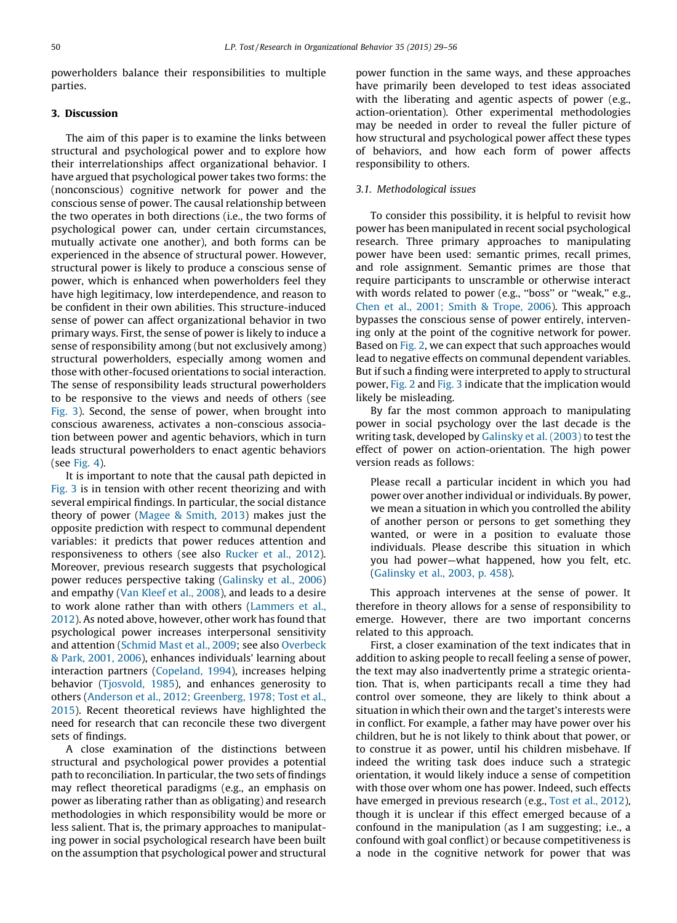powerholders balance their responsibilities to multiple parties.

# 3. Discussion

The aim of this paper is to examine the links between structural and psychological power and to explore how their interrelationships affect organizational behavior. I have argued that psychological power takes two forms: the (nonconscious) cognitive network for power and the conscious sense of power. The causal relationship between the two operates in both directions (i.e., the two forms of psychological power can, under certain circumstances, mutually activate one another), and both forms can be experienced in the absence of structural power. However, structural power is likely to produce a conscious sense of power, which is enhanced when powerholders feel they have high legitimacy, low interdependence, and reason to be confident in their own abilities. This structure-induced sense of power can affect organizational behavior in two primary ways. First, the sense of power is likely to induce a sense of responsibility among (but not exclusively among) structural powerholders, especially among women and those with other-focused orientations to social interaction. The sense of responsibility leads structural powerholders to be responsive to the views and needs of others (see [Fig.](#page-19-0) 3). Second, the sense of power, when brought into conscious awareness, activates a non-conscious association between power and agentic behaviors, which in turn leads structural powerholders to enact agentic behaviors (see [Fig.](#page-20-0) 4).

It is important to note that the causal path depicted in [Fig.](#page-19-0) 3 is in tension with other recent theorizing and with several empirical findings. In particular, the social distance theory of power ([Magee](#page-26-0) & Smith, 2013) makes just the opposite prediction with respect to communal dependent variables: it predicts that power reduces attention and responsiveness to others (see also [Rucker](#page-26-0) et al., 2012). Moreover, previous research suggests that psychological power reduces perspective taking [\(Galinsky](#page-25-0) et al., 2006) and empathy (Van [Kleef](#page-27-0) et al., 2008), and leads to a desire to work alone rather than with others [\(Lammers](#page-26-0) et al., [2012](#page-26-0)). As noted above, however, other work has found that psychological power increases interpersonal sensitivity and attention ([Schmid](#page-26-0) Mast et al., 2009; see also [Overbeck](#page-26-0) & Park, [2001,](#page-26-0) 2006), enhances individuals' learning about interaction partners ([Copeland,](#page-25-0) 1994), increases helping behavior [\(Tjosvold,](#page-27-0) 1985), and enhances generosity to others (Anderson et al., 2012; [Greenberg,](#page-24-0) 1978; Tost et al., [2015](#page-24-0)). Recent theoretical reviews have highlighted the need for research that can reconcile these two divergent sets of findings.

A close examination of the distinctions between structural and psychological power provides a potential path to reconciliation. In particular, the two sets of findings may reflect theoretical paradigms (e.g., an emphasis on power as liberating rather than as obligating) and research methodologies in which responsibility would be more or less salient. That is, the primary approaches to manipulating power in social psychological research have been built on the assumption that psychological power and structural

power function in the same ways, and these approaches have primarily been developed to test ideas associated with the liberating and agentic aspects of power (e.g., action-orientation). Other experimental methodologies may be needed in order to reveal the fuller picture of how structural and psychological power affect these types of behaviors, and how each form of power affects responsibility to others.

#### 3.1. Methodological issues

To consider this possibility, it is helpful to revisit how power has been manipulated in recent social psychological research. Three primary approaches to manipulating power have been used: semantic primes, recall primes, and role assignment. Semantic primes are those that require participants to unscramble or otherwise interact with words related to power (e.g., ''boss'' or ''weak,'' e.g., Chen et al., 2001; Smith & [Trope,](#page-25-0) 2006). This approach bypasses the conscious sense of power entirely, intervening only at the point of the cognitive network for power. Based on [Fig.](#page-13-0) 2, we can expect that such approaches would lead to negative effects on communal dependent variables. But if such a finding were interpreted to apply to structural power, [Fig.](#page-13-0) 2 and [Fig.](#page-19-0) 3 indicate that the implication would likely be misleading.

By far the most common approach to manipulating power in social psychology over the last decade is the writing task, developed by [Galinsky](#page-25-0) et al. (2003) to test the effect of power on action-orientation. The high power version reads as follows:

Please recall a particular incident in which you had power over another individual or individuals. By power, we mean a situation in which you controlled the ability of another person or persons to get something they wanted, or were in a position to evaluate those individuals. Please describe this situation in which you had power—what happened, how you felt, etc. [\(Galinsky](#page-25-0) et al., 2003, p. 458).

This approach intervenes at the sense of power. It therefore in theory allows for a sense of responsibility to emerge. However, there are two important concerns related to this approach.

First, a closer examination of the text indicates that in addition to asking people to recall feeling a sense of power, the text may also inadvertently prime a strategic orientation. That is, when participants recall a time they had control over someone, they are likely to think about a situation in which their own and the target's interests were in conflict. For example, a father may have power over his children, but he is not likely to think about that power, or to construe it as power, until his children misbehave. If indeed the writing task does induce such a strategic orientation, it would likely induce a sense of competition with those over whom one has power. Indeed, such effects have emerged in previous research (e.g., Tost et al., [2012](#page-27-0)), though it is unclear if this effect emerged because of a confound in the manipulation (as I am suggesting; i.e., a confound with goal conflict) or because competitiveness is a node in the cognitive network for power that was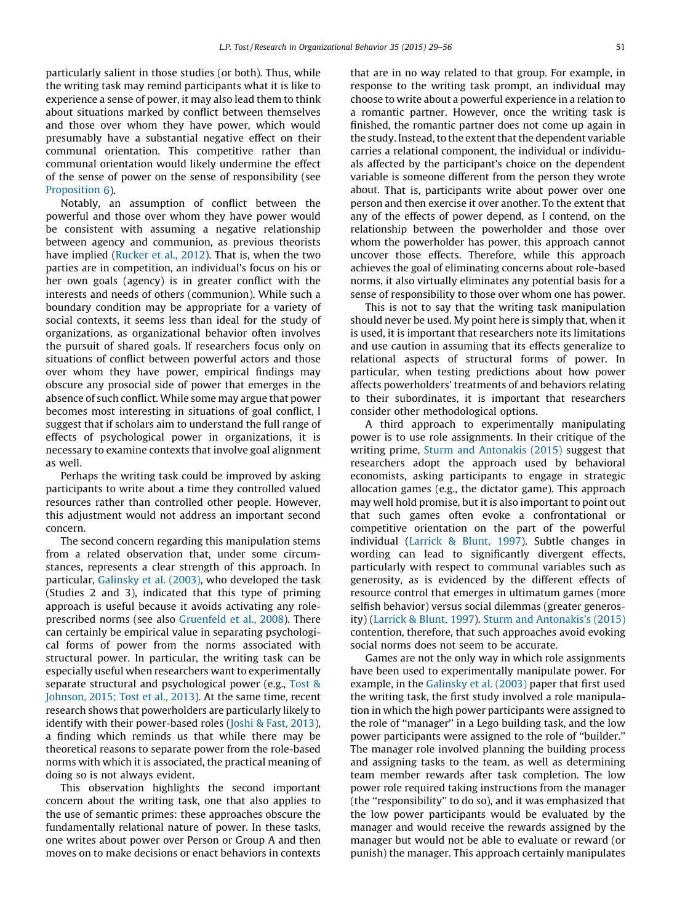particularly salient in those studies (or both). Thus, while the writing task may remind participants what it is like to experience a sense of power, it may also lead them to think about situations marked by conflict between themselves and those over whom they have power, which would presumably have a substantial negative effect on their communal orientation. This competitive rather than communal orientation would likely undermine the effect of the sense of power on the sense of responsibility (see [Proposition](#page-18-0) 6).

Notably, an assumption of conflict between the powerful and those over whom they have power would be consistent with assuming a negative relationship between agency and communion, as previous theorists have implied [\(Rucker](#page-26-0) et al., 2012). That is, when the two parties are in competition, an individual's focus on his or her own goals (agency) is in greater conflict with the interests and needs of others (communion). While such a boundary condition may be appropriate for a variety of social contexts, it seems less than ideal for the study of organizations, as organizational behavior often involves the pursuit of shared goals. If researchers focus only on situations of conflict between powerful actors and those over whom they have power, empirical findings may obscure any prosocial side of power that emerges in the absence of such conflict. While some may argue that power becomes most interesting in situations of goal conflict, I suggest that if scholars aim to understand the full range of effects of psychological power in organizations, it is necessary to examine contexts that involve goal alignment as well.

Perhaps the writing task could be improved by asking participants to write about a time they controlled valued resources rather than controlled other people. However, this adjustment would not address an important second concern.

The second concern regarding this manipulation stems from a related observation that, under some circumstances, represents a clear strength of this approach. In particular, [Galinsky](#page-25-0) et al. (2003), who developed the task (Studies 2 and 3), indicated that this type of priming approach is useful because it avoids activating any roleprescribed norms (see also [Gruenfeld](#page-25-0) et al., 2008). There can certainly be empirical value in separating psychological forms of power from the norms associated with structural power. In particular, the writing task can be especially useful when researchers want to experimentally separate structural and psychological power (e.g., [Tost](#page-27-0) & [Johnson,](#page-27-0) 2015; Tost et al., 2013). At the same time, recent research shows that powerholders are particularly likely to identify with their power-based roles (Joshi & Fast, [2013](#page-26-0)), a finding which reminds us that while there may be theoretical reasons to separate power from the role-based norms with which it is associated, the practical meaning of doing so is not always evident.

This observation highlights the second important concern about the writing task, one that also applies to the use of semantic primes: these approaches obscure the fundamentally relational nature of power. In these tasks, one writes about power over Person or Group A and then moves on to make decisions or enact behaviors in contexts

that are in no way related to that group. For example, in response to the writing task prompt, an individual may choose to write about a powerful experience in a relation to a romantic partner. However, once the writing task is finished, the romantic partner does not come up again in the study. Instead, to the extent that the dependent variable carries a relational component, the individual or individuals affected by the participant's choice on the dependent variable is someone different from the person they wrote about. That is, participants write about power over one person and then exercise it over another. To the extent that any of the effects of power depend, as I contend, on the relationship between the powerholder and those over whom the powerholder has power, this approach cannot uncover those effects. Therefore, while this approach achieves the goal of eliminating concerns about role-based norms, it also virtually eliminates any potential basis for a sense of responsibility to those over whom one has power.

This is not to say that the writing task manipulation should never be used. My point here is simply that, when it is used, it is important that researchers note its limitations and use caution in assuming that its effects generalize to relational aspects of structural forms of power. In particular, when testing predictions about how power affects powerholders' treatments of and behaviors relating to their subordinates, it is important that researchers consider other methodological options.

A third approach to experimentally manipulating power is to use role assignments. In their critique of the writing prime, Sturm and [Antonakis](#page-27-0) (2015) suggest that researchers adopt the approach used by behavioral economists, asking participants to engage in strategic allocation games (e.g., the dictator game). This approach may well hold promise, but it is also important to point out that such games often evoke a confrontational or competitive orientation on the part of the powerful individual [\(Larrick](#page-26-0) & Blunt, 1997). Subtle changes in wording can lead to significantly divergent effects, particularly with respect to communal variables such as generosity, as is evidenced by the different effects of resource control that emerges in ultimatum games (more selfish behavior) versus social dilemmas (greater generosity) ([Larrick](#page-26-0) & Blunt, 1997). Sturm and [Antonakis's](#page-27-0) (2015) contention, therefore, that such approaches avoid evoking social norms does not seem to be accurate.

Games are not the only way in which role assignments have been used to experimentally manipulate power. For example, in the [Galinsky](#page-25-0) et al. (2003) paper that first used the writing task, the first study involved a role manipulation in which the high power participants were assigned to the role of ''manager'' in a Lego building task, and the low power participants were assigned to the role of ''builder.'' The manager role involved planning the building process and assigning tasks to the team, as well as determining team member rewards after task completion. The low power role required taking instructions from the manager (the ''responsibility'' to do so), and it was emphasized that the low power participants would be evaluated by the manager and would receive the rewards assigned by the manager but would not be able to evaluate or reward (or punish) the manager. This approach certainly manipulates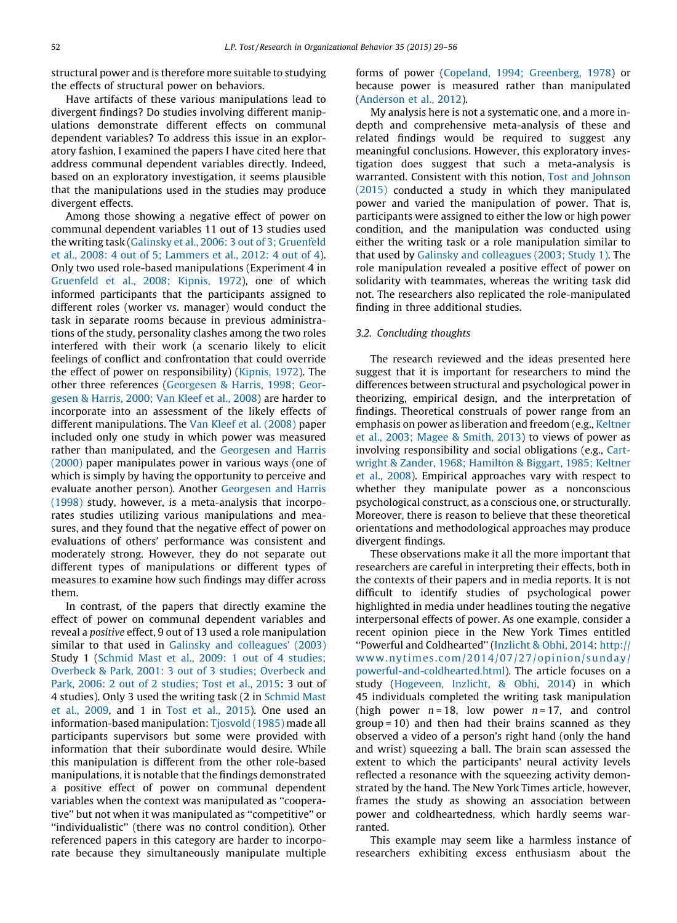structural power and is therefore more suitable to studying the effects of structural power on behaviors.

Have artifacts of these various manipulations lead to divergent findings? Do studies involving different manipulations demonstrate different effects on communal dependent variables? To address this issue in an exploratory fashion, I examined the papers I have cited here that address communal dependent variables directly. Indeed, based on an exploratory investigation, it seems plausible that the manipulations used in the studies may produce divergent effects.

Among those showing a negative effect of power on communal dependent variables 11 out of 13 studies used the writing task (Galinsky et al., 2006: 3 out of 3; [Gruenfeld](#page-25-0) et al., 2008: 4 out of 5; [Lammers](#page-25-0) et al., 2012: 4 out of 4). Only two used role-based manipulations (Experiment 4 in [Gruenfeld](#page-25-0) et al., 2008; Kipnis, 1972), one of which informed participants that the participants assigned to different roles (worker vs. manager) would conduct the task in separate rooms because in previous administrations of the study, personality clashes among the two roles interfered with their work (a scenario likely to elicit feelings of conflict and confrontation that could override the effect of power on responsibility) [\(Kipnis,](#page-26-0) 1972). The other three references [\(Georgesen](#page-25-0) & Harris, 1998; Georgesen & [Harris,](#page-25-0) 2000; Van Kleef et al., 2008) are harder to incorporate into an assessment of the likely effects of different manipulations. The Van Kleef et al. [\(2008\)](#page-27-0) paper included only one study in which power was measured rather than manipulated, and the [Georgesen](#page-25-0) and Harris [\(2000\)](#page-25-0) paper manipulates power in various ways (one of which is simply by having the opportunity to perceive and evaluate another person). Another [Georgesen](#page-25-0) and Harris [\(1998\)](#page-25-0) study, however, is a meta-analysis that incorporates studies utilizing various manipulations and measures, and they found that the negative effect of power on evaluations of others' performance was consistent and moderately strong. However, they do not separate out different types of manipulations or different types of measures to examine how such findings may differ across them.

In contrast, of the papers that directly examine the effect of power on communal dependent variables and reveal a positive effect, 9 out of 13 used a role manipulation similar to that used in Galinsky and [colleagues'](#page-25-0) (2003) Study 1 (Schmid Mast et al., 2009: 1 out of 4 [studies;](#page-26-0) Overbeck & Park, 2001: 3 out of 3 studies; [Overbeck](#page-26-0) and Park, 2006: 2 out of 2 [studies;](#page-26-0) Tost et al., 2015: 3 out of 4 studies). Only 3 used the writing task (2 in [Schmid](#page-26-0) Mast et al., [2009](#page-26-0), and 1 in Tost et al., [2015](#page-27-0)). One used an information-based manipulation: [Tjosvold](#page-27-0) (1985) made all participants supervisors but some were provided with information that their subordinate would desire. While this manipulation is different from the other role-based manipulations, it is notable that the findings demonstrated a positive effect of power on communal dependent variables when the context was manipulated as ''cooperative'' but not when it was manipulated as ''competitive'' or ''individualistic'' (there was no control condition). Other referenced papers in this category are harder to incorporate because they simultaneously manipulate multiple forms of power (Copeland, 1994; [Greenberg,](#page-25-0) 1978) or because power is measured rather than manipulated [\(Anderson](#page-24-0) et al., 2012).

My analysis here is not a systematic one, and a more indepth and comprehensive meta-analysis of these and related findings would be required to suggest any meaningful conclusions. However, this exploratory investigation does suggest that such a meta-analysis is warranted. Consistent with this notion, Tost and [Johnson](#page-27-0) [\(2015\)](#page-27-0) conducted a study in which they manipulated power and varied the manipulation of power. That is, participants were assigned to either the low or high power condition, and the manipulation was conducted using either the writing task or a role manipulation similar to that used by Galinsky and [colleagues](#page-25-0) (2003; Study 1). The role manipulation revealed a positive effect of power on solidarity with teammates, whereas the writing task did not. The researchers also replicated the role-manipulated finding in three additional studies.

# 3.2. Concluding thoughts

The research reviewed and the ideas presented here suggest that it is important for researchers to mind the differences between structural and psychological power in theorizing, empirical design, and the interpretation of findings. Theoretical construals of power range from an emphasis on power as liberation and freedom (e.g., [Keltner](#page-26-0) et al., 2003; [Magee](#page-26-0) & Smith, 2013) to views of power as involving responsibility and social obligations (e.g., [Cart](#page-25-0)wright & Zander, 1968; [Hamilton](#page-25-0) & Biggart, 1985; Keltner et al., [2008\)](#page-25-0). Empirical approaches vary with respect to whether they manipulate power as a nonconscious psychological construct, as a conscious one, or structurally. Moreover, there is reason to believe that these theoretical orientations and methodological approaches may produce divergent findings.

These observations make it all the more important that researchers are careful in interpreting their effects, both in the contexts of their papers and in media reports. It is not difficult to identify studies of psychological power highlighted in media under headlines touting the negative interpersonal effects of power. As one example, consider a recent opinion piece in the New York Times entitled ''Powerful and Coldhearted'' ([Inzlicht](#page-26-0) & Obhi, 2014: [http://](http://www.nytimes.com/2014/07/27/opinion/sunday/powerful-and-coldhearted.html) [www.nytimes.com/2014/07/27/opinion/sunday/](http://www.nytimes.com/2014/07/27/opinion/sunday/powerful-and-coldhearted.html) [powerful-and-coldhearted.html](http://www.nytimes.com/2014/07/27/opinion/sunday/powerful-and-coldhearted.html)). The article focuses on a study [\(Hogeveen,](#page-25-0) Inzlicht, & Obhi, 2014) in which 45 individuals completed the writing task manipulation (high power  $n = 18$ , low power  $n = 17$ , and control group = 10) and then had their brains scanned as they observed a video of a person's right hand (only the hand and wrist) squeezing a ball. The brain scan assessed the extent to which the participants' neural activity levels reflected a resonance with the squeezing activity demonstrated by the hand. The New York Times article, however, frames the study as showing an association between power and coldheartedness, which hardly seems warranted.

This example may seem like a harmless instance of researchers exhibiting excess enthusiasm about the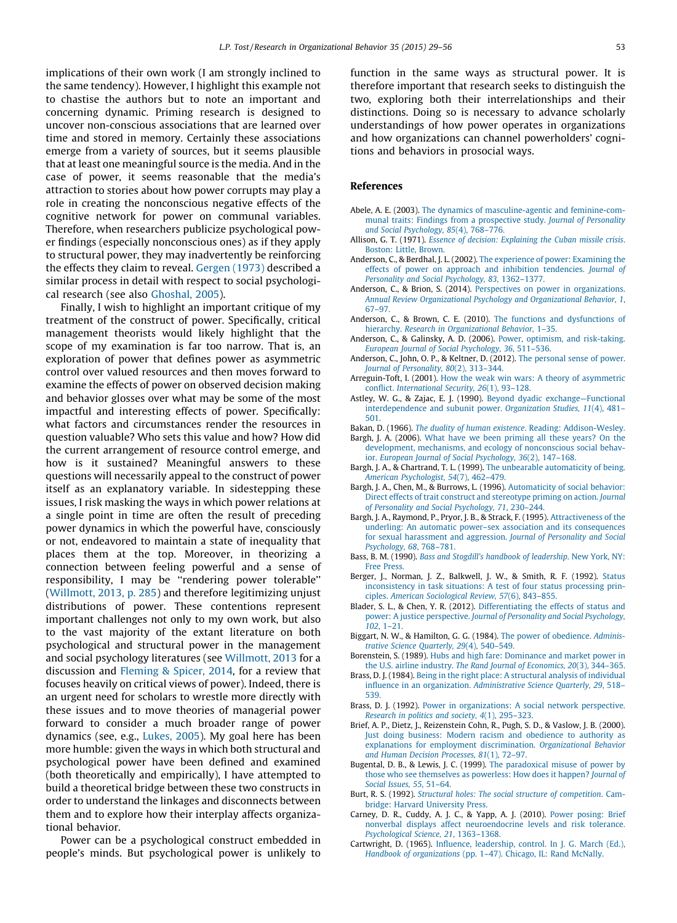<span id="page-24-0"></span>implications of their own work (I am strongly inclined to the same tendency). However, I highlight this example not to chastise the authors but to note an important and concerning dynamic. Priming research is designed to uncover non-conscious associations that are learned over time and stored in memory. Certainly these associations emerge from a variety of sources, but it seems plausible that at least one meaningful source is the media. And in the case of power, it seems reasonable that the media's attraction to stories about how power corrupts may play a role in creating the nonconscious negative effects of the cognitive network for power on communal variables. Therefore, when researchers publicize psychological power findings (especially nonconscious ones) as if they apply to structural power, they may inadvertently be reinforcing the effects they claim to reveal. [Gergen](#page-25-0) (1973) described a similar process in detail with respect to social psychological research (see also [Ghoshal,](#page-25-0) 2005).

Finally, I wish to highlight an important critique of my treatment of the construct of power. Specifically, critical management theorists would likely highlight that the scope of my examination is far too narrow. That is, an exploration of power that defines power as asymmetric control over valued resources and then moves forward to examine the effects of power on observed decision making and behavior glosses over what may be some of the most impactful and interesting effects of power. Specifically: what factors and circumstances render the resources in question valuable? Who sets this value and how? How did the current arrangement of resource control emerge, and how is it sustained? Meaningful answers to these questions will necessarily appeal to the construct of power itself as an explanatory variable. In sidestepping these issues, I risk masking the ways in which power relations at a single point in time are often the result of preceding power dynamics in which the powerful have, consciously or not, endeavored to maintain a state of inequality that places them at the top. Moreover, in theorizing a connection between feeling powerful and a sense of responsibility, I may be ''rendering power tolerable'' ([Willmott,](#page-27-0) 2013, p. 285) and therefore legitimizing unjust distributions of power. These contentions represent important challenges not only to my own work, but also to the vast majority of the extant literature on both psychological and structural power in the management and social psychology literatures (see [Willmott,](#page-27-0) 2013 for a discussion and [Fleming](#page-25-0) & Spicer, 2014, for a review that focuses heavily on critical views of power). Indeed, there is an urgent need for scholars to wrestle more directly with these issues and to move theories of managerial power forward to consider a much broader range of power dynamics (see, e.g., [Lukes,](#page-26-0) 2005). My goal here has been more humble: given the ways in which both structural and psychological power have been defined and examined (both theoretically and empirically), I have attempted to build a theoretical bridge between these two constructs in order to understand the linkages and disconnects between them and to explore how their interplay affects organizational behavior.

Power can be a psychological construct embedded in people's minds. But psychological power is unlikely to

function in the same ways as structural power. It is therefore important that research seeks to distinguish the two, exploring both their interrelationships and their distinctions. Doing so is necessary to advance scholarly understandings of how power operates in organizations and how organizations can channel powerholders' cognitions and behaviors in prosocial ways.

## References

- Abele, A. E. (2003). The dynamics of [masculine-agentic](http://refhub.elsevier.com/S0191-3085(15)00010-6/sbref0005) and feminine-communal traits: Findings from a [prospective](http://refhub.elsevier.com/S0191-3085(15)00010-6/sbref0005) study. Journal of Personality and Social [Psychology,](http://refhub.elsevier.com/S0191-3085(15)00010-6/sbref0005) 85(4), 768–776.
- Allison, G. T. (1971). Essence of decision: [Explaining](http://refhub.elsevier.com/S0191-3085(15)00010-6/sbref0010) the Cuban missile crisis. [Boston:](http://refhub.elsevier.com/S0191-3085(15)00010-6/sbref0010) Little, Brown.
- Anderson, C., & Berdhal, J. L. (2002). The [experience](http://refhub.elsevier.com/S0191-3085(15)00010-6/sbref0015) of power: Examining the effects of power on approach and inhibition [tendencies.](http://refhub.elsevier.com/S0191-3085(15)00010-6/sbref0015) Journal of Personality and Social Psychology, 83, [1362–1377.](http://refhub.elsevier.com/S0191-3085(15)00010-6/sbref0015)
- Anderson, C., & Brion, S. (2014). Perspectives on power in [organizations.](http://refhub.elsevier.com/S0191-3085(15)00010-6/sbref0020) Annual Review [Organizational](http://refhub.elsevier.com/S0191-3085(15)00010-6/sbref0020) Psychology and Organizational Behavior, 1, [67–97](http://refhub.elsevier.com/S0191-3085(15)00010-6/sbref0020).
- Anderson, C., & Brown, C. E. (2010). The functions and [dysfunctions](http://refhub.elsevier.com/S0191-3085(15)00010-6/sbref0025) of hierarchy. Research in [Organizational](http://refhub.elsevier.com/S0191-3085(15)00010-6/sbref0025) Behavior, 1–35.
- Anderson, C., & Galinsky, A. D. (2006). Power, optimism, and [risk-taking.](http://refhub.elsevier.com/S0191-3085(15)00010-6/sbref0030) European Journal of Social [Psychology,](http://refhub.elsevier.com/S0191-3085(15)00010-6/sbref0030) 36, 511–536.
- Anderson, C., John, O. P., & Keltner, D. (2012). The [personal](http://refhub.elsevier.com/S0191-3085(15)00010-6/sbref0035) sense of power. Journal of [Personality,](http://refhub.elsevier.com/S0191-3085(15)00010-6/sbref0035) 80(2), 313–344.
- Arreguin-Toft, I. (2001). How the weak win wars: A theory of [asymmetric](http://refhub.elsevier.com/S0191-3085(15)00010-6/sbref0915) conflict. [International](http://refhub.elsevier.com/S0191-3085(15)00010-6/sbref0915) Security, 26(1), 93–128.
- Astley, W. G., & Zajac, E. J. (1990). Beyond dyadic [exchange—Functional](http://refhub.elsevier.com/S0191-3085(15)00010-6/sbref0040) [interdependence](http://refhub.elsevier.com/S0191-3085(15)00010-6/sbref0040) and subunit power. Organization Studies, 11(4), 481– [501.](http://refhub.elsevier.com/S0191-3085(15)00010-6/sbref0040)
- Bakan, D. (1966). The duality of human existence. Reading: [Addison-Wesley.](http://refhub.elsevier.com/S0191-3085(15)00010-6/sbref0045)
- Bargh, J. A. (2006). What have we been [priming](http://refhub.elsevier.com/S0191-3085(15)00010-6/sbref0050) all these years? On the [development,](http://refhub.elsevier.com/S0191-3085(15)00010-6/sbref0050) mechanisms, and ecology of nonconscious social behavior. European Journal of Social [Psychology,](http://refhub.elsevier.com/S0191-3085(15)00010-6/sbref0050) 36(2), 147–168.
- Bargh, J. A., & Chartrand, T. L. (1999). The unbearable [automaticity](http://refhub.elsevier.com/S0191-3085(15)00010-6/sbref0055) of being. American [Psychologist,](http://refhub.elsevier.com/S0191-3085(15)00010-6/sbref0055) 54(7), 462–479.
- Bargh, J. A., Chen, M., & Burrows, L. (1996). [Automaticity](http://refhub.elsevier.com/S0191-3085(15)00010-6/sbref0065) of social behavior: Direct effects of trait construct and [stereotype](http://refhub.elsevier.com/S0191-3085(15)00010-6/sbref0065) priming on action. Journal of Personality and Social [Psychology,](http://refhub.elsevier.com/S0191-3085(15)00010-6/sbref0065) 71, 230–244.
- Bargh, J. A., Raymond, P., Pryor, J. B., & Strack, F. (1995). [Attractiveness](http://refhub.elsevier.com/S0191-3085(15)00010-6/sbref0070) of the underling: An automatic power–sex association and its [consequences](http://refhub.elsevier.com/S0191-3085(15)00010-6/sbref0070) for sexual [harassment](http://refhub.elsevier.com/S0191-3085(15)00010-6/sbref0070) and aggression. Journal of Personality and Social [Psychology,](http://refhub.elsevier.com/S0191-3085(15)00010-6/sbref0070) 68, 768–781.
- Bass, B. M. (1990). Bass and Stogdill's handbook of [leadership](http://refhub.elsevier.com/S0191-3085(15)00010-6/sbref0075). New York, NY: Free [Press.](http://refhub.elsevier.com/S0191-3085(15)00010-6/sbref0075)
- Berger, J., Norman, J. Z., Balkwell, J. W., & Smith, R. F. (1992). [Status](http://refhub.elsevier.com/S0191-3085(15)00010-6/sbref0080) [inconsistency](http://refhub.elsevier.com/S0191-3085(15)00010-6/sbref0080) in task situations: A test of four status processing principles. American [Sociological](http://refhub.elsevier.com/S0191-3085(15)00010-6/sbref0080) Review, 57(6), 843–855.
- Blader, S. L., & Chen, Y. R. (2012). [Differentiating](http://refhub.elsevier.com/S0191-3085(15)00010-6/sbref0085) the effects of status and power: A justice [perspective.](http://refhub.elsevier.com/S0191-3085(15)00010-6/sbref0085) Journal of Personality and Social Psychology,  $102, 1-21.$
- Biggart, N. W., & Hamilton, G. G. (1984). The power of [obedience.](http://refhub.elsevier.com/S0191-3085(15)00010-6/sbref0090) Administrative Science [Quarterly,](http://refhub.elsevier.com/S0191-3085(15)00010-6/sbref0090) 29(4), 540–549.
- Borenstein, S. (1989). Hubs and high fare: [Dominance](http://refhub.elsevier.com/S0191-3085(15)00010-6/sbref0095) and market power in the U.S. airline industry. The Rand Journal of [Economics,](http://refhub.elsevier.com/S0191-3085(15)00010-6/sbref0095) 20(3), 344–365.
- Brass, D. J. (1984). Being in the right place: A structural analysis of [individual](http://refhub.elsevier.com/S0191-3085(15)00010-6/sbref0100) influence in an organization. [Administrative](http://refhub.elsevier.com/S0191-3085(15)00010-6/sbref0100) Science Quarterly, 29, 518– [539](http://refhub.elsevier.com/S0191-3085(15)00010-6/sbref0100).
- Brass, D. J. (1992). Power in [organizations:](http://refhub.elsevier.com/S0191-3085(15)00010-6/sbref0105) A social network perspective. Research in politics and society, 4(1), [295–323.](http://refhub.elsevier.com/S0191-3085(15)00010-6/sbref0105)
- Brief, A. P., Dietz, J., Reizenstein Cohn, R., Pugh, S. D., & Vaslow, J. B. (2000). Just doing business: Modern racism and [obedience](http://refhub.elsevier.com/S0191-3085(15)00010-6/sbref0110) to authority as explanations for employment [discrimination.](http://refhub.elsevier.com/S0191-3085(15)00010-6/sbref0110) Organizational Behavior and Human Decision [Processes,](http://refhub.elsevier.com/S0191-3085(15)00010-6/sbref0110) 81(1), 72–97.
- Bugental, D. B., & Lewis, J. C. (1999). The [paradoxical](http://refhub.elsevier.com/S0191-3085(15)00010-6/sbref0115) misuse of power by those who see [themselves](http://refhub.elsevier.com/S0191-3085(15)00010-6/sbref0115) as powerless: How does it happen? Journal of Social Issues, 55, [51–64.](http://refhub.elsevier.com/S0191-3085(15)00010-6/sbref0115)
- Burt, R. S. (1992). Structural holes: The social structure of [competition](http://refhub.elsevier.com/S0191-3085(15)00010-6/sbref0130). Cambridge: Harvard [University](http://refhub.elsevier.com/S0191-3085(15)00010-6/sbref0130) Press.
- Carney, D. R., Cuddy, A. J. C., & Yapp, A. J. (2010). Power [posing:](http://refhub.elsevier.com/S0191-3085(15)00010-6/sbref0135) Brief nonverbal displays affect [neuroendocrine](http://refhub.elsevier.com/S0191-3085(15)00010-6/sbref0135) levels and risk tolerance. [Psychological](http://refhub.elsevier.com/S0191-3085(15)00010-6/sbref0135) Science, 21, 1363–1368.
- Cartwright, D. (1965). Influence, [leadership,](http://refhub.elsevier.com/S0191-3085(15)00010-6/sbref0145) control. In J. G. March (Ed.), Handbook of [organizations](http://refhub.elsevier.com/S0191-3085(15)00010-6/sbref0145) (pp. 1–47). Chicago, IL: Rand McNally.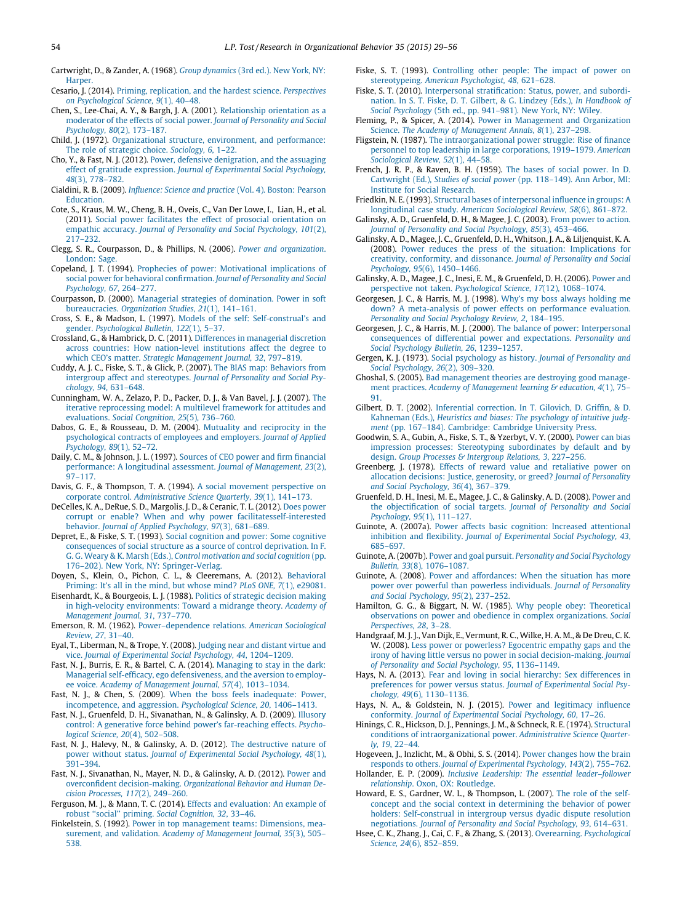<span id="page-25-0"></span>Cartwright, D., & Zander, A. (1968). Group [dynamics](http://refhub.elsevier.com/S0191-3085(15)00010-6/sbref0150) (3rd ed.). New York, NY: **[Harper.](http://refhub.elsevier.com/S0191-3085(15)00010-6/sbref0150)** 

Cesario, J. (2014). Priming, replication, and the hardest science. [Perspectives](http://refhub.elsevier.com/S0191-3085(15)00010-6/sbref0155) on [Psychological](http://refhub.elsevier.com/S0191-3085(15)00010-6/sbref0155) Science, 9(1), 40–48.

- Chen, S., Lee-Chai, A. Y., & Bargh, J. A. (2001). [Relationship](http://refhub.elsevier.com/S0191-3085(15)00010-6/sbref0160) orientation as a moderator of the effects of social power. Journal of [Personality](http://refhub.elsevier.com/S0191-3085(15)00010-6/sbref0160) and Social [Psychology,](http://refhub.elsevier.com/S0191-3085(15)00010-6/sbref0160) 80(2), 173–187.
- Child, J. (1972). [Organizational](http://refhub.elsevier.com/S0191-3085(15)00010-6/sbref0165) structure, environment, and performance: The role of strategic choice. [Sociology,](http://refhub.elsevier.com/S0191-3085(15)00010-6/sbref0165) 6, 1–22.
- Cho, Y., & Fast, N. J. (2012). Power, defensive [denigration,](http://refhub.elsevier.com/S0191-3085(15)00010-6/sbref0170) and the assuaging effect of gratitude expression. Journal of [Experimental](http://refhub.elsevier.com/S0191-3085(15)00010-6/sbref0170) Social Psychology, 48(3), [778–782](http://refhub.elsevier.com/S0191-3085(15)00010-6/sbref0170).
- Cialdini, R. B. (2009). [Influence:](http://refhub.elsevier.com/S0191-3085(15)00010-6/sbref0175) Science and practice (Vol. 4). Boston: Pearson **[Education](http://refhub.elsevier.com/S0191-3085(15)00010-6/sbref0175).**
- Cote, S., Kraus, M. W., Cheng, B. H., Oveis, C., Van Der Lowe, I., Lian, H., et al. (2011). Social power facilitates the effect of prosocial [orientation](http://refhub.elsevier.com/S0191-3085(15)00010-6/sbref0180) on empathic accuracy. Journal of Personality and Social [Psychology,](http://refhub.elsevier.com/S0191-3085(15)00010-6/sbref0180) 101(2), [217–232](http://refhub.elsevier.com/S0191-3085(15)00010-6/sbref0180).
- Clegg, S. R., Courpasson, D., & Phillips, N. (2006). Power and [organization](http://refhub.elsevier.com/S0191-3085(15)00010-6/sbref0185). [London:](http://refhub.elsevier.com/S0191-3085(15)00010-6/sbref0185) Sage.
- Copeland, J. T. (1994). Prophecies of power: [Motivational](http://refhub.elsevier.com/S0191-3085(15)00010-6/sbref0190) implications of social power for behavioral [confirmation.](http://refhub.elsevier.com/S0191-3085(15)00010-6/sbref0190) Journal of Personality and Social [Psychology,](http://refhub.elsevier.com/S0191-3085(15)00010-6/sbref0190) 67, 264–277.
- Courpasson, D. (2000). Managerial strategies of [domination.](http://refhub.elsevier.com/S0191-3085(15)00010-6/sbref0195) Power in soft [bureaucracies.](http://refhub.elsevier.com/S0191-3085(15)00010-6/sbref0195) Organization Studies, 21(1), 141-161.
- Cross, S. E., & Madson, L. (1997). Models of the self: [Self-construal's](http://refhub.elsevier.com/S0191-3085(15)00010-6/sbref0200) and gender. [Psychological](http://refhub.elsevier.com/S0191-3085(15)00010-6/sbref0200) Bulletin, 122(1), 5–37.
- Crossland, G., & Hambrick, D. C. (2011). Differences in [managerial](http://refhub.elsevier.com/S0191-3085(15)00010-6/sbref0205) discretion across countries: How [nation-level](http://refhub.elsevier.com/S0191-3085(15)00010-6/sbref0205) institutions affect the degree to which CEO's matter. Strategic [Management](http://refhub.elsevier.com/S0191-3085(15)00010-6/sbref0205) Journal, 32, 797–819.
- Cuddy, A. J. C., Fiske, S. T., & Glick, P. (2007). The BIAS map: [Behaviors](http://refhub.elsevier.com/S0191-3085(15)00010-6/sbref0210) from intergroup affect and [stereotypes.](http://refhub.elsevier.com/S0191-3085(15)00010-6/sbref0210) Journal of Personality and Social Psychology, 94, [631–648.](http://refhub.elsevier.com/S0191-3085(15)00010-6/sbref0210)
- Cunningham, W. A., Zelazo, P. D., Packer, D. J., & Van Bavel, J. J. (2007). [The](http://refhub.elsevier.com/S0191-3085(15)00010-6/sbref0215) iterative [reprocessing](http://refhub.elsevier.com/S0191-3085(15)00010-6/sbref0215) model: A multilevel framework for attitudes and [evaluations.](http://refhub.elsevier.com/S0191-3085(15)00010-6/sbref0215) Social Congnition, 25(5), 736–760.
- Dabos, G. E., & Rousseau, D. M. (2004). Mutuality and [reciprocity](http://refhub.elsevier.com/S0191-3085(15)00010-6/sbref0220) in the [psychological](http://refhub.elsevier.com/S0191-3085(15)00010-6/sbref0220) contracts of employees and employers. Journal of Applied [Psychology,](http://refhub.elsevier.com/S0191-3085(15)00010-6/sbref0220) 89(1), 52–72.
- Daily, C. M., & Johnson, J. L. (1997). Sources of CEO power and firm [financial](http://refhub.elsevier.com/S0191-3085(15)00010-6/sbref0225) [performance:](http://refhub.elsevier.com/S0191-3085(15)00010-6/sbref0225) A longitudinal assessment. Journal of Management, 23(2),  $97 - 117$
- Davis, G. F., & Thompson, T. A. (1994). A social movement [perspective](http://refhub.elsevier.com/S0191-3085(15)00010-6/sbref0230) on corporate control. [Administrative](http://refhub.elsevier.com/S0191-3085(15)00010-6/sbref0230) Science Quarterly, 39(1), 141–173.
- DeCelles, K. A., DeRue, S. D., Margolis, J. D., & Ceranic, T. L. (2012). Does [power](http://refhub.elsevier.com/S0191-3085(15)00010-6/sbref0235) corrupt or enable? When and why power [facilitatesself-interested](http://refhub.elsevier.com/S0191-3085(15)00010-6/sbref0235) behavior. Journal of Applied [Psychology,](http://refhub.elsevier.com/S0191-3085(15)00010-6/sbref0235) 97(3), 681–689.
- Depret, E., & Fiske, S. T. (1993). Social [cognition](http://refhub.elsevier.com/S0191-3085(15)00010-6/sbref0240) and power: Some cognitive [consequences](http://refhub.elsevier.com/S0191-3085(15)00010-6/sbref0240) of social structure as a source of control deprivation. In F. G. G. Weary & K. Marsh (Eds.), Control [motivation](http://refhub.elsevier.com/S0191-3085(15)00010-6/sbref0240) and social cognition (pp. 176–202). New York, NY: [Springer-Verlag](http://refhub.elsevier.com/S0191-3085(15)00010-6/sbref0240).
- Doyen, S., Klein, O., Pichon, C. L., & Cleeremans, A. (2012). [Behavioral](http://refhub.elsevier.com/S0191-3085(15)00010-6/sbref0245) [Priming:](http://refhub.elsevier.com/S0191-3085(15)00010-6/sbref0245) It's all in the mind, but whose mind? PLoS ONE, 7(1), e29081.
- Eisenhardt, K., & Bourgeois, L. J. (1988). Politics of [strategic](http://refhub.elsevier.com/S0191-3085(15)00010-6/sbref0255) decision making in high-velocity [environments:](http://refhub.elsevier.com/S0191-3085(15)00010-6/sbref0255) Toward a midrange theory. Academy of [Management](http://refhub.elsevier.com/S0191-3085(15)00010-6/sbref0255) Journal, 31, 737–770.
- Emerson, R. M. (1962). [Power–dependence](http://refhub.elsevier.com/S0191-3085(15)00010-6/sbref0260) relations. American Sociological [Review,](http://refhub.elsevier.com/S0191-3085(15)00010-6/sbref0260) 27, 31–40.
- Eyal, T., Liberman, N., & Trope, Y. (2008). [Judging](http://refhub.elsevier.com/S0191-3085(15)00010-6/sbref0265) near and distant virtue and vice. Journal of [Experimental](http://refhub.elsevier.com/S0191-3085(15)00010-6/sbref0265) Social Psychology, 44, 1204–1209.
- Fast, N. J., Burris, E. R., & Bartel, C. A. (2014). [Managing](http://refhub.elsevier.com/S0191-3085(15)00010-6/sbref0270) to stay in the dark: Managerial self-efficacy, ego [defensiveness,](http://refhub.elsevier.com/S0191-3085(15)00010-6/sbref0270) and the aversion to employee voice. Academy of [Management](http://refhub.elsevier.com/S0191-3085(15)00010-6/sbref0270) Journal, 57(4), 1013–1034.
- Fast, N. J., & Chen, S. (2009). When the boss feels [inadequate:](http://refhub.elsevier.com/S0191-3085(15)00010-6/sbref0275) Power, [incompetence,](http://refhub.elsevier.com/S0191-3085(15)00010-6/sbref0275) and aggression. Psychological Science, 20, 1406–1413.
- Fast, N. J., Gruenfeld, D. H., Sivanathan, N., & Galinsky, A. D. (2009). [Illusory](http://refhub.elsevier.com/S0191-3085(15)00010-6/sbref0280) control: A generative force behind power's [far-reaching](http://refhub.elsevier.com/S0191-3085(15)00010-6/sbref0280) effects. Psychological Science, 20(4), [502–508](http://refhub.elsevier.com/S0191-3085(15)00010-6/sbref0280).
- Fast, N. J., Halevy, N., & Galinsky, A. D. (2012). The [destructive](http://refhub.elsevier.com/S0191-3085(15)00010-6/sbref0285) nature of power without status. Journal of [Experimental](http://refhub.elsevier.com/S0191-3085(15)00010-6/sbref0285) Social Psychology, 48(1), [391–394](http://refhub.elsevier.com/S0191-3085(15)00010-6/sbref0285).
- Fast, N. J., Sivanathan, N., Mayer, N. D., & Galinsky, A. D. (2012). [Power](http://refhub.elsevier.com/S0191-3085(15)00010-6/sbref0295) and overconfident [decision-making.](http://refhub.elsevier.com/S0191-3085(15)00010-6/sbref0295) Organizational Behavior and Human Decision [Processes,](http://refhub.elsevier.com/S0191-3085(15)00010-6/sbref0295) 117(2), 249–260.
- Ferguson, M. J., & Mann, T. C. (2014). Effects and [evaluation:](http://refhub.elsevier.com/S0191-3085(15)00010-6/sbref0300) An example of robust ''social'' priming. Social [Cognition,](http://refhub.elsevier.com/S0191-3085(15)00010-6/sbref0300) 32, 33–46.
- Finkelstein, S. (1992). Power in top [management](http://refhub.elsevier.com/S0191-3085(15)00010-6/sbref0305) teams: Dimensions, measurement, and validation. Academy of [Management](http://refhub.elsevier.com/S0191-3085(15)00010-6/sbref0305) Journal, 35(3), 505– [538](http://refhub.elsevier.com/S0191-3085(15)00010-6/sbref0305).
- Fiske, S. T. (1993). [Controlling](http://refhub.elsevier.com/S0191-3085(15)00010-6/sbref0310) other people: The impact of power on [stereotypeing.](http://refhub.elsevier.com/S0191-3085(15)00010-6/sbref0310) American Psychologist, 48, 621–628.
- Fiske, S. T. (2010). Interpersonal [stratification:](http://refhub.elsevier.com/S0191-3085(15)00010-6/sbref0315) Status, power, and subordination. In S. T. Fiske, D. T. Gilbert, & G. Lindzey (Eds.), In [Handbook](http://refhub.elsevier.com/S0191-3085(15)00010-6/sbref0315) of Social [Psychology](http://refhub.elsevier.com/S0191-3085(15)00010-6/sbref0315) (5th ed., pp. 941–981). New York, NY: Wiley.
- Fleming, P., & Spicer, A. (2014). Power in [Management](http://refhub.elsevier.com/S0191-3085(15)00010-6/sbref0320) and Organization Science. The Academy of [Management](http://refhub.elsevier.com/S0191-3085(15)00010-6/sbref0320) Annals, 8(1), 237–298.
- Fligstein, N. (1987). The [intraorganizational](http://refhub.elsevier.com/S0191-3085(15)00010-6/sbref0325) power struggle: Rise of finance personnel to top leadership in large [corporations,](http://refhub.elsevier.com/S0191-3085(15)00010-6/sbref0325) 1919–1979. American [Sociological](http://refhub.elsevier.com/S0191-3085(15)00010-6/sbref0325) Review, 52(1), 44–58.
- French, J. R. P., & Raven, B. H. (1959). The bases of social [power.](http://refhub.elsevier.com/S0191-3085(15)00010-6/sbref0330) In D. [Cartwright](http://refhub.elsevier.com/S0191-3085(15)00010-6/sbref0330) (Ed.), Studies of social power (pp. 118–149). Ann Arbor, MI: Institute for Social [Research](http://refhub.elsevier.com/S0191-3085(15)00010-6/sbref0330).
- Friedkin, N. E.(1993). Structural bases of [interpersonal](http://refhub.elsevier.com/S0191-3085(15)00010-6/sbref0335) influence in groups: A [longitudinal](http://refhub.elsevier.com/S0191-3085(15)00010-6/sbref0335) case study. American Sociological Review, 58(6), 861–872.
- Galinsky, A. D., Gruenfeld, D. H., & Magee, J. C. (2003). From power to [action.](http://refhub.elsevier.com/S0191-3085(15)00010-6/sbref0340) Journal of Personality and Social [Psychology,](http://refhub.elsevier.com/S0191-3085(15)00010-6/sbref0340) 85(3), 453–466.
- Galinsky, A. D., Magee, J. C., Gruenfeld, D. H., Whitson, J. A., & Liljenquist, K. A. (2008). Power reduces the press of the situation: [Implications](http://refhub.elsevier.com/S0191-3085(15)00010-6/sbref0345) for creativity, [conformity,](http://refhub.elsevier.com/S0191-3085(15)00010-6/sbref0345) and dissonance. Journal of Personality and Social Psychology, 95(6), [1450–1466](http://refhub.elsevier.com/S0191-3085(15)00010-6/sbref0345).
- Galinsky, A. D., Magee, J. C., Inesi, E. M., & Gruenfeld, D. H. (2006). [Power](http://refhub.elsevier.com/S0191-3085(15)00010-6/sbref0350) and perspective not taken. [Psychological](http://refhub.elsevier.com/S0191-3085(15)00010-6/sbref0350) Science, 17(12), 1068–1074.
- Georgesen, J. C., & Harris, M. J. (1998). Why's my boss always [holding](http://refhub.elsevier.com/S0191-3085(15)00010-6/sbref0355) me down? A [meta-analysis](http://refhub.elsevier.com/S0191-3085(15)00010-6/sbref0355) of power effects on performance evaluation. [Personality](http://refhub.elsevier.com/S0191-3085(15)00010-6/sbref0355) and Social Psychology Review, 2, 184–195.
- Georgesen, J. C., & Harris, M. J. (2000). The balance of power: [Interpersonal](http://refhub.elsevier.com/S0191-3085(15)00010-6/sbref0360) [consequences](http://refhub.elsevier.com/S0191-3085(15)00010-6/sbref0360) of differential power and expectations. Personality and Social Psychology Bulletin, 26, [1239–1257.](http://refhub.elsevier.com/S0191-3085(15)00010-6/sbref0360)
- Gergen, K. J. (1973). Social [psychology](http://refhub.elsevier.com/S0191-3085(15)00010-6/sbref0365) as history. Journal of Personality and Social [Psychology,](http://refhub.elsevier.com/S0191-3085(15)00010-6/sbref0365) 26(2), 309–320.
- Ghoshal, S. (2005). Bad [management](http://refhub.elsevier.com/S0191-3085(15)00010-6/sbref0370) theories are destroying good manage-ment practices. Academy of [Management](http://refhub.elsevier.com/S0191-3085(15)00010-6/sbref0370) learning & education, 4(1), 75-[91.](http://refhub.elsevier.com/S0191-3085(15)00010-6/sbref0370)
- Gilbert, D. T. (2002). Inferential [correction.](http://refhub.elsevier.com/S0191-3085(15)00010-6/sbref0375) In T. Gilovich, D. Griffin, & D. [Kahneman](http://refhub.elsevier.com/S0191-3085(15)00010-6/sbref0375) (Eds.), Heuristics and biases: The psychology of intuitive judgment (pp. 167–184). [Cambridge:](http://refhub.elsevier.com/S0191-3085(15)00010-6/sbref0375) Cambridge University Press.
- Goodwin, S. A., Gubin, A., Fiske, S. T., & Yzerbyt, V. Y. (2000). [Power](http://refhub.elsevier.com/S0191-3085(15)00010-6/sbref0380) can bias impression processes: Stereotyping [subordinates](http://refhub.elsevier.com/S0191-3085(15)00010-6/sbref0380) by default and by design. Group Processes & [Intergroup](http://refhub.elsevier.com/S0191-3085(15)00010-6/sbref0380) Relations, 3, 227-256.
- Greenberg, J. (1978). Effects of reward value and [retaliative](http://refhub.elsevier.com/S0191-3085(15)00010-6/sbref0385) power on allocation decisions: Justice, [generosity,](http://refhub.elsevier.com/S0191-3085(15)00010-6/sbref0385) or greed? Journal of Personality and Social [Psychology,](http://refhub.elsevier.com/S0191-3085(15)00010-6/sbref0385) 36(4), 367–379.
- Gruenfeld, D. H., Inesi, M. E., Magee, J. C., & Galinsky, A. D. (2008). [Power](http://refhub.elsevier.com/S0191-3085(15)00010-6/sbref0390) and the [objectification](http://refhub.elsevier.com/S0191-3085(15)00010-6/sbref0390) of social targets. Journal of Personality and Social [Psychology,](http://refhub.elsevier.com/S0191-3085(15)00010-6/sbref0390) 95(1), 111–127.
- Guinote, A. (2007a). Power affects basic cognition: Increased [attentional](http://refhub.elsevier.com/S0191-3085(15)00010-6/sbref0395) inhibition and flexibility. Journal of [Experimental](http://refhub.elsevier.com/S0191-3085(15)00010-6/sbref0395) Social Psychology, 43, [685–697](http://refhub.elsevier.com/S0191-3085(15)00010-6/sbref0395).
- Guinote, A. (2007b). Power and goal pursuit. [Personality](http://refhub.elsevier.com/S0191-3085(15)00010-6/sbref0400) and Social Psychology Bulletin, 33(8), [1076–1087.](http://refhub.elsevier.com/S0191-3085(15)00010-6/sbref0400)
- Guinote, A. (2008). Power and [affordances:](http://refhub.elsevier.com/S0191-3085(15)00010-6/sbref0405) When the situation has more power over powerful than powerless [individuals.](http://refhub.elsevier.com/S0191-3085(15)00010-6/sbref0405) Journal of Personality and Social [Psychology,](http://refhub.elsevier.com/S0191-3085(15)00010-6/sbref0405) 95(2), 237–252.
- Hamilton, G. G., & Biggart, N. W. (1985). Why people obey: [Theoretical](http://refhub.elsevier.com/S0191-3085(15)00010-6/sbref0410) observations on power and obedience in complex [organizations.](http://refhub.elsevier.com/S0191-3085(15)00010-6/sbref0410) Social [Perspectives,](http://refhub.elsevier.com/S0191-3085(15)00010-6/sbref0410) 28, 3–28.
- Handgraaf, M. J. J., Van Dijk, E., Vermunt, R. C., Wilke, H. A. M., & De Dreu, C. K. W. (2008). Less power or [powerless?](http://refhub.elsevier.com/S0191-3085(15)00010-6/sbref0415) Egocentric empathy gaps and the irony of having little versus no power in social [decision-making.](http://refhub.elsevier.com/S0191-3085(15)00010-6/sbref0415) Journal of Personality and Social Psychology, 95, [1136–1149.](http://refhub.elsevier.com/S0191-3085(15)00010-6/sbref0415)
- Hays, N. A. (2013). Fear and loving in social hierarchy: Sex [differences](http://refhub.elsevier.com/S0191-3085(15)00010-6/sbref0420) in preferences for power versus status. Journal of [Experimental](http://refhub.elsevier.com/S0191-3085(15)00010-6/sbref0420) Social Psychology, 49(6), [1130–1136.](http://refhub.elsevier.com/S0191-3085(15)00010-6/sbref0420)
- Hays, N. A., & Goldstein, N. J. (2015). Power and [legitimacy](http://refhub.elsevier.com/S0191-3085(15)00010-6/sbref0425) influence conformity. Journal of [Experimental](http://refhub.elsevier.com/S0191-3085(15)00010-6/sbref0425) Social Psychology, 60, 17–26.
- Hinings, C. R., Hickson, D. J., Pennings, J. M., & Schneck, R. E. (1974). [Structural](http://refhub.elsevier.com/S0191-3085(15)00010-6/sbref0430) conditions of [intraorganizational](http://refhub.elsevier.com/S0191-3085(15)00010-6/sbref0430) power. Administrative Science Quarterly, 19, [22–44](http://refhub.elsevier.com/S0191-3085(15)00010-6/sbref0430).
- Hogeveen, J., Inzlicht, M., & Obhi, S. S. (2014). Power [changes](http://refhub.elsevier.com/S0191-3085(15)00010-6/sbref0435) how the brain responds to others. Journal of [Experimental](http://refhub.elsevier.com/S0191-3085(15)00010-6/sbref0435) Psychology, 143(2), 755–762.
- Hollander, E. P. (2009). Inclusive Leadership: The essential leader-follower [relationship](http://refhub.elsevier.com/S0191-3085(15)00010-6/sbref0440). Oxon, OX: Routledge.
- Howard, E. S., Gardner, W. L., & Thompson, L. (2007). The role of the [self](http://refhub.elsevier.com/S0191-3085(15)00010-6/sbref0445)concept and the social context in [determining](http://refhub.elsevier.com/S0191-3085(15)00010-6/sbref0445) the behavior of power holders: [Self-construal](http://refhub.elsevier.com/S0191-3085(15)00010-6/sbref0445) in intergroup versus dyadic dispute resolution [negotiations.](http://refhub.elsevier.com/S0191-3085(15)00010-6/sbref0445) Journal of Personality and Social Psychology, 93, 614–631.
- Hsee, C. K., Zhang, J., Cai, C. F., & Zhang, S. (2013). [Overearning.](http://refhub.elsevier.com/S0191-3085(15)00010-6/sbref0450) Psychological Science, 24(6), [852–859](http://refhub.elsevier.com/S0191-3085(15)00010-6/sbref0450).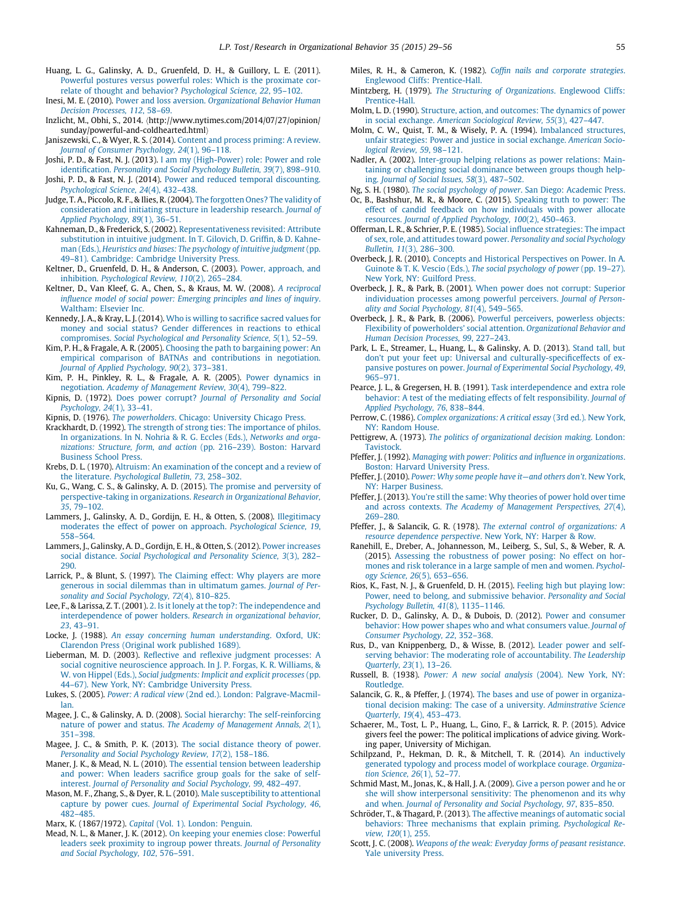- <span id="page-26-0"></span>Huang, L. G., Galinsky, A. D., Gruenfeld, D. H., & Guillory, L. E. (2011). Powerful postures versus powerful roles: Which is the [proximate](http://refhub.elsevier.com/S0191-3085(15)00010-6/sbref0455) correlate of thought and behavior? [Psychological](http://refhub.elsevier.com/S0191-3085(15)00010-6/sbref0455) Science, 22, 95–102.
- Inesi, M. E. (2010). Power and loss aversion. [Organizational](http://refhub.elsevier.com/S0191-3085(15)00010-6/sbref0460) Behavior Human Decision [Processes,](http://refhub.elsevier.com/S0191-3085(15)00010-6/sbref0460) 112, 58–69.
- Inzlicht, M., Obhi, S., 2014. (http://www.nytimes.com/2014/07/27/opinion/ sunday/powerful-and-coldhearted.html
- Janiszewski, C., & Wyer, R. S. (2014). Content and process [priming:](http://refhub.elsevier.com/S0191-3085(15)00010-6/sbref0470) A review. Journal of Consumer [Psychology,](http://refhub.elsevier.com/S0191-3085(15)00010-6/sbref0470) 24(1), 96–118.
- Joshi, P. D., & Fast, N. J. (2013). I am my [\(High-Power\)](http://refhub.elsevier.com/S0191-3085(15)00010-6/sbref0475) role: Power and role [identification.](http://refhub.elsevier.com/S0191-3085(15)00010-6/sbref0475) Personality and Social Psychology Bulletin, 39(7), 898–910.
- Joshi, P. D., & Fast, N. J. (2014). Power and reduced temporal [discounting.](http://refhub.elsevier.com/S0191-3085(15)00010-6/sbref0480) [Psychological](http://refhub.elsevier.com/S0191-3085(15)00010-6/sbref0480) Science, 24(4), 432–438.
- Judge, T. A., Piccolo, R. F., & Ilies, R.(2004). The [forgotten](http://refhub.elsevier.com/S0191-3085(15)00010-6/sbref0485) Ones? The validity of [consideration](http://refhub.elsevier.com/S0191-3085(15)00010-6/sbref0485) and initiating structure in leadership research. Journal of Applied [Psychology,](http://refhub.elsevier.com/S0191-3085(15)00010-6/sbref0485) 89(1), 36–51.
- Kahneman, D., & Frederick, S. (2002). [Representativeness](http://refhub.elsevier.com/S0191-3085(15)00010-6/sbref0490) revisited: Attribute [substitution](http://refhub.elsevier.com/S0191-3085(15)00010-6/sbref0490) in intuitive judgment. In T. Gilovich, D. Griffin, & D. Kahneman (Eds.), Heuristics and biases: The [psychology](http://refhub.elsevier.com/S0191-3085(15)00010-6/sbref0490) of intuitive judgment (pp. 49–81). [Cambridge:](http://refhub.elsevier.com/S0191-3085(15)00010-6/sbref0490) Cambridge University Press.
- Keltner, D., Gruenfeld, D. H., & Anderson, C. (2003). Power, [approach,](http://refhub.elsevier.com/S0191-3085(15)00010-6/sbref0495) and inhibition. [Psychological](http://refhub.elsevier.com/S0191-3085(15)00010-6/sbref0495) Review, 110(2), 265–284.
- Keltner, D., Van Kleef, G. A., Chen, S., & Kraus, M. W. (2008). A [reciprocal](http://refhub.elsevier.com/S0191-3085(15)00010-6/sbref0500) influence model of social power: Emerging [principles](http://refhub.elsevier.com/S0191-3085(15)00010-6/sbref0500) and lines of inquiry. [Waltham:](http://refhub.elsevier.com/S0191-3085(15)00010-6/sbref0500) Elsevier Inc.
- Kennedy, J. A., & Kray, L. J. (2014). Who is willing to [sacrifice](http://refhub.elsevier.com/S0191-3085(15)00010-6/sbref0505) sacred values for money and social status? Gender [differences](http://refhub.elsevier.com/S0191-3085(15)00010-6/sbref0505) in reactions to ethical [compromises.](http://refhub.elsevier.com/S0191-3085(15)00010-6/sbref0505) Social Psychological and Personality Science, 5(1), 52–59.
- Kim, P. H., & Fragale, A. R. (2005). Choosing the path to [bargaining](http://refhub.elsevier.com/S0191-3085(15)00010-6/sbref0510) power: An empirical comparison of BATNAs and [contributions](http://refhub.elsevier.com/S0191-3085(15)00010-6/sbref0510) in negotiation. Journal of Applied [Psychology,](http://refhub.elsevier.com/S0191-3085(15)00010-6/sbref0510) 90(2), 373–381.
- Kim, P. H., Pinkley, R. L., & Fragale, A. R. (2005). Power [dynamics](http://refhub.elsevier.com/S0191-3085(15)00010-6/sbref0515) in negotiation. Academy of [Management](http://refhub.elsevier.com/S0191-3085(15)00010-6/sbref0515) Review, 30(4), 799–822.
- Kipnis, D. (1972). Does power corrupt? Journal of [Personality](http://refhub.elsevier.com/S0191-3085(15)00010-6/sbref0520) and Social [Psychology,](http://refhub.elsevier.com/S0191-3085(15)00010-6/sbref0520) 24(1), 33–41.
- Kipnis, D. (1976). The [powerholders](http://refhub.elsevier.com/S0191-3085(15)00010-6/sbref0525). Chicago: University Chicago Press.
- Krackhardt, D. (1992). The strength of strong ties: The [importance](http://refhub.elsevier.com/S0191-3085(15)00010-6/sbref0530) of philos. In [organizations.](http://refhub.elsevier.com/S0191-3085(15)00010-6/sbref0530) In N. Nohria & R. G. Eccles (Eds.), Networks and organizations: Structure, form, and action (pp. [216–239\).](http://refhub.elsevier.com/S0191-3085(15)00010-6/sbref0530) Boston: Harvard [Business](http://refhub.elsevier.com/S0191-3085(15)00010-6/sbref0530) School Press.
- Krebs, D. L. (1970). Altruism: An [examination](http://refhub.elsevier.com/S0191-3085(15)00010-6/sbref0535) of the concept and a review of the literature. [Psychological](http://refhub.elsevier.com/S0191-3085(15)00010-6/sbref0535) Bulletin, 73, 258–302.
- Ku, G., Wang, C. S., & Galinsky, A. D. (2015). The promise and [perversity](http://refhub.elsevier.com/S0191-3085(15)00010-6/sbref0895) of [perspective-taking](http://refhub.elsevier.com/S0191-3085(15)00010-6/sbref0895) in organizations. Research in Organizational Behavior, 35, [79–102.](http://refhub.elsevier.com/S0191-3085(15)00010-6/sbref0895)
- Lammers, J., Galinsky, A. D., Gordijn, E. H., & Otten, S. (2008). [Illegitimacy](http://refhub.elsevier.com/S0191-3085(15)00010-6/sbref0540) moderates the effect of power on approach. [Psychological](http://refhub.elsevier.com/S0191-3085(15)00010-6/sbref0540) Science, 19, [558–564.](http://refhub.elsevier.com/S0191-3085(15)00010-6/sbref0540)
- Lammers, J., Galinsky, A. D., Gordijn, E. H., & Otten, S. (2012). Power [increases](http://refhub.elsevier.com/S0191-3085(15)00010-6/sbref0545) social distance. Social [Psychological](http://refhub.elsevier.com/S0191-3085(15)00010-6/sbref0545) and Personality Science, 3(3), 282– [290.](http://refhub.elsevier.com/S0191-3085(15)00010-6/sbref0545)
- Larrick, P., & Blunt, S. (1997). The [Claiming](http://refhub.elsevier.com/S0191-3085(15)00010-6/sbref0550) effect: Why players are more generous in social dilemmas than in [ultimatum](http://refhub.elsevier.com/S0191-3085(15)00010-6/sbref0550) games. Journal of Personality and Social [Psychology,](http://refhub.elsevier.com/S0191-3085(15)00010-6/sbref0550) 72(4), 810–825.
- Lee, F., & Larissa, Z. T. (2001). 2. Is it lonely at the top?: The [independence](http://refhub.elsevier.com/S0191-3085(15)00010-6/sbref0920) and [interdependence](http://refhub.elsevier.com/S0191-3085(15)00010-6/sbref0920) of power holders. Research in organizational behavior, 23, [43–91](http://refhub.elsevier.com/S0191-3085(15)00010-6/sbref0920).
- Locke, J. (1988). An essay concerning human [understanding](http://refhub.elsevier.com/S0191-3085(15)00010-6/sbref0555). Oxford, UK: [Clarendon](http://refhub.elsevier.com/S0191-3085(15)00010-6/sbref0555) Press (Original work published 1689).
- Lieberman, M. D. (2003). Reflective and reflexive judgment [processes:](http://refhub.elsevier.com/S0191-3085(15)00010-6/sbref0560) A social cognitive [neuroscience](http://refhub.elsevier.com/S0191-3085(15)00010-6/sbref0560) approach. In J. P. Forgas, K. R. Williams, & W. von Hippel (Eds.), Social [judgments:](http://refhub.elsevier.com/S0191-3085(15)00010-6/sbref0560) Implicit and explicit processes (pp. 44–67). New York, NY: [Cambridge](http://refhub.elsevier.com/S0191-3085(15)00010-6/sbref0560) University Press.
- Lukes, S. (2005). Power: A radical view (2nd ed.). London: [Palgrave-Macmil](http://refhub.elsevier.com/S0191-3085(15)00010-6/sbref0565)[lan.](http://refhub.elsevier.com/S0191-3085(15)00010-6/sbref0565)
- Magee, J. C., & Galinsky, A. D. (2008). Social hierarchy: The [self-reinforcing](http://refhub.elsevier.com/S0191-3085(15)00010-6/sbref0570) nature of power and status. The Academy of [Management](http://refhub.elsevier.com/S0191-3085(15)00010-6/sbref0570) Annals, 2(1), [351–398.](http://refhub.elsevier.com/S0191-3085(15)00010-6/sbref0570)
- Magee, J. C., & Smith, P. K. (2013). The social [distance](http://refhub.elsevier.com/S0191-3085(15)00010-6/sbref0575) theory of power. [Personality](http://refhub.elsevier.com/S0191-3085(15)00010-6/sbref0575) and Social Psychology Review, 17(2), 158–186.
- Maner, J. K., & Mead, N. L. (2010). The essential tension between [leadership](http://refhub.elsevier.com/S0191-3085(15)00010-6/sbref0580) and power: When leaders [sacrifice](http://refhub.elsevier.com/S0191-3085(15)00010-6/sbref0580) group goals for the sake of selfinterest. Journal of Personality and Social [Psychology,](http://refhub.elsevier.com/S0191-3085(15)00010-6/sbref0580) 99, 482–497.
- Mason, M. F., Zhang, S., & Dyer, R. L. (2010). Male [susceptibility](http://refhub.elsevier.com/S0191-3085(15)00010-6/sbref0585) to attentional capture by power cues. Journal of [Experimental](http://refhub.elsevier.com/S0191-3085(15)00010-6/sbref0585) Social Psychology, 46, [482–485.](http://refhub.elsevier.com/S0191-3085(15)00010-6/sbref0585)
- Marx, K. (1867/1972). Capital (Vol. 1). [London:](http://refhub.elsevier.com/S0191-3085(15)00010-6/sbref0590) Penguin.
- Mead, N. L., & Maner, J. K. (2012). On keeping your enemies close: [Powerful](http://refhub.elsevier.com/S0191-3085(15)00010-6/sbref0595) leaders seek proximity to ingroup power threats. Journal of [Personality](http://refhub.elsevier.com/S0191-3085(15)00010-6/sbref0595) and Social [Psychology,](http://refhub.elsevier.com/S0191-3085(15)00010-6/sbref0595) 102, 576–591.
- Miles, R. H., & Cameron, K. (1982). Coffin nails and [corporate](http://refhub.elsevier.com/S0191-3085(15)00010-6/sbref0600) strategies. Englewood Cliffs: [Prentice-Hall](http://refhub.elsevier.com/S0191-3085(15)00010-6/sbref0600).
- Mintzberg, H. (1979). The Structuring of [Organizations](http://refhub.elsevier.com/S0191-3085(15)00010-6/sbref0605). Englewood Cliffs: [Prentice-Hall.](http://refhub.elsevier.com/S0191-3085(15)00010-6/sbref0605)
- Molm, L. D. (1990). Structure, action, and [outcomes:](http://refhub.elsevier.com/S0191-3085(15)00010-6/sbref0610) The dynamics of power in social exchange. American [Sociological](http://refhub.elsevier.com/S0191-3085(15)00010-6/sbref0610) Review, 55(3), 427–447.
- Molm, C. W., Quist, T. M., & Wisely, P. A. (1994). [Imbalanced](http://refhub.elsevier.com/S0191-3085(15)00010-6/sbref0615) structures, unfair [strategies:](http://refhub.elsevier.com/S0191-3085(15)00010-6/sbref0615) Power and justice in social exchange. American Sociological Review, 59, [98–121.](http://refhub.elsevier.com/S0191-3085(15)00010-6/sbref0615)
- Nadler, A. (2002). [Inter-group](http://refhub.elsevier.com/S0191-3085(15)00010-6/sbref0620) helping relations as power relations: Maintaining or [challenging](http://refhub.elsevier.com/S0191-3085(15)00010-6/sbref0620) social dominance between groups though helping. Journal of Social Issues, 58(3), [487–502](http://refhub.elsevier.com/S0191-3085(15)00010-6/sbref0620).
- Ng, S. H. (1980). The social [psychology](http://refhub.elsevier.com/S0191-3085(15)00010-6/sbref0625) of power. San Diego: Academic Press.
- Oc, B., Bashshur, M. R., & Moore, C. (2015). [Speaking](http://refhub.elsevier.com/S0191-3085(15)00010-6/sbref0630) truth to power: The effect of candid feedback on how [individuals](http://refhub.elsevier.com/S0191-3085(15)00010-6/sbref0630) with power allocate resources. Journal of Applied [Psychology,](http://refhub.elsevier.com/S0191-3085(15)00010-6/sbref0630) 100(2), 450–463.
- Offerman, L. R., & Schrier, P. E. (1985). Social influence [strategies:](http://refhub.elsevier.com/S0191-3085(15)00010-6/sbref0635) The impact of sex, role, and attitudes toward power. [Personality](http://refhub.elsevier.com/S0191-3085(15)00010-6/sbref0635) and social Psychology Bulletin, 11(3), [286–300.](http://refhub.elsevier.com/S0191-3085(15)00010-6/sbref0635)
- Overbeck, J. R. (2010). Concepts and Historical [Perspectives](http://refhub.elsevier.com/S0191-3085(15)00010-6/sbref0640) on Power. In A. Guinote & T. K. Vescio (Eds.), The social [psychology](http://refhub.elsevier.com/S0191-3085(15)00010-6/sbref0640) of power (pp. 19–27). New York, NY: [Guilford](http://refhub.elsevier.com/S0191-3085(15)00010-6/sbref0640) Press.
- Overbeck, J. R., & Park, B. (2001). When power does not corrupt: [Superior](http://refhub.elsevier.com/S0191-3085(15)00010-6/sbref0645) [individuation](http://refhub.elsevier.com/S0191-3085(15)00010-6/sbref0645) processes among powerful perceivers. Journal of Personality and Social [Psychology,](http://refhub.elsevier.com/S0191-3085(15)00010-6/sbref0645) 81(4), 549–565.
- Overbeck, J. R., & Park, B. (2006). Powerful [perceivers,](http://refhub.elsevier.com/S0191-3085(15)00010-6/sbref0650) powerless objects: Flexibility of [powerholders'](http://refhub.elsevier.com/S0191-3085(15)00010-6/sbref0650) social attention. Organizational Behavior and Human Decision [Processes,](http://refhub.elsevier.com/S0191-3085(15)00010-6/sbref0650) 99, 227–243.
- Park, L. E., Streamer, L., Huang, L., & Galinsky, A. D. (2013). [Stand](http://refhub.elsevier.com/S0191-3085(15)00010-6/sbref0655) tall, but don't put your feet up: Universal and [culturally-specificeffects](http://refhub.elsevier.com/S0191-3085(15)00010-6/sbref0655) of expansive postures on power. Journal of [Experimental](http://refhub.elsevier.com/S0191-3085(15)00010-6/sbref0655) Social Psychology, 49, [965–971.](http://refhub.elsevier.com/S0191-3085(15)00010-6/sbref0655)
- Pearce, J. L., & Gregersen, H. B. (1991). Task [interdependence](http://refhub.elsevier.com/S0191-3085(15)00010-6/sbref0660) and extra role behavior: A test of the mediating effects of felt [responsibility.](http://refhub.elsevier.com/S0191-3085(15)00010-6/sbref0660) Journal of Applied [Psychology,](http://refhub.elsevier.com/S0191-3085(15)00010-6/sbref0660) 76, 838–844.
- Perrow, C. (1986). Complex [organizations:](http://refhub.elsevier.com/S0191-3085(15)00010-6/sbref0665) A critical essay (3rd ed.). New York, NY: [Random](http://refhub.elsevier.com/S0191-3085(15)00010-6/sbref0665) House.
- Pettigrew, A. (1973). The politics of [organizational](http://refhub.elsevier.com/S0191-3085(15)00010-6/sbref0670) decision making. London: **Tavistock**
- Pfeffer, J. (1992). Managing with power: Politics and influence in [organizations](http://refhub.elsevier.com/S0191-3085(15)00010-6/sbref0675). Boston: Harvard [University](http://refhub.elsevier.com/S0191-3085(15)00010-6/sbref0675) Press.
- Pfeffer, J. (2010). Power: Why some people have [it—and](http://refhub.elsevier.com/S0191-3085(15)00010-6/sbref0680) others don't. New York, NY: Harper [Business.](http://refhub.elsevier.com/S0191-3085(15)00010-6/sbref0680)
- Pfeffer, J. (2013). You're still the same: Why [theories](http://refhub.elsevier.com/S0191-3085(15)00010-6/sbref0685) of power hold over time and across contexts. The Academy of [Management](http://refhub.elsevier.com/S0191-3085(15)00010-6/sbref0685) Perspectives, 27(4), [269–280.](http://refhub.elsevier.com/S0191-3085(15)00010-6/sbref0685)
- Pfeffer, J., & Salancik, G. R. (1978). The external control of [organizations:](http://refhub.elsevier.com/S0191-3085(15)00010-6/sbref0690) A resource [dependence](http://refhub.elsevier.com/S0191-3085(15)00010-6/sbref0690) perspective. New York, NY: Harper & Row.
- Ranehill, E., Dreber, A., Johannesson, M., Leiberg, S., Sul, S., & Weber, R. A. (2015). Assessing the [robustness](http://refhub.elsevier.com/S0191-3085(15)00010-6/sbref0695) of power posing: No effect on hormones and risk [tolerance](http://refhub.elsevier.com/S0191-3085(15)00010-6/sbref0695) in a large sample of men and women. Psychology Science, 26(5), [653–656](http://refhub.elsevier.com/S0191-3085(15)00010-6/sbref0695).
- Rios, K., Fast, N. J., & Gruenfeld, D. H. (2015). Feeling high but [playing](http://refhub.elsevier.com/S0191-3085(15)00010-6/sbref0700) low: Power, need to belong, and [submissive](http://refhub.elsevier.com/S0191-3085(15)00010-6/sbref0700) behavior. Personality and Social Psychology Bulletin, 41(8), [1135–1146.](http://refhub.elsevier.com/S0191-3085(15)00010-6/sbref0700)
- Rucker, D. D., Galinsky, A. D., & Dubois, D. (2012). Power and [consumer](http://refhub.elsevier.com/S0191-3085(15)00010-6/sbref0705) behavior: How power shapes who and what [consumers](http://refhub.elsevier.com/S0191-3085(15)00010-6/sbref0705) value. Journal of Consumer [Psychology,](http://refhub.elsevier.com/S0191-3085(15)00010-6/sbref0705) 22, 352–368.
- Rus, D., van Knippenberg, D., & Wisse, B. (2012). [Leader](http://refhub.elsevier.com/S0191-3085(15)00010-6/sbref0710) power and selfserving behavior: The moderating role of [accountability.](http://refhub.elsevier.com/S0191-3085(15)00010-6/sbref0710) The Leadership [Quarterly,](http://refhub.elsevier.com/S0191-3085(15)00010-6/sbref0710) 23(1), 13–26.
- Russell, B. (1938). Power: A new social [analysis](http://refhub.elsevier.com/S0191-3085(15)00010-6/sbref0715) (2004). New York, NY: [Routledge](http://refhub.elsevier.com/S0191-3085(15)00010-6/sbref0715).
- Salancik, G. R., & Pfeffer, J. (1974). The bases and use of power in [organiza](http://refhub.elsevier.com/S0191-3085(15)00010-6/sbref0720)tional decision making: The case of a university. [Adminstrative](http://refhub.elsevier.com/S0191-3085(15)00010-6/sbref0720) Science [Quarterly,](http://refhub.elsevier.com/S0191-3085(15)00010-6/sbref0720) 19(4), 453–473.
- Schaerer, M., Tost, L. P., Huang, L., Gino, F., & Larrick, R. P. (2015). Advice givers feel the power: The political implications of advice giving. Working paper, University of Michigan.
- Schilpzand, P., Hekman, D. R., & Mitchell, T. R. (2014). An [inductively](http://refhub.elsevier.com/S0191-3085(15)00010-6/sbref0725) generated typology and process model of [workplace](http://refhub.elsevier.com/S0191-3085(15)00010-6/sbref0725) courage. Organization [Science,](http://refhub.elsevier.com/S0191-3085(15)00010-6/sbref0725) 26(1), 52–77.
- Schmid Mast, M., Jonas, K., & Hall, J. A. (2009). Give a [person](http://refhub.elsevier.com/S0191-3085(15)00010-6/sbref0730) power and he or she will show [interpersonal](http://refhub.elsevier.com/S0191-3085(15)00010-6/sbref0730) sensitivity: The phenomenon and its why and when. Journal of Personality and Social [Psychology,](http://refhub.elsevier.com/S0191-3085(15)00010-6/sbref0730) 97, 835–850.
- Schröder, T., & Thagard, P. (2013). The affective meanings of [automatic](http://refhub.elsevier.com/S0191-3085(15)00010-6/sbref0900) social behaviors: Three mechanisms that explain priming. [Psychological](http://refhub.elsevier.com/S0191-3085(15)00010-6/sbref0900) Re[view,](http://refhub.elsevier.com/S0191-3085(15)00010-6/sbref0900) 120(1), 255.
- Scott, J. C. (2008). Weapons of the weak: Everyday forms of peasant [resistance](http://refhub.elsevier.com/S0191-3085(15)00010-6/sbref0910). Yale [university](http://refhub.elsevier.com/S0191-3085(15)00010-6/sbref0910) Press.